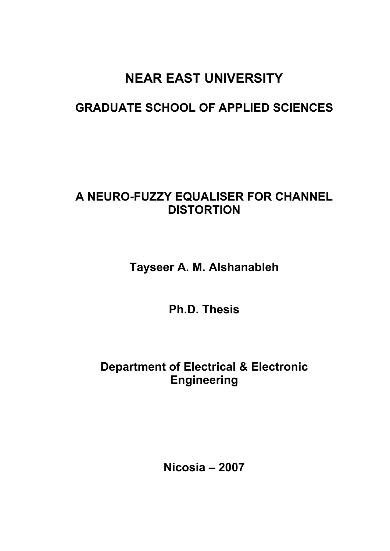# **NEAR EAST UNIVERSITY**

# **GRADUATE SCHOOL OF APPLIED SCIENCES**

# **A NEURO-FUZZY EQUALISER FOR CHANNEL DISTORTION**

**Tayseer A. M. Alshanableh** 

**Ph.D. Thesis** 

**Department of Electrical & Electronic Engineering** 

**Nicosia – 2007**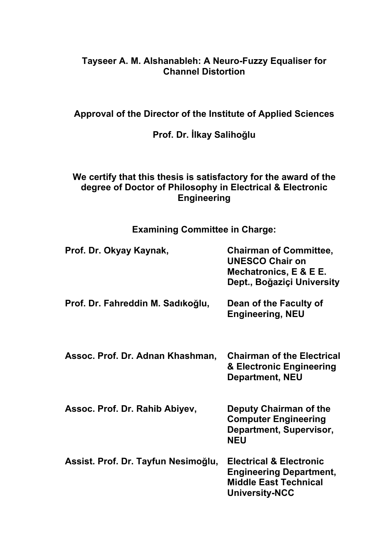### **Tayseer A. M. Alshanableh: A Neuro-Fuzzy Equaliser for Channel Distortion**

**Approval of the Director of the Institute of Applied Sciences** 

# **Prof. Dr. İlkay Salihoğlu**

## **We certify that this thesis is satisfactory for the award of the degree of Doctor of Philosophy in Electrical & Electronic Engineering**

**Examining Committee in Charge:** 

| Prof. Dr. Okyay Kaynak,             | <b>Chairman of Committee,</b><br><b>UNESCO Chair on</b><br>Mechatronics, E & E E.<br>Dept., Boğaziçi University               |
|-------------------------------------|-------------------------------------------------------------------------------------------------------------------------------|
| Prof. Dr. Fahreddin M. Sadıkoğlu,   | Dean of the Faculty of<br><b>Engineering, NEU</b>                                                                             |
| Assoc. Prof. Dr. Adnan Khashman,    | <b>Chairman of the Electrical</b><br>& Electronic Engineering<br><b>Department, NEU</b>                                       |
| Assoc. Prof. Dr. Rahib Abiyev,      | Deputy Chairman of the<br><b>Computer Engineering</b><br>Department, Supervisor,<br><b>NEU</b>                                |
| Assist. Prof. Dr. Tayfun Nesimoğlu, | <b>Electrical &amp; Electronic</b><br><b>Engineering Department,</b><br><b>Middle East Technical</b><br><b>University-NCC</b> |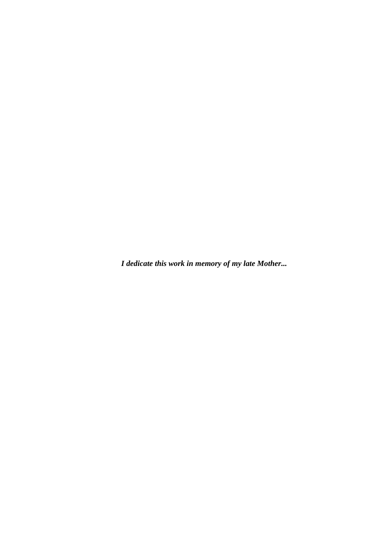*I dedicate this work in memory of my late Mother...*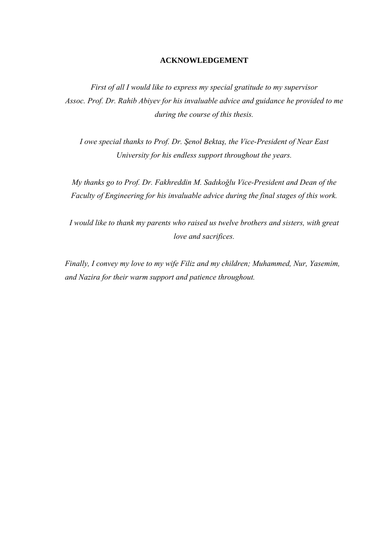#### **ACKNOWLEDGEMENT**

*First of all I would like to express my special gratitude to my supervisor Assoc. Prof. Dr. Rahib Abiyev for his invaluable advice and guidance he provided to me during the course of this thesis.* 

*I owe special thanks to Prof. Dr. Şenol Bektaş, the Vice-President of Near East University for his endless support throughout the years.* 

*My thanks go to Prof. Dr. Fakhreddin M. Sadıkoğlu Vice-President and Dean of the Faculty of Engineering for his invaluable advice during the final stages of this work.* 

*I would like to thank my parents who raised us twelve brothers and sisters, with great love and sacrifices.* 

*Finally, I convey my love to my wife Filiz and my children; Muhammed, Nur, Yasemim, and Nazira for their warm support and patience throughout.*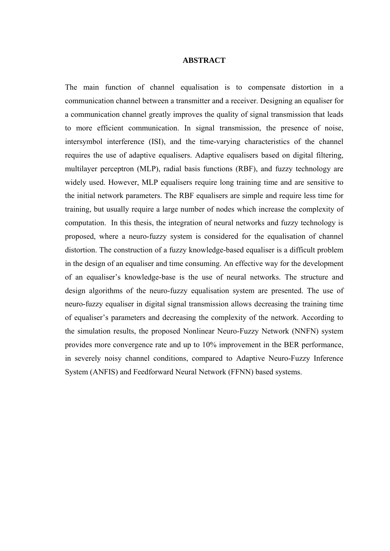#### **ABSTRACT**

The main function of channel equalisation is to compensate distortion in a communication channel between a transmitter and a receiver. Designing an equaliser for a communication channel greatly improves the quality of signal transmission that leads to more efficient communication. In signal transmission, the presence of noise, intersymbol interference (ISI), and the time-varying characteristics of the channel requires the use of adaptive equalisers. Adaptive equalisers based on digital filtering, multilayer perceptron (MLP), radial basis functions (RBF), and fuzzy technology are widely used. However, MLP equalisers require long training time and are sensitive to the initial network parameters. The RBF equalisers are simple and require less time for training, but usually require a large number of nodes which increase the complexity of computation. In this thesis, the integration of neural networks and fuzzy technology is proposed, where a neuro-fuzzy system is considered for the equalisation of channel distortion. The construction of a fuzzy knowledge-based equaliser is a difficult problem in the design of an equaliser and time consuming. An effective way for the development of an equaliser's knowledge-base is the use of neural networks. The structure and design algorithms of the neuro-fuzzy equalisation system are presented. The use of neuro-fuzzy equaliser in digital signal transmission allows decreasing the training time of equaliser's parameters and decreasing the complexity of the network. According to the simulation results, the proposed Nonlinear Neuro-Fuzzy Network (NNFN) system provides more convergence rate and up to 10% improvement in the BER performance, in severely noisy channel conditions, compared to Adaptive Neuro-Fuzzy Inference System (ANFIS) and Feedforward Neural Network (FFNN) based systems.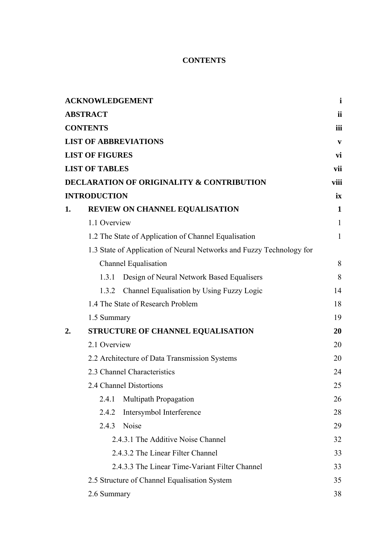### **CONTENTS**

|    | <b>ACKNOWLEDGEMENT</b>            |                                                                      | $\mathbf{i}$ |
|----|-----------------------------------|----------------------------------------------------------------------|--------------|
|    | <b>ABSTRACT</b>                   |                                                                      | <i>ii</i>    |
|    | <b>CONTENTS</b>                   |                                                                      | iii          |
|    |                                   | <b>LIST OF ABBREVIATIONS</b>                                         | $\mathbf{v}$ |
|    | <b>LIST OF FIGURES</b>            |                                                                      | vi           |
|    | <b>LIST OF TABLES</b>             |                                                                      | vii          |
|    |                                   | <b>DECLARATION OF ORIGINALITY &amp; CONTRIBUTION</b>                 | viii         |
|    | <b>INTRODUCTION</b>               |                                                                      | ix           |
| 1. |                                   | REVIEW ON CHANNEL EQUALISATION                                       | $\mathbf{1}$ |
|    | 1.1 Overview                      |                                                                      | $\mathbf{1}$ |
|    |                                   | 1.2 The State of Application of Channel Equalisation                 | $\mathbf{1}$ |
|    |                                   | 1.3 State of Application of Neural Networks and Fuzzy Technology for |              |
|    |                                   | <b>Channel Equalisation</b>                                          | 8            |
|    | 1.3.1                             | Design of Neural Network Based Equalisers                            | 8            |
|    | 1.3.2                             | Channel Equalisation by Using Fuzzy Logic                            | 14           |
|    |                                   | 1.4 The State of Research Problem                                    | 18           |
|    | 1.5 Summary                       |                                                                      | 19           |
| 2. |                                   | STRUCTURE OF CHANNEL EQUALISATION                                    | 20           |
|    | 2.1 Overview                      |                                                                      | 20           |
|    |                                   | 2.2 Architecture of Data Transmission Systems                        | 20           |
|    |                                   | 2.3 Channel Characteristics                                          | 24           |
|    |                                   | 2.4 Channel Distortions                                              | 25           |
|    | 2.4.1                             | <b>Multipath Propagation</b>                                         | 26           |
|    | 2.4.2                             | Intersymbol Interference                                             | 28           |
|    | 2.4.3                             | Noise                                                                | 29           |
|    |                                   | 2.4.3.1 The Additive Noise Channel                                   | 32           |
|    | 2.4.3.2 The Linear Filter Channel |                                                                      | 33           |
|    |                                   | 2.4.3.3 The Linear Time-Variant Filter Channel                       | 33           |
|    |                                   | 2.5 Structure of Channel Equalisation System                         | 35           |
|    | 2.6 Summary                       |                                                                      | 38           |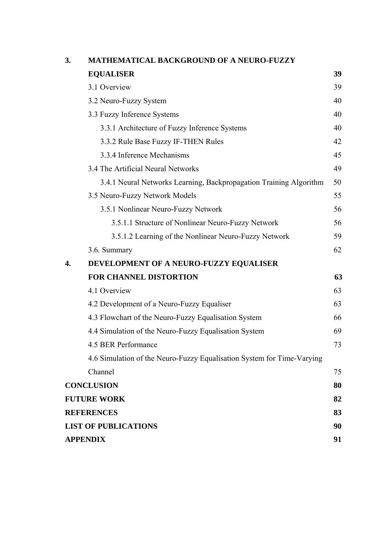| 3. | MATHEMATICAL BACKGROUND OF A NEURO-FUZZY                               |    |  |  |
|----|------------------------------------------------------------------------|----|--|--|
|    | <b>EQUALISER</b>                                                       | 39 |  |  |
|    | 3.1 Overview                                                           | 39 |  |  |
|    | 3.2 Neuro-Fuzzy System                                                 | 40 |  |  |
|    | 3.3 Fuzzy Inference Systems                                            | 40 |  |  |
|    | 3.3.1 Architecture of Fuzzy Inference Systems                          | 40 |  |  |
|    | 3.3.2 Rule Base Fuzzy IF-THEN Rules                                    | 42 |  |  |
|    | 3.3.4 Inference Mechanisms                                             | 45 |  |  |
|    | 3.4 The Artificial Neural Networks                                     | 49 |  |  |
|    | 3.4.1 Neural Networks Learning, Backpropagation Training Algorithm     | 50 |  |  |
|    | 3.5 Neuro-Fuzzy Network Models                                         | 55 |  |  |
|    | 3.5.1 Nonlinear Neuro-Fuzzy Network                                    | 56 |  |  |
|    | 3.5.1.1 Structure of Nonlinear Neuro-Fuzzy Network                     | 56 |  |  |
|    | 3.5.1.2 Learning of the Nonlinear Neuro-Fuzzy Network                  | 59 |  |  |
|    | 3.6. Summary                                                           | 62 |  |  |
| 4. | DEVELOPMENT OF A NEURO-FUZZY EQUALISER                                 |    |  |  |
|    | FOR CHANNEL DISTORTION                                                 |    |  |  |
|    | 4.1 Overview                                                           | 63 |  |  |
|    | 4.2 Development of a Neuro-Fuzzy Equaliser                             | 63 |  |  |
|    | 4.3 Flowchart of the Neuro-Fuzzy Equalisation System                   | 66 |  |  |
|    | 4.4 Simulation of the Neuro-Fuzzy Equalisation System                  | 69 |  |  |
|    | 4.5 BER Performance                                                    | 73 |  |  |
|    | 4.6 Simulation of the Neuro-Fuzzy Equalisation System for Time-Varying |    |  |  |
|    | Channel                                                                | 75 |  |  |
|    | <b>CONCLUSION</b>                                                      | 80 |  |  |
|    | <b>FUTURE WORK</b>                                                     | 82 |  |  |
|    | <b>REFERENCES</b>                                                      | 83 |  |  |
|    | <b>LIST OF PUBLICATIONS</b>                                            | 90 |  |  |
|    | <b>APPENDIX</b>                                                        | 91 |  |  |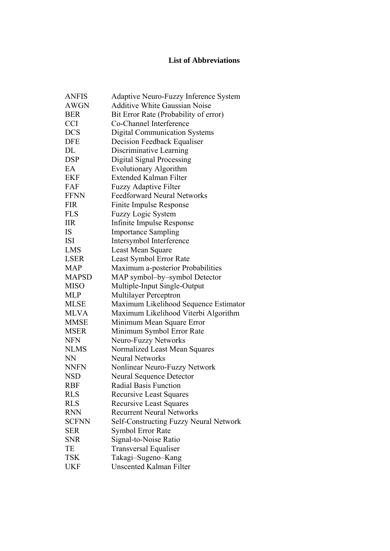#### **List of Abbreviations**

| <b>ANFIS</b> | Adaptive Neuro-Fuzzy Inference System  |
|--------------|----------------------------------------|
| <b>AWGN</b>  | <b>Additive White Gaussian Noise</b>   |
| <b>BER</b>   | Bit Error Rate (Probability of error)  |
| <b>CCI</b>   | Co-Channel Interference                |
| <b>DCS</b>   | <b>Digital Communication Systems</b>   |
| <b>DFE</b>   | Decision Feedback Equaliser            |
| DL           | Discriminative Learning                |
| <b>DSP</b>   | Digital Signal Processing              |
| EA           | <b>Evolutionary Algorithm</b>          |
| <b>EKF</b>   | <b>Extended Kalman Filter</b>          |
| FAF          | Fuzzy Adaptive Filter                  |
| <b>FFNN</b>  | <b>Feedforward Neural Networks</b>     |
| <b>FIR</b>   | Finite Impulse Response                |
| <b>FLS</b>   | Fuzzy Logic System                     |
| <b>IIR</b>   | Infinite Impulse Response              |
| <b>IS</b>    | <b>Importance Sampling</b>             |
| <b>ISI</b>   | Intersymbol Interference               |
| <b>LMS</b>   | Least Mean Square                      |
| <b>LSER</b>  | Least Symbol Error Rate                |
| <b>MAP</b>   | Maximum a-posterior Probabilities      |
| <b>MAPSD</b> | MAP symbol-by-symbol Detector          |
| <b>MISO</b>  | Multiple-Input Single-Output           |
| <b>MLP</b>   | <b>Multilayer Perceptron</b>           |
| <b>MLSE</b>  | Maximum Likelihood Sequence Estimator  |
| <b>MLVA</b>  | Maximum Likelihood Viterbi Algorithm   |
| <b>MMSE</b>  | Minimum Mean Square Error              |
| <b>MSER</b>  | Minimum Symbol Error Rate              |
| <b>NFN</b>   | Neuro-Fuzzy Networks                   |
| <b>NLMS</b>  | Normalized Least Mean Squares          |
| <b>NN</b>    | <b>Neural Networks</b>                 |
| <b>NNFN</b>  | Nonlinear Neuro-Fuzzy Network          |
| <b>NSD</b>   | <b>Neural Sequence Detector</b>        |
| RBF          | Radial Basis Function                  |
| <b>RLS</b>   | <b>Recursive Least Squares</b>         |
| <b>RLS</b>   | <b>Recursive Least Squares</b>         |
| <b>RNN</b>   | <b>Recurrent Neural Networks</b>       |
| <b>SCFNN</b> | Self-Constructing Fuzzy Neural Network |
| <b>SER</b>   | Symbol Error Rate                      |
| <b>SNR</b>   | Signal-to-Noise Ratio                  |
| TE           | <b>Transversal Equaliser</b>           |
| <b>TSK</b>   | Takagi-Sugeno-Kang                     |
| <b>UKF</b>   | <b>Unscented Kalman Filter</b>         |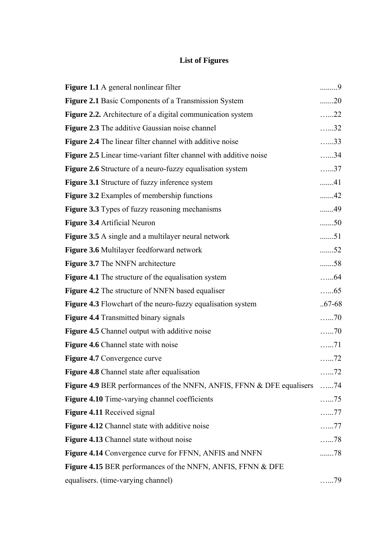### **List of Figures**

| <b>Figure 1.1</b> A general nonlinear filter                           | 9             |
|------------------------------------------------------------------------|---------------|
| Figure 2.1 Basic Components of a Transmission System                   | $\dots 20$    |
| <b>Figure 2.2.</b> Architecture of a digital communication system      | $\ldots$ .22  |
| Figure 2.3 The additive Gaussian noise channel                         | $\ldots$ 32   |
| <b>Figure 2.4</b> The linear filter channel with additive noise        | $\ldots$ . 33 |
| Figure 2.5 Linear time-variant filter channel with additive noise      | $\ldots$ . 34 |
| Figure 2.6 Structure of a neuro-fuzzy equalisation system              | $\ldots$ . 37 |
| Figure 3.1 Structure of fuzzy inference system                         | 41            |
| <b>Figure 3.2</b> Examples of membership functions                     | 42            |
| <b>Figure 3.3</b> Types of fuzzy reasoning mechanisms                  | 49            |
| <b>Figure 3.4</b> Artificial Neuron                                    | 50            |
| <b>Figure 3.5</b> A single and a multilayer neural network             | 51            |
| Figure 3.6 Multilayer feedforward network                              | 52            |
| <b>Figure 3.7</b> The NNFN architecture                                | 58            |
| <b>Figure 4.1</b> The structure of the equalisation system             | $\ldots$ .64  |
| <b>Figure 4.2</b> The structure of NNFN based equaliser                |               |
| <b>Figure 4.3</b> Flowchart of the neuro-fuzzy equalisation system     | $.67-68$      |
| <b>Figure 4.4</b> Transmitted binary signals                           | $\dots 70$    |
| Figure 4.5 Channel output with additive noise                          | $\dots 70$    |
| <b>Figure 4.6</b> Channel state with noise                             | $\dots 71$    |
| Figure 4.7 Convergence curve                                           | $\dots 72$    |
| <b>Figure 4.8</b> Channel state after equalisation                     | $\dots 72$    |
| Figure 4.9 BER performances of the NNFN, ANFIS, FFNN & DFE equalisers  | . 74          |
| Figure 4.10 Time-varying channel coefficients                          | $\ldots$ . 75 |
| <b>Figure 4.11 Received signal</b>                                     | $\ldots 77$   |
| <b>Figure 4.12</b> Channel state with additive noise                   | $\ldots$ . 77 |
| Figure 4.13 Channel state without noise                                | . 78          |
| <b>Figure 4.14 Convergence curve for FFNN, ANFIS and NNFN</b>          | 78            |
| <b>Figure 4.15 BER performances of the NNFN, ANFIS, FFNN &amp; DFE</b> |               |
| equalisers. (time-varying channel)                                     | . 79          |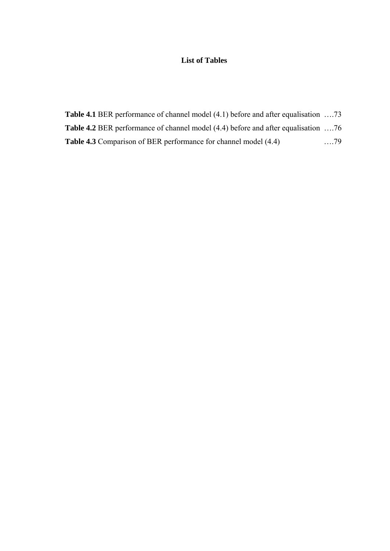#### **List of Tables**

**Table 4.1** BER performance of channel model (4.1) before and after equalisation ….73 **Table 4.2** BER performance of channel model (4.4) before and after equalisation ….76 **Table 4.3** Comparison of BER performance for channel model (4.4) ….79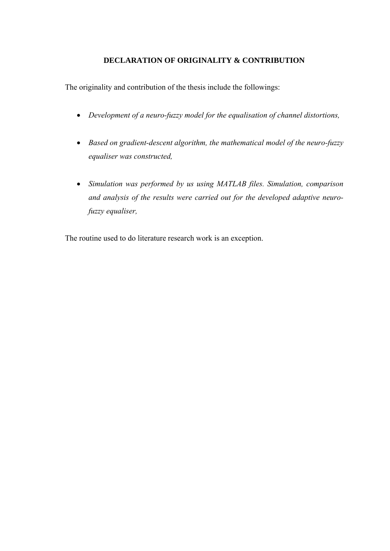#### **DECLARATION OF ORIGINALITY & CONTRIBUTION**

The originality and contribution of the thesis include the followings:

- *Development of a neuro-fuzzy model for the equalisation of channel distortions,*
- *Based on gradient-descent algorithm, the mathematical model of the neuro-fuzzy equaliser was constructed,*
- *Simulation was performed by us using MATLAB files. Simulation, comparison and analysis of the results were carried out for the developed adaptive neurofuzzy equaliser,*

The routine used to do literature research work is an exception.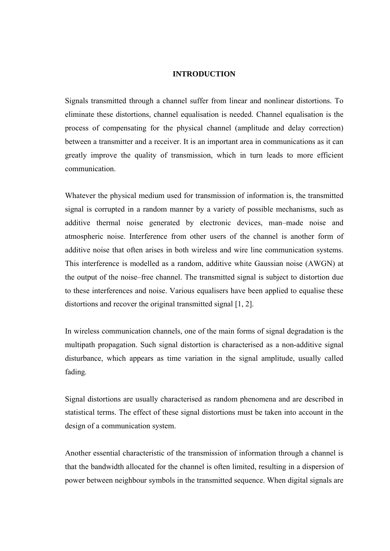#### **INTRODUCTION**

Signals transmitted through a channel suffer from linear and nonlinear distortions. To eliminate these distortions, channel equalisation is needed. Channel equalisation is the process of compensating for the physical channel (amplitude and delay correction) between a transmitter and a receiver. It is an important area in communications as it can greatly improve the quality of transmission, which in turn leads to more efficient communication.

Whatever the physical medium used for transmission of information is, the transmitted signal is corrupted in a random manner by a variety of possible mechanisms, such as additive thermal noise generated by electronic devices, man–made noise and atmospheric noise. Interference from other users of the channel is another form of additive noise that often arises in both wireless and wire line communication systems. This interference is modelled as a random, additive white Gaussian noise (AWGN) at the output of the noise–free channel. The transmitted signal is subject to distortion due to these interferences and noise. Various equalisers have been applied to equalise these distortions and recover the original transmitted signal [1, 2].

In wireless communication channels, one of the main forms of signal degradation is the multipath propagation. Such signal distortion is characterised as a non-additive signal disturbance, which appears as time variation in the signal amplitude, usually called fading*.*

Signal distortions are usually characterised as random phenomena and are described in statistical terms. The effect of these signal distortions must be taken into account in the design of a communication system.

Another essential characteristic of the transmission of information through a channel is that the bandwidth allocated for the channel is often limited, resulting in a dispersion of power between neighbour symbols in the transmitted sequence. When digital signals are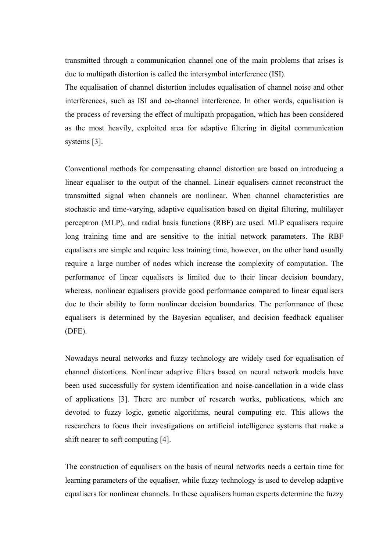transmitted through a communication channel one of the main problems that arises is due to multipath distortion is called the intersymbol interference (ISI).

The equalisation of channel distortion includes equalisation of channel noise and other interferences, such as ISI and co-channel interference. In other words, equalisation is the process of reversing the effect of multipath propagation, which has been considered as the most heavily, exploited area for adaptive filtering in digital communication systems [3].

Conventional methods for compensating channel distortion are based on introducing a linear equaliser to the output of the channel. Linear equalisers cannot reconstruct the transmitted signal when channels are nonlinear. When channel characteristics are stochastic and time-varying, adaptive equalisation based on digital filtering, multilayer perceptron (MLP), and radial basis functions (RBF) are used. MLP equalisers require long training time and are sensitive to the initial network parameters. The RBF equalisers are simple and require less training time, however, on the other hand usually require a large number of nodes which increase the complexity of computation. The performance of linear equalisers is limited due to their linear decision boundary, whereas, nonlinear equalisers provide good performance compared to linear equalisers due to their ability to form nonlinear decision boundaries. The performance of these equalisers is determined by the Bayesian equaliser, and decision feedback equaliser (DFE).

Nowadays neural networks and fuzzy technology are widely used for equalisation of channel distortions. Nonlinear adaptive filters based on neural network models have been used successfully for system identification and noise-cancellation in a wide class of applications [3]. There are number of research works, publications, which are devoted to fuzzy logic, genetic algorithms, neural computing etc. This allows the researchers to focus their investigations on artificial intelligence systems that make a shift nearer to soft computing [4].

The construction of equalisers on the basis of neural networks needs a certain time for learning parameters of the equaliser, while fuzzy technology is used to develop adaptive equalisers for nonlinear channels. In these equalisers human experts determine the fuzzy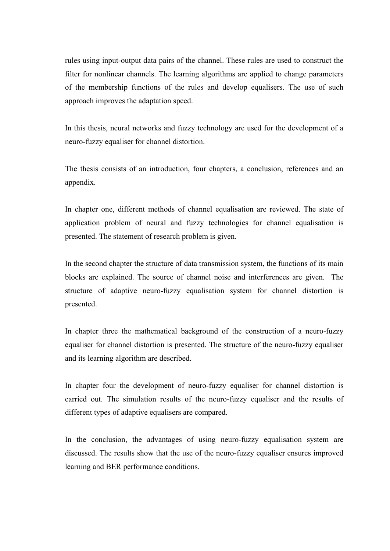rules using input-output data pairs of the channel. These rules are used to construct the filter for nonlinear channels. The learning algorithms are applied to change parameters of the membership functions of the rules and develop equalisers. The use of such approach improves the adaptation speed.

In this thesis, neural networks and fuzzy technology are used for the development of a neuro-fuzzy equaliser for channel distortion.

The thesis consists of an introduction, four chapters, a conclusion, references and an appendix.

In chapter one, different methods of channel equalisation are reviewed. The state of application problem of neural and fuzzy technologies for channel equalisation is presented. The statement of research problem is given.

In the second chapter the structure of data transmission system, the functions of its main blocks are explained. The source of channel noise and interferences are given. The structure of adaptive neuro-fuzzy equalisation system for channel distortion is presented.

In chapter three the mathematical background of the construction of a neuro-fuzzy equaliser for channel distortion is presented. The structure of the neuro-fuzzy equaliser and its learning algorithm are described.

In chapter four the development of neuro-fuzzy equaliser for channel distortion is carried out. The simulation results of the neuro-fuzzy equaliser and the results of different types of adaptive equalisers are compared.

In the conclusion, the advantages of using neuro-fuzzy equalisation system are discussed. The results show that the use of the neuro-fuzzy equaliser ensures improved learning and BER performance conditions.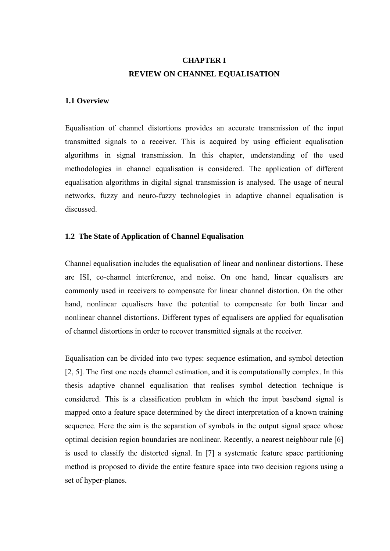## **CHAPTER I REVIEW ON CHANNEL EQUALISATION**

#### **1.1 Overview**

Equalisation of channel distortions provides an accurate transmission of the input transmitted signals to a receiver. This is acquired by using efficient equalisation algorithms in signal transmission. In this chapter, understanding of the used methodologies in channel equalisation is considered. The application of different equalisation algorithms in digital signal transmission is analysed. The usage of neural networks, fuzzy and neuro-fuzzy technologies in adaptive channel equalisation is discussed.

#### **1.2 The State of Application of Channel Equalisation**

Channel equalisation includes the equalisation of linear and nonlinear distortions. These are ISI, co-channel interference, and noise. On one hand, linear equalisers are commonly used in receivers to compensate for linear channel distortion. On the other hand, nonlinear equalisers have the potential to compensate for both linear and nonlinear channel distortions. Different types of equalisers are applied for equalisation of channel distortions in order to recover transmitted signals at the receiver.

Equalisation can be divided into two types: sequence estimation, and symbol detection [2, 5]. The first one needs channel estimation, and it is computationally complex. In this thesis adaptive channel equalisation that realises symbol detection technique is considered. This is a classification problem in which the input baseband signal is mapped onto a feature space determined by the direct interpretation of a known training sequence. Here the aim is the separation of symbols in the output signal space whose optimal decision region boundaries are nonlinear. Recently, a nearest neighbour rule [6] is used to classify the distorted signal. In [7] a systematic feature space partitioning method is proposed to divide the entire feature space into two decision regions using a set of hyper-planes.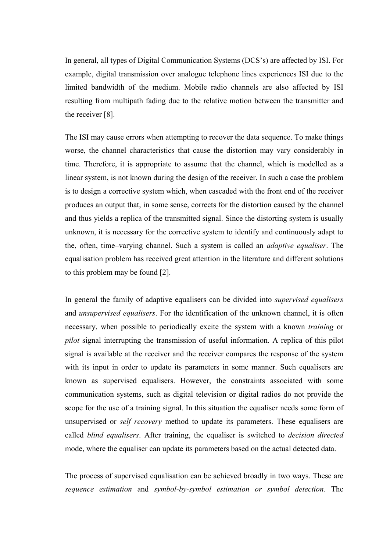In general, all types of Digital Communication Systems (DCS's) are affected by ISI. For example, digital transmission over analogue telephone lines experiences ISI due to the limited bandwidth of the medium. Mobile radio channels are also affected by ISI resulting from multipath fading due to the relative motion between the transmitter and the receiver [8].

The ISI may cause errors when attempting to recover the data sequence. To make things worse, the channel characteristics that cause the distortion may vary considerably in time. Therefore, it is appropriate to assume that the channel, which is modelled as a linear system, is not known during the design of the receiver. In such a case the problem is to design a corrective system which, when cascaded with the front end of the receiver produces an output that, in some sense, corrects for the distortion caused by the channel and thus yields a replica of the transmitted signal. Since the distorting system is usually unknown, it is necessary for the corrective system to identify and continuously adapt to the, often, time–varying channel. Such a system is called an *adaptive equaliser*. The equalisation problem has received great attention in the literature and different solutions to this problem may be found [2].

In general the family of adaptive equalisers can be divided into *supervised equalisers*  and *unsupervised equalisers*. For the identification of the unknown channel, it is often necessary, when possible to periodically excite the system with a known *training* or *pilot* signal interrupting the transmission of useful information. A replica of this pilot signal is available at the receiver and the receiver compares the response of the system with its input in order to update its parameters in some manner. Such equalisers are known as supervised equalisers. However, the constraints associated with some communication systems, such as digital television or digital radios do not provide the scope for the use of a training signal. In this situation the equaliser needs some form of unsupervised or *self recovery* method to update its parameters. These equalisers are called *blind equalisers*. After training, the equaliser is switched to *decision directed*  mode, where the equaliser can update its parameters based on the actual detected data.

The process of supervised equalisation can be achieved broadly in two ways. These are *sequence estimation* and *symbol-by-symbol estimation or symbol detection*. The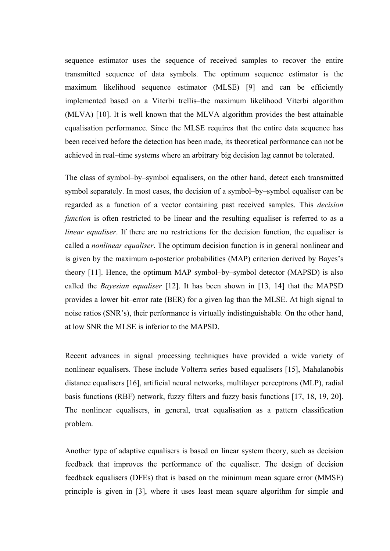sequence estimator uses the sequence of received samples to recover the entire transmitted sequence of data symbols. The optimum sequence estimator is the maximum likelihood sequence estimator (MLSE) [9] and can be efficiently implemented based on a Viterbi trellis–the maximum likelihood Viterbi algorithm (MLVA) [10]. It is well known that the MLVA algorithm provides the best attainable equalisation performance. Since the MLSE requires that the entire data sequence has been received before the detection has been made, its theoretical performance can not be achieved in real–time systems where an arbitrary big decision lag cannot be tolerated.

The class of symbol–by–symbol equalisers, on the other hand, detect each transmitted symbol separately. In most cases, the decision of a symbol–by–symbol equaliser can be regarded as a function of a vector containing past received samples. This *decision function* is often restricted to be linear and the resulting equaliser is referred to as a *linear equaliser*. If there are no restrictions for the decision function, the equaliser is called a *nonlinear equaliser*. The optimum decision function is in general nonlinear and is given by the maximum a-posterior probabilities (MAP) criterion derived by Bayes's theory [11]. Hence, the optimum MAP symbol–by–symbol detector (MAPSD) is also called the *Bayesian equaliser* [12]. It has been shown in [13, 14] that the MAPSD provides a lower bit–error rate (BER) for a given lag than the MLSE. At high signal to noise ratios (SNR's), their performance is virtually indistinguishable. On the other hand, at low SNR the MLSE is inferior to the MAPSD.

Recent advances in signal processing techniques have provided a wide variety of nonlinear equalisers. These include Volterra series based equalisers [15], Mahalanobis distance equalisers [16], artificial neural networks, multilayer perceptrons (MLP), radial basis functions (RBF) network, fuzzy filters and fuzzy basis functions [17, 18, 19, 20]. The nonlinear equalisers, in general, treat equalisation as a pattern classification problem.

Another type of adaptive equalisers is based on linear system theory, such as decision feedback that improves the performance of the equaliser. The design of decision feedback equalisers (DFEs) that is based on the minimum mean square error (MMSE) principle is given in [3], where it uses least mean square algorithm for simple and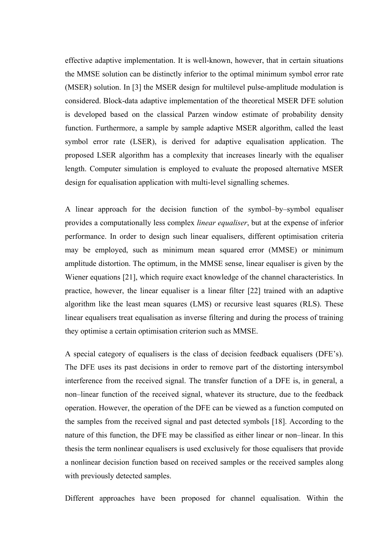effective adaptive implementation. It is well-known, however, that in certain situations the MMSE solution can be distinctly inferior to the optimal minimum symbol error rate (MSER) solution. In [3] the MSER design for multilevel pulse-amplitude modulation is considered. Block-data adaptive implementation of the theoretical MSER DFE solution is developed based on the classical Parzen window estimate of probability density function. Furthermore, a sample by sample adaptive MSER algorithm, called the least symbol error rate (LSER), is derived for adaptive equalisation application. The proposed LSER algorithm has a complexity that increases linearly with the equaliser length. Computer simulation is employed to evaluate the proposed alternative MSER design for equalisation application with multi-level signalling schemes.

A linear approach for the decision function of the symbol–by–symbol equaliser provides a computationally less complex *linear equaliser*, but at the expense of inferior performance. In order to design such linear equalisers, different optimisation criteria may be employed, such as minimum mean squared error (MMSE) or minimum amplitude distortion. The optimum, in the MMSE sense, linear equaliser is given by the Wiener equations [21], which require exact knowledge of the channel characteristics. In practice, however, the linear equaliser is a linear filter [22] trained with an adaptive algorithm like the least mean squares (LMS) or recursive least squares (RLS). These linear equalisers treat equalisation as inverse filtering and during the process of training they optimise a certain optimisation criterion such as MMSE.

A special category of equalisers is the class of decision feedback equalisers (DFE's). The DFE uses its past decisions in order to remove part of the distorting intersymbol interference from the received signal. The transfer function of a DFE is, in general, a non–linear function of the received signal, whatever its structure, due to the feedback operation. However, the operation of the DFE can be viewed as a function computed on the samples from the received signal and past detected symbols [18]. According to the nature of this function, the DFE may be classified as either linear or non–linear. In this thesis the term nonlinear equalisers is used exclusively for those equalisers that provide a nonlinear decision function based on received samples or the received samples along with previously detected samples.

Different approaches have been proposed for channel equalisation. Within the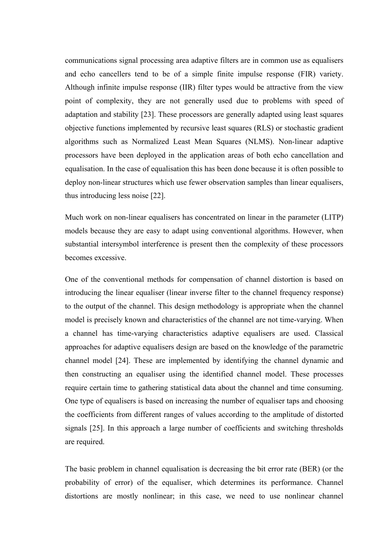communications signal processing area adaptive filters are in common use as equalisers and echo cancellers tend to be of a simple finite impulse response (FIR) variety. Although infinite impulse response (IIR) filter types would be attractive from the view point of complexity, they are not generally used due to problems with speed of adaptation and stability [23]. These processors are generally adapted using least squares objective functions implemented by recursive least squares (RLS) or stochastic gradient algorithms such as Normalized Least Mean Squares (NLMS). Non-linear adaptive processors have been deployed in the application areas of both echo cancellation and equalisation. In the case of equalisation this has been done because it is often possible to deploy non-linear structures which use fewer observation samples than linear equalisers, thus introducing less noise [22].

Much work on non-linear equalisers has concentrated on linear in the parameter (LITP) models because they are easy to adapt using conventional algorithms. However, when substantial intersymbol interference is present then the complexity of these processors becomes excessive.

One of the conventional methods for compensation of channel distortion is based on introducing the linear equaliser (linear inverse filter to the channel frequency response) to the output of the channel. This design methodology is appropriate when the channel model is precisely known and characteristics of the channel are not time-varying. When a channel has time-varying characteristics adaptive equalisers are used. Classical approaches for adaptive equalisers design are based on the knowledge of the parametric channel model [24]. These are implemented by identifying the channel dynamic and then constructing an equaliser using the identified channel model. These processes require certain time to gathering statistical data about the channel and time consuming. One type of equalisers is based on increasing the number of equaliser taps and choosing the coefficients from different ranges of values according to the amplitude of distorted signals [25]. In this approach a large number of coefficients and switching thresholds are required.

The basic problem in channel equalisation is decreasing the bit error rate (BER) (or the probability of error) of the equaliser, which determines its performance. Channel distortions are mostly nonlinear; in this case, we need to use nonlinear channel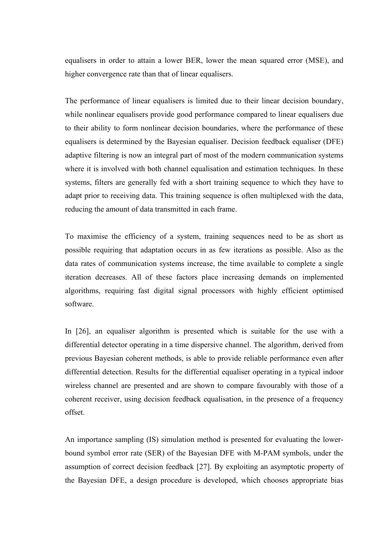equalisers in order to attain a lower BER, lower the mean squared error (MSE), and higher convergence rate than that of linear equalisers.

The performance of linear equalisers is limited due to their linear decision boundary, while nonlinear equalisers provide good performance compared to linear equalisers due to their ability to form nonlinear decision boundaries, where the performance of these equalisers is determined by the Bayesian equaliser. Decision feedback equaliser (DFE) adaptive filtering is now an integral part of most of the modern communication systems where it is involved with both channel equalisation and estimation techniques. In these systems, filters are generally fed with a short training sequence to which they have to adapt prior to receiving data. This training sequence is often multiplexed with the data, reducing the amount of data transmitted in each frame.

To maximise the efficiency of a system, training sequences need to be as short as possible requiring that adaptation occurs in as few iterations as possible. Also as the data rates of communication systems increase, the time available to complete a single iteration decreases. All of these factors place increasing demands on implemented algorithms, requiring fast digital signal processors with highly efficient optimised software.

In [26], an equaliser algorithm is presented which is suitable for the use with a differential detector operating in a time dispersive channel. The algorithm, derived from previous Bayesian coherent methods, is able to provide reliable performance even after differential detection. Results for the differential equaliser operating in a typical indoor wireless channel are presented and are shown to compare favourably with those of a coherent receiver, using decision feedback equalisation, in the presence of a frequency offset.

An importance sampling (IS) simulation method is presented for evaluating the lowerbound symbol error rate (SER) of the Bayesian DFE with M-PAM symbols, under the assumption of correct decision feedback [27]. By exploiting an asymptotic property of the Bayesian DFE, a design procedure is developed, which chooses appropriate bias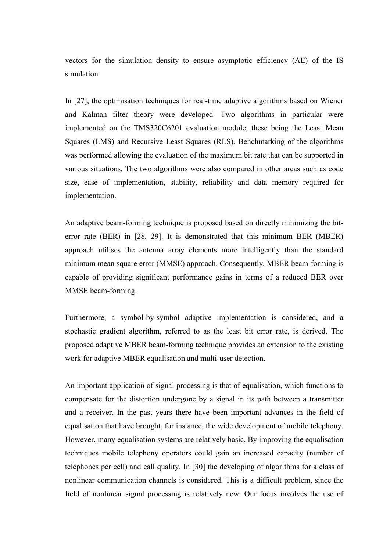vectors for the simulation density to ensure asymptotic efficiency (AE) of the IS simulation

In [27], the optimisation techniques for real-time adaptive algorithms based on Wiener and Kalman filter theory were developed. Two algorithms in particular were implemented on the TMS320C6201 evaluation module, these being the Least Mean Squares (LMS) and Recursive Least Squares (RLS). Benchmarking of the algorithms was performed allowing the evaluation of the maximum bit rate that can be supported in various situations. The two algorithms were also compared in other areas such as code size, ease of implementation, stability, reliability and data memory required for implementation.

An adaptive beam-forming technique is proposed based on directly minimizing the biterror rate (BER) in [28, 29]. It is demonstrated that this minimum BER (MBER) approach utilises the antenna array elements more intelligently than the standard minimum mean square error (MMSE) approach. Consequently, MBER beam-forming is capable of providing significant performance gains in terms of a reduced BER over MMSE beam-forming.

Furthermore, a symbol-by-symbol adaptive implementation is considered, and a stochastic gradient algorithm, referred to as the least bit error rate, is derived. The proposed adaptive MBER beam-forming technique provides an extension to the existing work for adaptive MBER equalisation and multi-user detection.

An important application of signal processing is that of equalisation, which functions to compensate for the distortion undergone by a signal in its path between a transmitter and a receiver. In the past years there have been important advances in the field of equalisation that have brought, for instance, the wide development of mobile telephony. However, many equalisation systems are relatively basic. By improving the equalisation techniques mobile telephony operators could gain an increased capacity (number of telephones per cell) and call quality. In [30] the developing of algorithms for a class of nonlinear communication channels is considered. This is a difficult problem, since the field of nonlinear signal processing is relatively new. Our focus involves the use of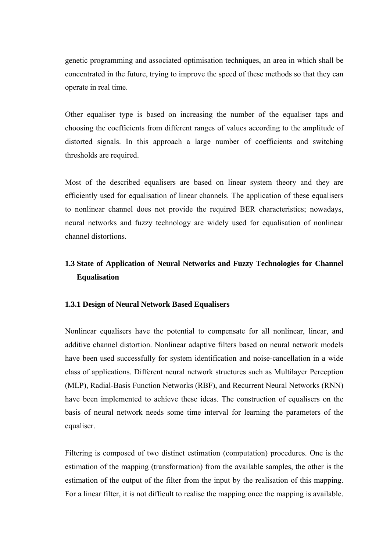genetic programming and associated optimisation techniques, an area in which shall be concentrated in the future, trying to improve the speed of these methods so that they can operate in real time.

Other equaliser type is based on increasing the number of the equaliser taps and choosing the coefficients from different ranges of values according to the amplitude of distorted signals. In this approach a large number of coefficients and switching thresholds are required.

Most of the described equalisers are based on linear system theory and they are efficiently used for equalisation of linear channels. The application of these equalisers to nonlinear channel does not provide the required BER characteristics; nowadays, neural networks and fuzzy technology are widely used for equalisation of nonlinear channel distortions.

## **1.3 State of Application of Neural Networks and Fuzzy Technologies for Channel Equalisation**

#### **1.3.1 Design of Neural Network Based Equalisers**

Nonlinear equalisers have the potential to compensate for all nonlinear, linear, and additive channel distortion. Nonlinear adaptive filters based on neural network models have been used successfully for system identification and noise-cancellation in a wide class of applications. Different neural network structures such as Multilayer Perception (MLP), Radial-Basis Function Networks (RBF), and Recurrent Neural Networks (RNN) have been implemented to achieve these ideas. The construction of equalisers on the basis of neural network needs some time interval for learning the parameters of the equaliser.

Filtering is composed of two distinct estimation (computation) procedures. One is the estimation of the mapping (transformation) from the available samples, the other is the estimation of the output of the filter from the input by the realisation of this mapping. For a linear filter, it is not difficult to realise the mapping once the mapping is available.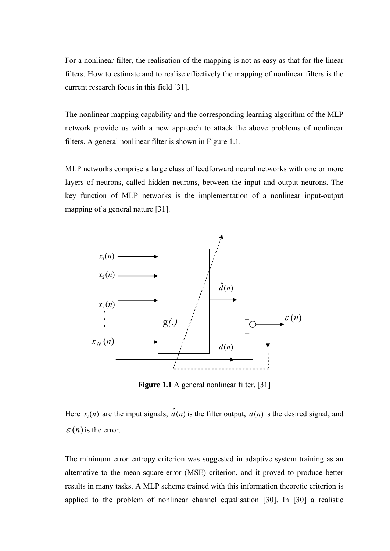For a nonlinear filter, the realisation of the mapping is not as easy as that for the linear filters. How to estimate and to realise effectively the mapping of nonlinear filters is the current research focus in this field [31].

The nonlinear mapping capability and the corresponding learning algorithm of the MLP network provide us with a new approach to attack the above problems of nonlinear filters. A general nonlinear filter is shown in Figure 1.1.

MLP networks comprise a large class of feedforward neural networks with one or more layers of neurons, called hidden neurons, between the input and output neurons. The key function of MLP networks is the implementation of a nonlinear input-output mapping of a general nature [31].



**Figure 1.1** A general nonlinear filter. [31]

Here  $x_i(n)$  are the input signals,  $\hat{d}(n)$  is the filter output,  $d(n)$  is the desired signal, and  $\varepsilon$  (*n*) is the error.

The minimum error entropy criterion was suggested in adaptive system training as an alternative to the mean-square-error (MSE) criterion, and it proved to produce better results in many tasks. A MLP scheme trained with this information theoretic criterion is applied to the problem of nonlinear channel equalisation [30]. In [30] a realistic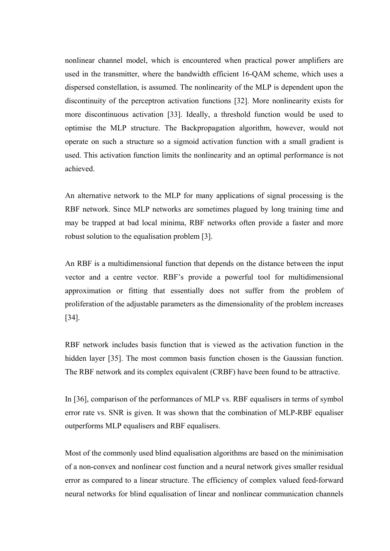nonlinear channel model, which is encountered when practical power amplifiers are used in the transmitter, where the bandwidth efficient 16-QAM scheme, which uses a dispersed constellation, is assumed. The nonlinearity of the MLP is dependent upon the discontinuity of the perceptron activation functions [32]. More nonlinearity exists for more discontinuous activation [33]. Ideally, a threshold function would be used to optimise the MLP structure. The Backpropagation algorithm, however, would not operate on such a structure so a sigmoid activation function with a small gradient is used. This activation function limits the nonlinearity and an optimal performance is not achieved.

An alternative network to the MLP for many applications of signal processing is the RBF network. Since MLP networks are sometimes plagued by long training time and may be trapped at bad local minima, RBF networks often provide a faster and more robust solution to the equalisation problem [3].

An RBF is a multidimensional function that depends on the distance between the input vector and a centre vector. RBF's provide a powerful tool for multidimensional approximation or fitting that essentially does not suffer from the problem of proliferation of the adjustable parameters as the dimensionality of the problem increases [34].

RBF network includes basis function that is viewed as the activation function in the hidden layer [35]. The most common basis function chosen is the Gaussian function. The RBF network and its complex equivalent (CRBF) have been found to be attractive.

In [36], comparison of the performances of MLP vs. RBF equalisers in terms of symbol error rate vs. SNR is given. It was shown that the combination of MLP-RBF equaliser outperforms MLP equalisers and RBF equalisers.

Most of the commonly used blind equalisation algorithms are based on the minimisation of a non-convex and nonlinear cost function and a neural network gives smaller residual error as compared to a linear structure. The efficiency of complex valued feed-forward neural networks for blind equalisation of linear and nonlinear communication channels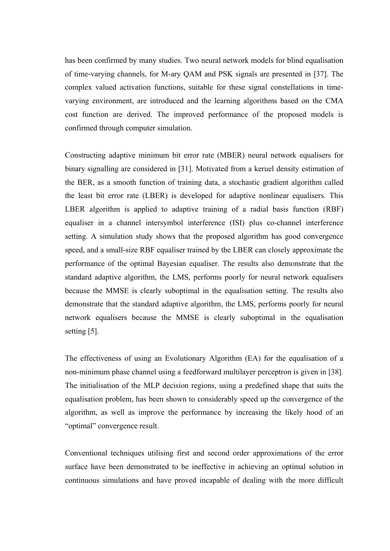has been confirmed by many studies. Two neural network models for blind equalisation of time-varying channels, for M-ary QAM and PSK signals are presented in [37]. The complex valued activation functions, suitable for these signal constellations in timevarying environment, are introduced and the learning algorithms based on the CMA cost function are derived. The improved performance of the proposed models is confirmed through computer simulation.

Constructing adaptive minimum bit error rate (MBER) neural network equalisers for binary signalling are considered in [31]. Motivated from a keruel density estimation of the BER, as a smooth function of training data, a stochastic gradient algorithm called the least bit error rate (LBER) is developed for adaptive nonlinear equalisers. This LBER algorithm is applied to adaptive training of a radial basis function (RBF) equaliser in a channel intersymbol interference (ISI) plus co-channel interference setting. A simulation study shows that the proposed algorithm has good convergence speed, and a small-size RBF equaliser trained by the LBER can closely approximate the performance of the optimal Bayesian equaliser. The results also demonstrate that the standard adaptive algorithm, the LMS, performs poorly for neural network equalisers because the MMSE is clearly suboptimal in the equalisation setting. The results also demonstrate that the standard adaptive algorithm, the LMS, performs poorly for neural network equalisers because the MMSE is clearly suboptimal in the equalisation setting [5].

The effectiveness of using an Evolutionary Algorithm (EA) for the equalisation of a non-minimum phase channel using a feedforward multilayer perceptron is given in [38]. The initialisation of the MLP decision regions, using a predefined shape that suits the equalisation problem, has been shown to considerably speed up the convergence of the algorithm, as well as improve the performance by increasing the likely hood of an "optimal" convergence result.

Conventional techniques utilising first and second order approximations of the error surface have been demonstrated to be ineffective in achieving an optimal solution in continuous simulations and have proved incapable of dealing with the more difficult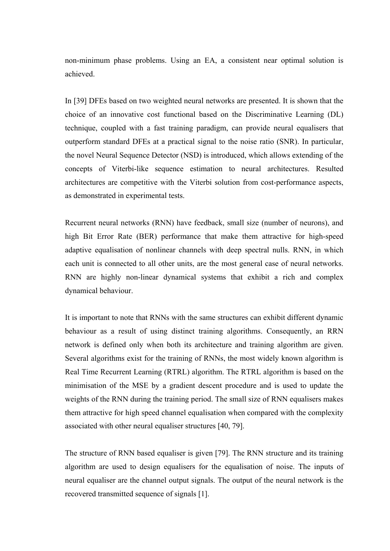non-minimum phase problems. Using an EA, a consistent near optimal solution is achieved.

In [39] DFEs based on two weighted neural networks are presented. It is shown that the choice of an innovative cost functional based on the Discriminative Learning (DL) technique, coupled with a fast training paradigm, can provide neural equalisers that outperform standard DFEs at a practical signal to the noise ratio (SNR). In particular, the novel Neural Sequence Detector (NSD) is introduced, which allows extending of the concepts of Viterbi-like sequence estimation to neural architectures. Resulted architectures are competitive with the Viterbi solution from cost-performance aspects, as demonstrated in experimental tests.

Recurrent neural networks (RNN) have feedback, small size (number of neurons), and high Bit Error Rate (BER) performance that make them attractive for high-speed adaptive equalisation of nonlinear channels with deep spectral nulls. RNN, in which each unit is connected to all other units, are the most general case of neural networks. RNN are highly non-linear dynamical systems that exhibit a rich and complex dynamical behaviour.

It is important to note that RNNs with the same structures can exhibit different dynamic behaviour as a result of using distinct training algorithms. Consequently, an RRN network is defined only when both its architecture and training algorithm are given. Several algorithms exist for the training of RNNs, the most widely known algorithm is Real Time Recurrent Learning (RTRL) algorithm. The RTRL algorithm is based on the minimisation of the MSE by a gradient descent procedure and is used to update the weights of the RNN during the training period. The small size of RNN equalisers makes them attractive for high speed channel equalisation when compared with the complexity associated with other neural equaliser structures [40, 79].

The structure of RNN based equaliser is given [79]. The RNN structure and its training algorithm are used to design equalisers for the equalisation of noise. The inputs of neural equaliser are the channel output signals. The output of the neural network is the recovered transmitted sequence of signals [1].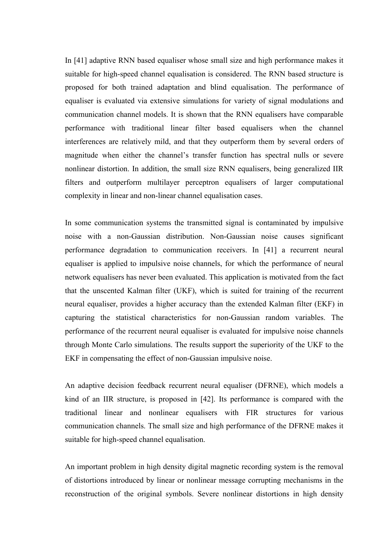In [41] adaptive RNN based equaliser whose small size and high performance makes it suitable for high-speed channel equalisation is considered. The RNN based structure is proposed for both trained adaptation and blind equalisation. The performance of equaliser is evaluated via extensive simulations for variety of signal modulations and communication channel models. It is shown that the RNN equalisers have comparable performance with traditional linear filter based equalisers when the channel interferences are relatively mild, and that they outperform them by several orders of magnitude when either the channel's transfer function has spectral nulls or severe nonlinear distortion. In addition, the small size RNN equalisers, being generalized IIR filters and outperform multilayer perceptron equalisers of larger computational complexity in linear and non-linear channel equalisation cases.

In some communication systems the transmitted signal is contaminated by impulsive noise with a non-Gaussian distribution. Non-Gaussian noise causes significant performance degradation to communication receivers. In [41] a recurrent neural equaliser is applied to impulsive noise channels, for which the performance of neural network equalisers has never been evaluated. This application is motivated from the fact that the unscented Kalman filter (UKF), which is suited for training of the recurrent neural equaliser, provides a higher accuracy than the extended Kalman filter (EKF) in capturing the statistical characteristics for non-Gaussian random variables. The performance of the recurrent neural equaliser is evaluated for impulsive noise channels through Monte Carlo simulations. The results support the superiority of the UKF to the EKF in compensating the effect of non-Gaussian impulsive noise.

An adaptive decision feedback recurrent neural equaliser (DFRNE), which models a kind of an IIR structure, is proposed in [42]. Its performance is compared with the traditional linear and nonlinear equalisers with FIR structures for various communication channels. The small size and high performance of the DFRNE makes it suitable for high-speed channel equalisation.

An important problem in high density digital magnetic recording system is the removal of distortions introduced by linear or nonlinear message corrupting mechanisms in the reconstruction of the original symbols. Severe nonlinear distortions in high density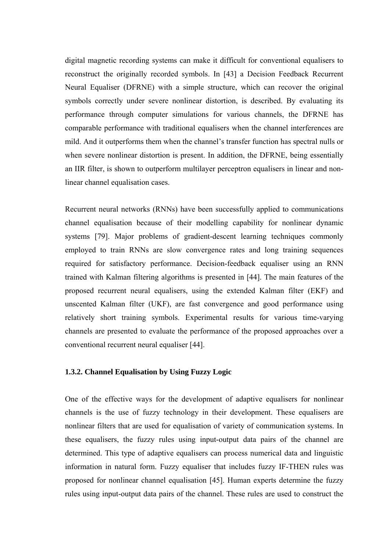digital magnetic recording systems can make it difficult for conventional equalisers to reconstruct the originally recorded symbols. In [43] a Decision Feedback Recurrent Neural Equaliser (DFRNE) with a simple structure, which can recover the original symbols correctly under severe nonlinear distortion, is described. By evaluating its performance through computer simulations for various channels, the DFRNE has comparable performance with traditional equalisers when the channel interferences are mild. And it outperforms them when the channel's transfer function has spectral nulls or when severe nonlinear distortion is present. In addition, the DFRNE, being essentially an IIR filter, is shown to outperform multilayer perceptron equalisers in linear and nonlinear channel equalisation cases.

Recurrent neural networks (RNNs) have been successfully applied to communications channel equalisation because of their modelling capability for nonlinear dynamic systems [79]. Major problems of gradient-descent learning techniques commonly employed to train RNNs are slow convergence rates and long training sequences required for satisfactory performance. Decision-feedback equaliser using an RNN trained with Kalman filtering algorithms is presented in [44]. The main features of the proposed recurrent neural equalisers, using the extended Kalman filter (EKF) and unscented Kalman filter (UKF), are fast convergence and good performance using relatively short training symbols. Experimental results for various time-varying channels are presented to evaluate the performance of the proposed approaches over a conventional recurrent neural equaliser [44].

#### **1.3.2. Channel Equalisation by Using Fuzzy Logic**

One of the effective ways for the development of adaptive equalisers for nonlinear channels is the use of fuzzy technology in their development. These equalisers are nonlinear filters that are used for equalisation of variety of communication systems. In these equalisers, the fuzzy rules using input-output data pairs of the channel are determined. This type of adaptive equalisers can process numerical data and linguistic information in natural form. Fuzzy equaliser that includes fuzzy IF-THEN rules was proposed for nonlinear channel equalisation [45]. Human experts determine the fuzzy rules using input-output data pairs of the channel. These rules are used to construct the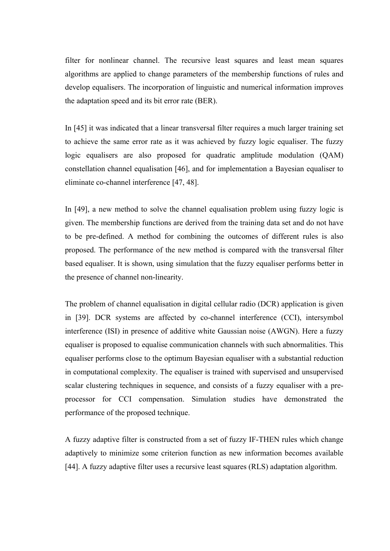filter for nonlinear channel. The recursive least squares and least mean squares algorithms are applied to change parameters of the membership functions of rules and develop equalisers. The incorporation of linguistic and numerical information improves the adaptation speed and its bit error rate (BER).

In [45] it was indicated that a linear transversal filter requires a much larger training set to achieve the same error rate as it was achieved by fuzzy logic equaliser. The fuzzy logic equalisers are also proposed for quadratic amplitude modulation (QAM) constellation channel equalisation [46], and for implementation a Bayesian equaliser to eliminate co-channel interference [47, 48].

In [49], a new method to solve the channel equalisation problem using fuzzy logic is given. The membership functions are derived from the training data set and do not have to be pre-defined. A method for combining the outcomes of different rules is also proposed. The performance of the new method is compared with the transversal filter based equaliser. It is shown, using simulation that the fuzzy equaliser performs better in the presence of channel non-linearity.

The problem of channel equalisation in digital cellular radio (DCR) application is given in [39]. DCR systems are affected by co-channel interference (CCI), intersymbol interference (ISI) in presence of additive white Gaussian noise (AWGN). Here a fuzzy equaliser is proposed to equalise communication channels with such abnormalities. This equaliser performs close to the optimum Bayesian equaliser with a substantial reduction in computational complexity. The equaliser is trained with supervised and unsupervised scalar clustering techniques in sequence, and consists of a fuzzy equaliser with a preprocessor for CCI compensation. Simulation studies have demonstrated the performance of the proposed technique.

A fuzzy adaptive filter is constructed from a set of fuzzy IF-THEN rules which change adaptively to minimize some criterion function as new information becomes available [44]. A fuzzy adaptive filter uses a recursive least squares (RLS) adaptation algorithm.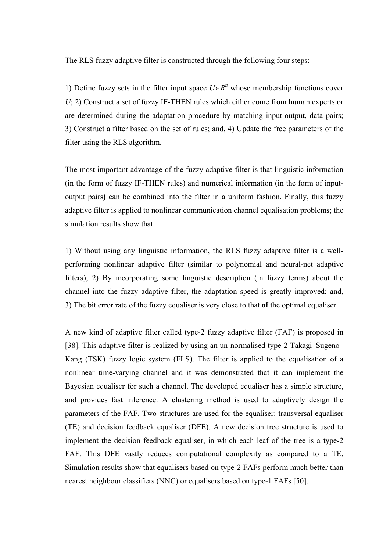The RLS fuzzy adaptive filter is constructed through the following four steps:

1) Define fuzzy sets in the filter input space  $U \in R^n$  whose membership functions cover *U*; 2) Construct a set of fuzzy IF-THEN rules which either come from human experts or are determined during the adaptation procedure by matching input-output, data pairs; 3) Construct a filter based on the set of rules; and, 4) Update the free parameters of the filter using the RLS algorithm.

The most important advantage of the fuzzy adaptive filter is that linguistic information (in the form of fuzzy IF-THEN rules) and numerical information (in the form of inputoutput pairs**)** can be combined into the filter in a uniform fashion. Finally, this fuzzy adaptive filter is applied to nonlinear communication channel equalisation problems; the simulation results show that:

1) Without using any linguistic information, the RLS fuzzy adaptive filter is a wellperforming nonlinear adaptive filter (similar to polynomial and neural-net adaptive filters); 2) By incorporating some linguistic description (in fuzzy terms) about the channel into the fuzzy adaptive filter, the adaptation speed is greatly improved; and, 3) The bit error rate of the fuzzy equaliser is very close to that **of** the optimal equaliser.

A new kind of adaptive filter called type-2 fuzzy adaptive filter (FAF) is proposed in [38]. This adaptive filter is realized by using an un-normalised type-2 Takagi–Sugeno– Kang (TSK) fuzzy logic system (FLS). The filter is applied to the equalisation of a nonlinear time-varying channel and it was demonstrated that it can implement the Bayesian equaliser for such a channel. The developed equaliser has a simple structure, and provides fast inference. A clustering method is used to adaptively design the parameters of the FAF. Two structures are used for the equaliser: transversal equaliser (TE) and decision feedback equaliser (DFE). A new decision tree structure is used to implement the decision feedback equaliser, in which each leaf of the tree is a type-2 FAF. This DFE vastly reduces computational complexity as compared to a TE. Simulation results show that equalisers based on type-2 FAFs perform much better than nearest neighbour classifiers (NNC) or equalisers based on type-1 FAFs [50].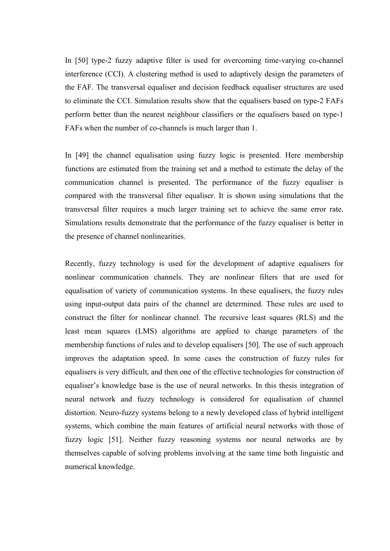In [50] type-2 fuzzy adaptive filter is used for overcoming time-varying co-channel interference (CCI). A clustering method is used to adaptively design the parameters of the FAF. The transversal equaliser and decision feedback equaliser structures are used to eliminate the CCI. Simulation results show that the equalisers based on type-2 FAFs perform better than the nearest neighbour classifiers or the equalisers based on type-1 FAFs when the number of co-channels is much larger than 1.

In [49] the channel equalisation using fuzzy logic is presented. Here membership functions are estimated from the training set and a method to estimate the delay of the communication channel is presented. The performance of the fuzzy equaliser is compared with the transversal filter equaliser. It is shown using simulations that the transversal filter requires a much larger training set to achieve the same error rate. Simulations results demonstrate that the performance of the fuzzy equaliser is better in the presence of channel nonlinearities.

Recently, fuzzy technology is used for the development of adaptive equalisers for nonlinear communication channels. They are nonlinear filters that are used for equalisation of variety of communication systems. In these equalisers, the fuzzy rules using input-output data pairs of the channel are determined. These rules are used to construct the filter for nonlinear channel. The recursive least squares (RLS) and the least mean squares (LMS) algorithms are applied to change parameters of the membership functions of rules and to develop equalisers [50]. The use of such approach improves the adaptation speed. In some cases the construction of fuzzy rules for equalisers is very difficult, and then one of the effective technologies for construction of equaliser's knowledge base is the use of neural networks. In this thesis integration of neural network and fuzzy technology is considered for equalisation of channel distortion. Neuro-fuzzy systems belong to a newly developed class of hybrid intelligent systems, which combine the main features of artificial neural networks with those of fuzzy logic [51]. Neither fuzzy reasoning systems nor neural networks are by themselves capable of solving problems involving at the same time both linguistic and numerical knowledge.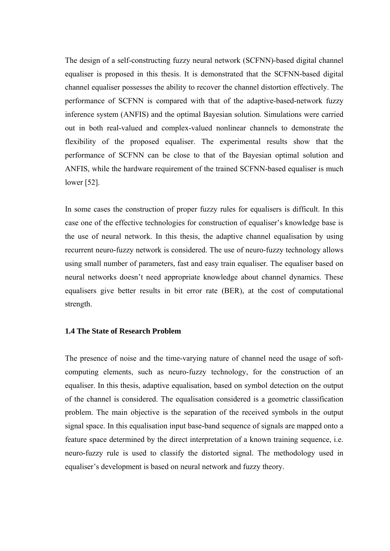The design of a self-constructing fuzzy neural network (SCFNN)-based digital channel equaliser is proposed in this thesis. It is demonstrated that the SCFNN-based digital channel equaliser possesses the ability to recover the channel distortion effectively. The performance of SCFNN is compared with that of the adaptive-based-network fuzzy inference system (ANFIS) and the optimal Bayesian solution. Simulations were carried out in both real-valued and complex-valued nonlinear channels to demonstrate the flexibility of the proposed equaliser. The experimental results show that the performance of SCFNN can be close to that of the Bayesian optimal solution and ANFIS, while the hardware requirement of the trained SCFNN-based equaliser is much lower [52].

In some cases the construction of proper fuzzy rules for equalisers is difficult. In this case one of the effective technologies for construction of equaliser's knowledge base is the use of neural network. In this thesis, the adaptive channel equalisation by using recurrent neuro-fuzzy network is considered. The use of neuro-fuzzy technology allows using small number of parameters, fast and easy train equaliser. The equaliser based on neural networks doesn't need appropriate knowledge about channel dynamics. These equalisers give better results in bit error rate (BER), at the cost of computational strength.

#### **1.4 The State of Research Problem**

The presence of noise and the time-varying nature of channel need the usage of softcomputing elements, such as neuro-fuzzy technology, for the construction of an equaliser. In this thesis, adaptive equalisation, based on symbol detection on the output of the channel is considered. The equalisation considered is a geometric classification problem. The main objective is the separation of the received symbols in the output signal space. In this equalisation input base-band sequence of signals are mapped onto a feature space determined by the direct interpretation of a known training sequence, i.e. neuro-fuzzy rule is used to classify the distorted signal. The methodology used in equaliser's development is based on neural network and fuzzy theory.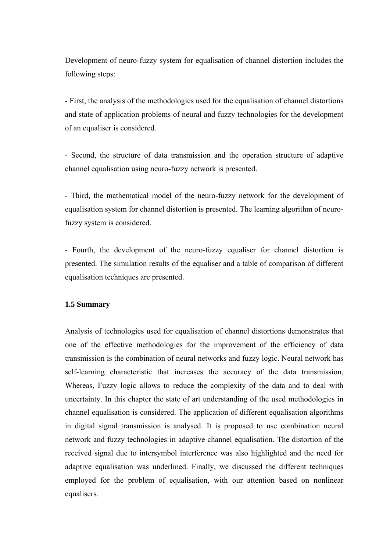Development of neuro-fuzzy system for equalisation of channel distortion includes the following steps:

- First, the analysis of the methodologies used for the equalisation of channel distortions and state of application problems of neural and fuzzy technologies for the development of an equaliser is considered.

- Second, the structure of data transmission and the operation structure of adaptive channel equalisation using neuro-fuzzy network is presented.

- Third, the mathematical model of the neuro-fuzzy network for the development of equalisation system for channel distortion is presented. The learning algorithm of neurofuzzy system is considered.

- Fourth, the development of the neuro-fuzzy equaliser for channel distortion is presented. The simulation results of the equaliser and a table of comparison of different equalisation techniques are presented.

#### **1.5 Summary**

Analysis of technologies used for equalisation of channel distortions demonstrates that one of the effective methodologies for the improvement of the efficiency of data transmission is the combination of neural networks and fuzzy logic. Neural network has self-learning characteristic that increases the accuracy of the data transmission, Whereas, Fuzzy logic allows to reduce the complexity of the data and to deal with uncertainty. In this chapter the state of art understanding of the used methodologies in channel equalisation is considered. The application of different equalisation algorithms in digital signal transmission is analysed. It is proposed to use combination neural network and fuzzy technologies in adaptive channel equalisation. The distortion of the received signal due to intersymbol interference was also highlighted and the need for adaptive equalisation was underlined. Finally, we discussed the different techniques employed for the problem of equalisation, with our attention based on nonlinear equalisers.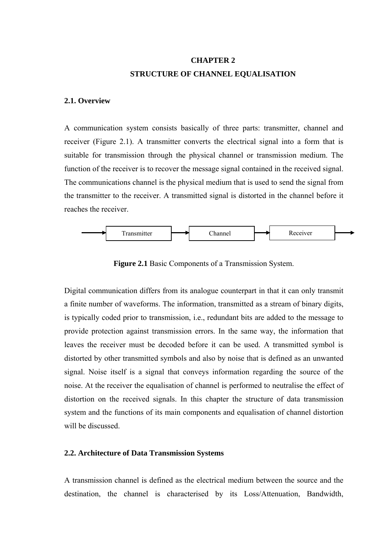## **CHAPTER 2 STRUCTURE OF CHANNEL EQUALISATION**

#### **2.1. Overview**

A communication system consists basically of three parts: transmitter, channel and receiver (Figure 2.1). A transmitter converts the electrical signal into a form that is suitable for transmission through the physical channel or transmission medium. The function of the receiver is to recover the message signal contained in the received signal. The communications channel is the physical medium that is used to send the signal from the transmitter to the receiver. A transmitted signal is distorted in the channel before it reaches the receiver.



**Figure 2.1** Basic Components of a Transmission System.

Digital communication differs from its analogue counterpart in that it can only transmit a finite number of waveforms. The information, transmitted as a stream of binary digits, is typically coded prior to transmission, i.e., redundant bits are added to the message to provide protection against transmission errors. In the same way, the information that leaves the receiver must be decoded before it can be used. A transmitted symbol is distorted by other transmitted symbols and also by noise that is defined as an unwanted signal. Noise itself is a signal that conveys information regarding the source of the noise. At the receiver the equalisation of channel is performed to neutralise the effect of distortion on the received signals. In this chapter the structure of data transmission system and the functions of its main components and equalisation of channel distortion will be discussed.

#### **2.2. Architecture of Data Transmission Systems**

A transmission channel is defined as the electrical medium between the source and the destination, the channel is characterised by its Loss/Attenuation, Bandwidth,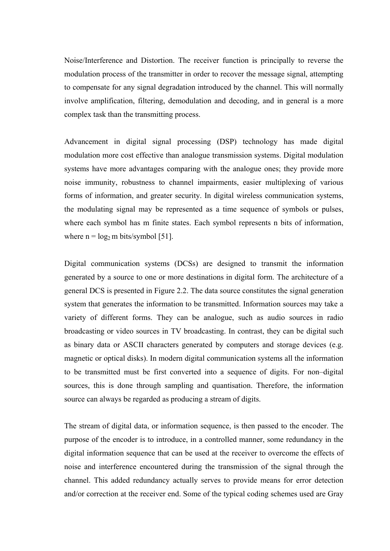Noise/Interference and Distortion. The receiver function is principally to reverse the modulation process of the transmitter in order to recover the message signal, attempting to compensate for any signal degradation introduced by the channel. This will normally involve amplification, filtering, demodulation and decoding, and in general is a more complex task than the transmitting process.

Advancement in digital signal processing (DSP) technology has made digital modulation more cost effective than analogue transmission systems. Digital modulation systems have more advantages comparing with the analogue ones; they provide more noise immunity, robustness to channel impairments, easier multiplexing of various forms of information, and greater security. In digital wireless communication systems, the modulating signal may be represented as a time sequence of symbols or pulses, where each symbol has m finite states. Each symbol represents n bits of information, where  $n = log_2 m$  bits/symbol [51].

Digital communication systems (DCSs) are designed to transmit the information generated by a source to one or more destinations in digital form. The architecture of a general DCS is presented in Figure 2.2. The data source constitutes the signal generation system that generates the information to be transmitted. Information sources may take a variety of different forms. They can be analogue, such as audio sources in radio broadcasting or video sources in TV broadcasting. In contrast, they can be digital such as binary data or ASCII characters generated by computers and storage devices (e.g. magnetic or optical disks). In modern digital communication systems all the information to be transmitted must be first converted into a sequence of digits. For non–digital sources, this is done through sampling and quantisation. Therefore, the information source can always be regarded as producing a stream of digits.

The stream of digital data, or information sequence, is then passed to the encoder. The purpose of the encoder is to introduce, in a controlled manner, some redundancy in the digital information sequence that can be used at the receiver to overcome the effects of noise and interference encountered during the transmission of the signal through the channel. This added redundancy actually serves to provide means for error detection and/or correction at the receiver end. Some of the typical coding schemes used are Gray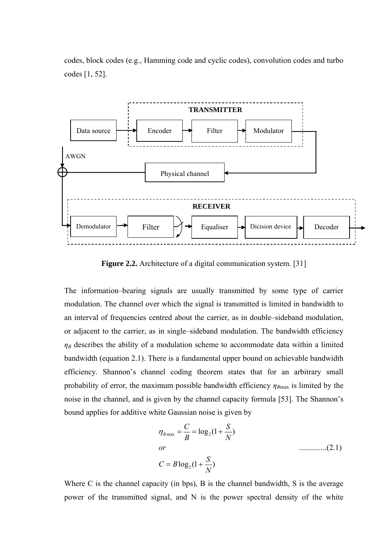codes, block codes (e.g., Hamming code and cyclic codes), convolution codes and turbo codes [1, 52].



**Figure 2.2.** Architecture of a digital communication system. [31]

The information–bearing signals are usually transmitted by some type of carrier modulation. The channel over which the signal is transmitted is limited in bandwidth to an interval of frequencies centred about the carrier, as in double–sideband modulation, or adjacent to the carrier, as in single–sideband modulation. The bandwidth efficiency  $\eta_B$  describes the ability of a modulation scheme to accommodate data within a limited bandwidth (equation 2.1). There is a fundamental upper bound on achievable bandwidth efficiency. Shannon's channel coding theorem states that for an arbitrary small probability of error, the maximum possible bandwidth efficiency *ηB*max is limited by the noise in the channel, and is given by the channel capacity formula [53]. The Shannon's bound applies for additive white Gaussian noise is given by

$$
\eta_{B\max} = \frac{C}{B} = \log_2(1 + \frac{S}{N})
$$
  
or  

$$
C = B\log_2(1 + \frac{S}{N})
$$
........(2.1)

Where C is the channel capacity (in bps), B is the channel bandwidth, S is the average power of the transmitted signal, and N is the power spectral density of the white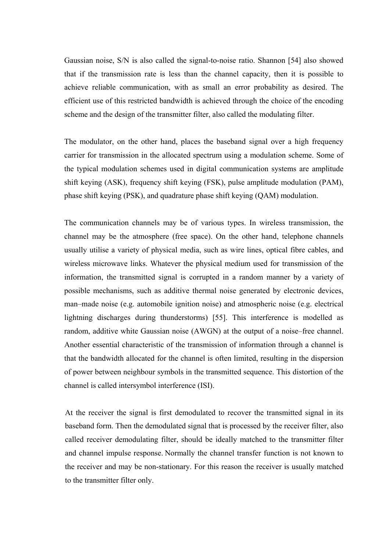Gaussian noise, S/N is also called the signal-to-noise ratio. Shannon [54] also showed that if the transmission rate is less than the channel capacity, then it is possible to achieve reliable communication, with as small an error probability as desired. The efficient use of this restricted bandwidth is achieved through the choice of the encoding scheme and the design of the transmitter filter, also called the modulating filter.

The modulator, on the other hand, places the baseband signal over a high frequency carrier for transmission in the allocated spectrum using a modulation scheme. Some of the typical modulation schemes used in digital communication systems are amplitude shift keying (ASK), frequency shift keying (FSK), pulse amplitude modulation (PAM), phase shift keying (PSK), and quadrature phase shift keying (QAM) modulation.

The communication channels may be of various types. In wireless transmission, the channel may be the atmosphere (free space). On the other hand, telephone channels usually utilise a variety of physical media, such as wire lines, optical fibre cables, and wireless microwave links. Whatever the physical medium used for transmission of the information, the transmitted signal is corrupted in a random manner by a variety of possible mechanisms, such as additive thermal noise generated by electronic devices, man–made noise (e.g. automobile ignition noise) and atmospheric noise (e.g. electrical lightning discharges during thunderstorms) [55]. This interference is modelled as random, additive white Gaussian noise (AWGN) at the output of a noise–free channel. Another essential characteristic of the transmission of information through a channel is that the bandwidth allocated for the channel is often limited, resulting in the dispersion of power between neighbour symbols in the transmitted sequence. This distortion of the channel is called intersymbol interference (ISI).

At the receiver the signal is first demodulated to recover the transmitted signal in its baseband form. Then the demodulated signal that is processed by the receiver filter, also called receiver demodulating filter, should be ideally matched to the transmitter filter and channel impulse response. Normally the channel transfer function is not known to the receiver and may be non-stationary. For this reason the receiver is usually matched to the transmitter filter only.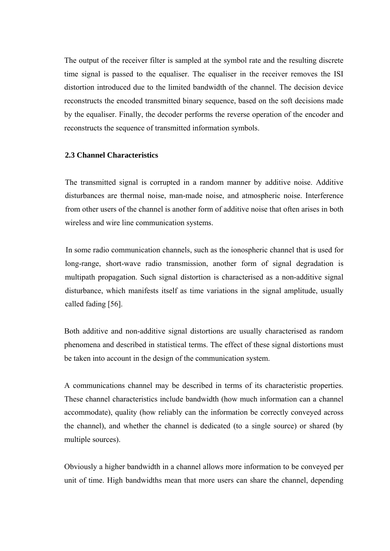The output of the receiver filter is sampled at the symbol rate and the resulting discrete time signal is passed to the equaliser. The equaliser in the receiver removes the ISI distortion introduced due to the limited bandwidth of the channel. The decision device reconstructs the encoded transmitted binary sequence, based on the soft decisions made by the equaliser. Finally, the decoder performs the reverse operation of the encoder and reconstructs the sequence of transmitted information symbols.

## **2.3 Channel Characteristics**

The transmitted signal is corrupted in a random manner by additive noise. Additive disturbances are thermal noise, man-made noise, and atmospheric noise. Interference from other users of the channel is another form of additive noise that often arises in both wireless and wire line communication systems.

In some radio communication channels, such as the ionospheric channel that is used for long-range, short-wave radio transmission, another form of signal degradation is multipath propagation. Such signal distortion is characterised as a non-additive signal disturbance, which manifests itself as time variations in the signal amplitude, usually called fading [56].

Both additive and non-additive signal distortions are usually characterised as random phenomena and described in statistical terms. The effect of these signal distortions must be taken into account in the design of the communication system.

A communications channel may be described in terms of its characteristic properties. These channel characteristics include bandwidth (how much information can a channel accommodate), quality (how reliably can the information be correctly conveyed across the channel), and whether the channel is dedicated (to a single source) or shared (by multiple sources).

Obviously a higher bandwidth in a channel allows more information to be conveyed per unit of time. High bandwidths mean that more users can share the channel, depending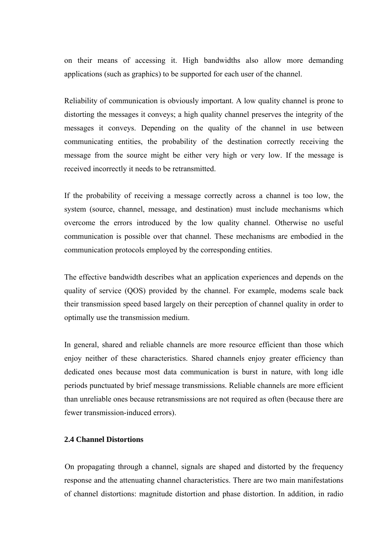on their means of accessing it. High bandwidths also allow more demanding applications (such as graphics) to be supported for each user of the channel.

Reliability of communication is obviously important. A low quality channel is prone to distorting the messages it conveys; a high quality channel preserves the integrity of the messages it conveys. Depending on the quality of the channel in use between communicating entities, the probability of the destination correctly receiving the message from the source might be either very high or very low. If the message is received incorrectly it needs to be retransmitted.

If the probability of receiving a message correctly across a channel is too low, the system (source, channel, message, and destination) must include mechanisms which overcome the errors introduced by the low quality channel. Otherwise no useful communication is possible over that channel. These mechanisms are embodied in the communication protocols employed by the corresponding entities.

The effective bandwidth describes what an application experiences and depends on the quality of service (QOS) provided by the channel. For example, modems scale back their transmission speed based largely on their perception of channel quality in order to optimally use the transmission medium.

In general, shared and reliable channels are more resource efficient than those which enjoy neither of these characteristics. Shared channels enjoy greater efficiency than dedicated ones because most data communication is burst in nature, with long idle periods punctuated by brief message transmissions. Reliable channels are more efficient than unreliable ones because retransmissions are not required as often (because there are fewer transmission-induced errors).

#### **2.4 Channel Distortions**

On propagating through a channel, signals are shaped and distorted by the frequency response and the attenuating channel characteristics. There are two main manifestations of channel distortions: magnitude distortion and phase distortion. In addition, in radio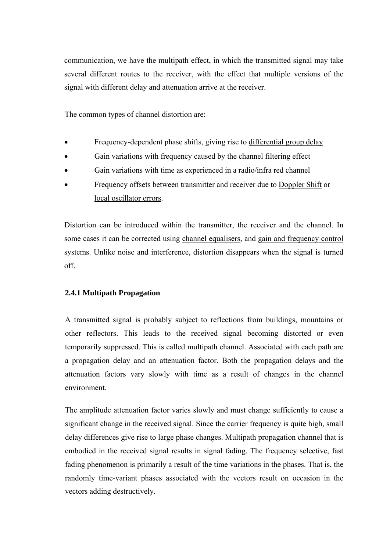communication, we have the multipath effect, in which the transmitted signal may take several different routes to the receiver, with the effect that multiple versions of the signal with different delay and attenuation arrive at the receiver.

The common types of channel distortion are:

- Frequency-dependent phase shifts, giving rise to differential group delay
- Gain variations with frequency caused by the channel filtering effect
- Gain variations with time as experienced in a radio/infra red channel
- Frequency offsets between transmitter and receiver due to Doppler Shift or local oscillator errors.

Distortion can be introduced within the transmitter, the receiver and the channel. In some cases it can be corrected using channel equalisers, and gain and frequency control systems. Unlike noise and interference, distortion disappears when the signal is turned off.

# **2.4.1 Multipath Propagation**

A transmitted signal is probably subject to reflections from buildings, mountains or other reflectors. This leads to the received signal becoming distorted or even temporarily suppressed. This is called multipath channel. Associated with each path are a propagation delay and an attenuation factor. Both the propagation delays and the attenuation factors vary slowly with time as a result of changes in the channel environment.

The amplitude attenuation factor varies slowly and must change sufficiently to cause a significant change in the received signal. Since the carrier frequency is quite high, small delay differences give rise to large phase changes. Multipath propagation channel that is embodied in the received signal results in signal fading. The frequency selective, fast fading phenomenon is primarily a result of the time variations in the phases. That is, the randomly time-variant phases associated with the vectors result on occasion in the vectors adding destructively.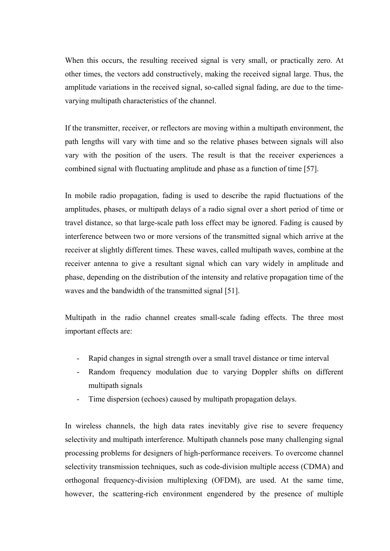When this occurs, the resulting received signal is very small, or practically zero. At other times, the vectors add constructively, making the received signal large. Thus, the amplitude variations in the received signal, so-called signal fading, are due to the timevarying multipath characteristics of the channel.

If the transmitter, receiver, or reflectors are moving within a multipath environment, the path lengths will vary with time and so the relative phases between signals will also vary with the position of the users. The result is that the receiver experiences a combined signal with fluctuating amplitude and phase as a function of time [57].

In mobile radio propagation, fading is used to describe the rapid fluctuations of the amplitudes, phases, or multipath delays of a radio signal over a short period of time or travel distance, so that large-scale path loss effect may be ignored. Fading is caused by interference between two or more versions of the transmitted signal which arrive at the receiver at slightly different times. These waves, called multipath waves, combine at the receiver antenna to give a resultant signal which can vary widely in amplitude and phase, depending on the distribution of the intensity and relative propagation time of the waves and the bandwidth of the transmitted signal [51].

Multipath in the radio channel creates small-scale fading effects. The three most important effects are:

- Rapid changes in signal strength over a small travel distance or time interval
- Random frequency modulation due to varying Doppler shifts on different multipath signals
- Time dispersion (echoes) caused by multipath propagation delays.

In wireless channels, the high data rates inevitably give rise to severe frequency selectivity and multipath interference. Multipath channels pose many challenging signal processing problems for designers of high-performance receivers. To overcome channel selectivity transmission techniques, such as code-division multiple access (CDMA) and orthogonal frequency-division multiplexing (OFDM), are used. At the same time, however, the scattering-rich environment engendered by the presence of multiple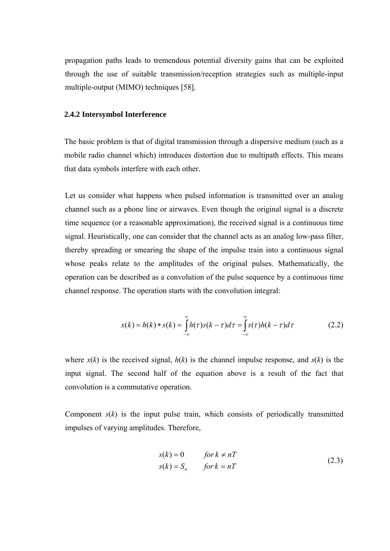propagation paths leads to tremendous potential diversity gains that can be exploited through the use of suitable transmission/reception strategies such as multiple-input multiple-output (MIMO) techniques [58].

#### **2.4.2 Intersymbol Interference**

The basic problem is that of digital transmission through a dispersive medium (such as a mobile radio channel which) introduces distortion due to multipath effects. This means that data symbols interfere with each other.

Let us consider what happens when pulsed information is transmitted over an analog channel such as a phone line or airwaves. Even though the original signal is a discrete time sequence (or a reasonable approximation), the received signal is a continuous time signal. Heuristically, one can consider that the channel acts as an analog low-pass filter, thereby spreading or smearing the shape of the impulse train into a continuous signal whose peaks relate to the amplitudes of the original pulses. Mathematically, the operation can be described as a convolution of the pulse sequence by a continuous time channel response. The operation starts with the convolution integral:

$$
x(k) = h(k) * s(k) = \int_{-\infty}^{\infty} h(\tau)s(k-\tau)d\tau = \int_{-\infty}^{\infty} s(\tau)h(k-\tau)d\tau
$$
 (2.2)

where  $x(k)$  is the received signal,  $h(k)$  is the channel impulse response, and  $s(k)$  is the input signal. The second half of the equation above is a result of the fact that convolution is a commutative operation.

Component  $s(k)$  is the input pulse train, which consists of periodically transmitted impulses of varying amplitudes. Therefore,

$$
s(k) = 0 \t\t for k \neq nT
$$
  
\n
$$
s(k) = S_n \t\t for k = nT
$$
\n(2.3)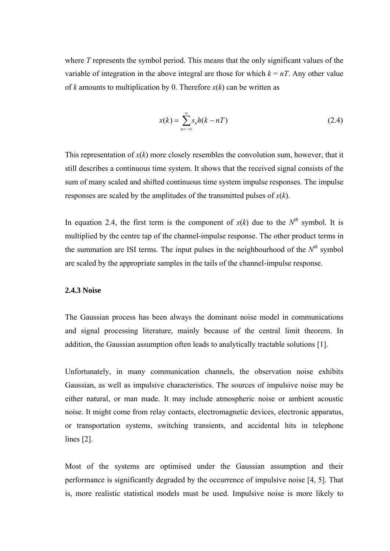where *T* represents the symbol period. This means that the only significant values of the variable of integration in the above integral are those for which  $k = nT$ . Any other value of *k* amounts to multiplication by 0. Therefore  $x(k)$  can be written as

$$
x(k) = \sum_{n = -\infty}^{\infty} s_n h(k - nT)
$$
 (2.4)

This representation of  $x(k)$  more closely resembles the convolution sum, however, that it still describes a continuous time system. It shows that the received signal consists of the sum of many scaled and shifted continuous time system impulse responses. The impulse responses are scaled by the amplitudes of the transmitted pulses of *x*(*k*).

In equation 2.4, the first term is the component of  $x(k)$  due to the  $N^{th}$  symbol. It is multiplied by the centre tap of the channel-impulse response. The other product terms in the summation are ISI terms. The input pulses in the neighbourhood of the  $N<sup>th</sup>$  symbol are scaled by the appropriate samples in the tails of the channel-impulse response.

## **2.4.3 Noise**

The Gaussian process has been always the dominant noise model in communications and signal processing literature, mainly because of the central limit theorem. In addition, the Gaussian assumption often leads to analytically tractable solutions [1].

Unfortunately, in many communication channels, the observation noise exhibits Gaussian, as well as impulsive characteristics. The sources of impulsive noise may be either natural, or man made. It may include atmospheric noise or ambient acoustic noise. It might come from relay contacts, electromagnetic devices, electronic apparatus, or transportation systems, switching transients, and accidental hits in telephone lines [2].

Most of the systems are optimised under the Gaussian assumption and their performance is significantly degraded by the occurrence of impulsive noise [4, 5]. That is, more realistic statistical models must be used. Impulsive noise is more likely to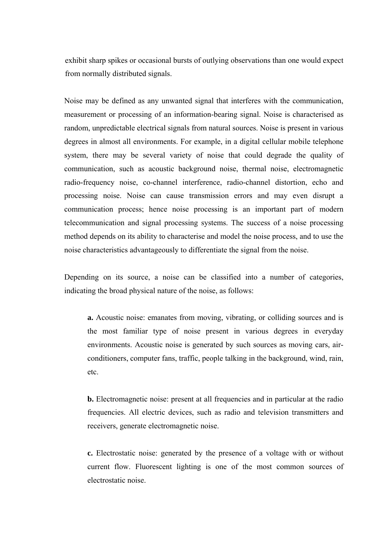exhibit sharp spikes or occasional bursts of outlying observations than one would expect from normally distributed signals.

Noise may be defined as any unwanted signal that interferes with the communication, measurement or processing of an information-bearing signal. Noise is characterised as random, unpredictable electrical signals from natural sources. Noise is present in various degrees in almost all environments. For example, in a digital cellular mobile telephone system, there may be several variety of noise that could degrade the quality of communication, such as acoustic background noise, thermal noise, electromagnetic radio-frequency noise, co-channel interference, radio-channel distortion, echo and processing noise. Noise can cause transmission errors and may even disrupt a communication process; hence noise processing is an important part of modern telecommunication and signal processing systems. The success of a noise processing method depends on its ability to characterise and model the noise process, and to use the noise characteristics advantageously to differentiate the signal from the noise.

Depending on its source, a noise can be classified into a number of categories, indicating the broad physical nature of the noise, as follows:

**a.** Acoustic noise: emanates from moving, vibrating, or colliding sources and is the most familiar type of noise present in various degrees in everyday environments. Acoustic noise is generated by such sources as moving cars, airconditioners, computer fans, traffic, people talking in the background, wind, rain, etc.

**b.** Electromagnetic noise: present at all frequencies and in particular at the radio frequencies. All electric devices, such as radio and television transmitters and receivers, generate electromagnetic noise.

**c.** Electrostatic noise: generated by the presence of a voltage with or without current flow. Fluorescent lighting is one of the most common sources of electrostatic noise.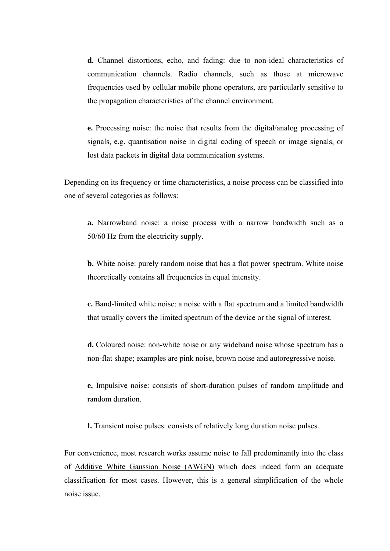**d.** Channel distortions, echo, and fading: due to non-ideal characteristics of communication channels. Radio channels, such as those at microwave frequencies used by cellular mobile phone operators, are particularly sensitive to the propagation characteristics of the channel environment.

**e.** Processing noise: the noise that results from the digital/analog processing of signals, e.g. quantisation noise in digital coding of speech or image signals, or lost data packets in digital data communication systems.

Depending on its frequency or time characteristics, a noise process can be classified into one of several categories as follows:

**a.** Narrowband noise: a noise process with a narrow bandwidth such as a 50/60 Hz from the electricity supply.

**b.** White noise: purely random noise that has a flat power spectrum. White noise theoretically contains all frequencies in equal intensity.

**c.** Band-limited white noise: a noise with a flat spectrum and a limited bandwidth that usually covers the limited spectrum of the device or the signal of interest.

**d.** Coloured noise: non-white noise or any wideband noise whose spectrum has a non-flat shape; examples are pink noise, brown noise and autoregressive noise.

**e.** Impulsive noise: consists of short-duration pulses of random amplitude and random duration.

**f.** Transient noise pulses: consists of relatively long duration noise pulses.

For convenience, most research works assume noise to fall predominantly into the class of Additive White Gaussian Noise (AWGN) which does indeed form an adequate classification for most cases. However, this is a general simplification of the whole noise issue.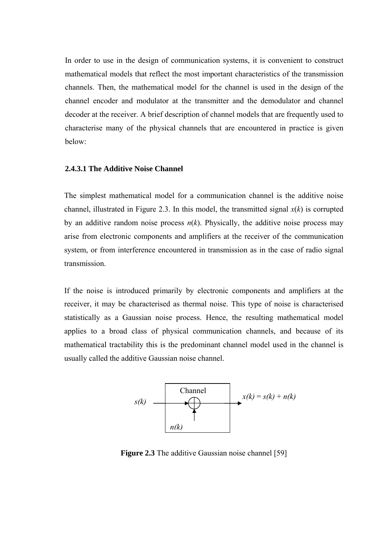In order to use in the design of communication systems, it is convenient to construct mathematical models that reflect the most important characteristics of the transmission channels. Then, the mathematical model for the channel is used in the design of the channel encoder and modulator at the transmitter and the demodulator and channel decoder at the receiver. A brief description of channel models that are frequently used to characterise many of the physical channels that are encountered in practice is given below:

## **2.4.3.1 The Additive Noise Channel**

The simplest mathematical model for a communication channel is the additive noise channel, illustrated in Figure 2.3. In this model, the transmitted signal  $x(k)$  is corrupted by an additive random noise process  $n(k)$ . Physically, the additive noise process may arise from electronic components and amplifiers at the receiver of the communication system, or from interference encountered in transmission as in the case of radio signal transmission.

If the noise is introduced primarily by electronic components and amplifiers at the receiver, it may be characterised as thermal noise. This type of noise is characterised statistically as a Gaussian noise process. Hence, the resulting mathematical model applies to a broad class of physical communication channels, and because of its mathematical tractability this is the predominant channel model used in the channel is usually called the additive Gaussian noise channel.



**Figure 2.3** The additive Gaussian noise channel [59]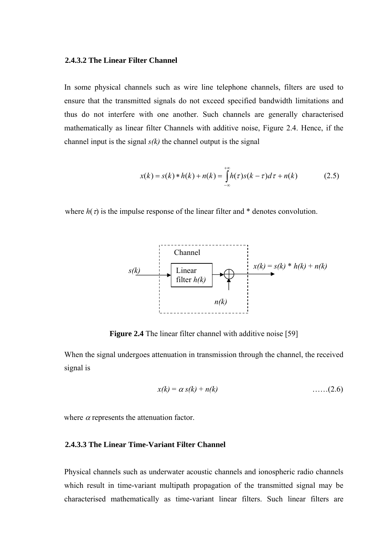#### **2.4.3.2 The Linear Filter Channel**

In some physical channels such as wire line telephone channels, filters are used to ensure that the transmitted signals do not exceed specified bandwidth limitations and thus do not interfere with one another. Such channels are generally characterised mathematically as linear filter Channels with additive noise, Figure 2.4. Hence, if the channel input is the signal *s(k)* the channel output is the signal

$$
x(k) = s(k) * h(k) + n(k) = \int_{-\infty}^{+\infty} h(\tau)s(k - \tau)d\tau + n(k)
$$
 (2.5)

where  $h(\tau)$  is the impulse response of the linear filter and  $*$  denotes convolution.



**Figure 2.4** The linear filter channel with additive noise [59]

When the signal undergoes attenuation in transmission through the channel, the received signal is

$$
x(k) = \alpha s(k) + n(k) \qquad \qquad \ldots \ldots (2.6)
$$

where  $\alpha$  represents the attenuation factor.

## **2.4.3.3 The Linear Time-Variant Filter Channel**

Physical channels such as underwater acoustic channels and ionospheric radio channels which result in time-variant multipath propagation of the transmitted signal may be characterised mathematically as time-variant linear filters. Such linear filters are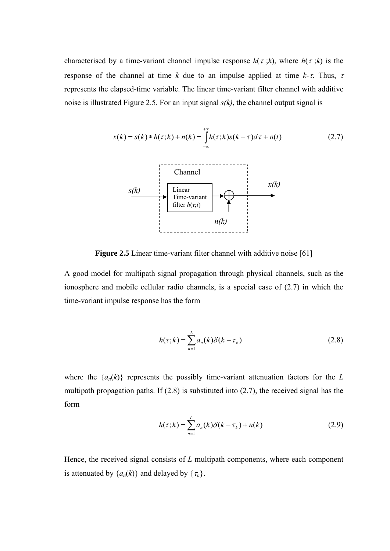characterised by a time-variant channel impulse response  $h(\tau; k)$ , where  $h(\tau; k)$  is the response of the channel at time k due to an impulse applied at time  $k-\tau$ . Thus,  $\tau$ represents the elapsed-time variable. The linear time-variant filter channel with additive noise is illustrated Figure 2.5. For an input signal *s(k)*, the channel output signal is



**Figure 2.5** Linear time-variant filter channel with additive noise [61]

A good model for multipath signal propagation through physical channels, such as the ionosphere and mobile cellular radio channels, is a special case of (2.7) in which the time-variant impulse response has the form

$$
h(\tau;k) = \sum_{n=1}^{L} a_n(k)\delta(k - \tau_k)
$$
\n(2.8)

where the  ${a_n(k)}$  represents the possibly time-variant attenuation factors for the *L* multipath propagation paths. If (2.8) is substituted into (2.7), the received signal has the form

$$
h(\tau;k) = \sum_{n=1}^{L} a_n(k)\delta(k - \tau_k) + n(k)
$$
 (2.9)

Hence, the received signal consists of *L* multipath components, where each component is attenuated by  $\{a_n(k)\}\$  and delayed by  $\{\tau_n\}$ .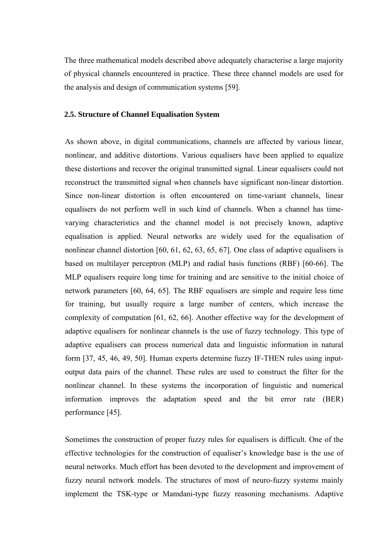The three mathematical models described above adequately characterise a large majority of physical channels encountered in practice. These three channel models are used for the analysis and design of communication systems [59].

#### **2.5. Structure of Channel Equalisation System**

As shown above, in digital communications, channels are affected by various linear, nonlinear, and additive distortions. Various equalisers have been applied to equalize these distortions and recover the original transmitted signal. Linear equalisers could not reconstruct the transmitted signal when channels have significant non-linear distortion. Since non-linear distortion is often encountered on time-variant channels, linear equalisers do not perform well in such kind of channels. When a channel has timevarying characteristics and the channel model is not precisely known, adaptive equalisation is applied. Neural networks are widely used for the equalisation of nonlinear channel distortion [60, 61, 62, 63, 65, 67]. One class of adaptive equalisers is based on multilayer perceptron (MLP) and radial basis functions (RBF) [60-66]. The MLP equalisers require long time for training and are sensitive to the initial choice of network parameters [60, 64, 65]. The RBF equalisers are simple and require less time for training, but usually require a large number of centers, which increase the complexity of computation [61, 62, 66]. Another effective way for the development of adaptive equalisers for nonlinear channels is the use of fuzzy technology. This type of adaptive equalisers can process numerical data and linguistic information in natural form [37, 45, 46, 49, 50]. Human experts determine fuzzy IF-THEN rules using inputoutput data pairs of the channel. These rules are used to construct the filter for the nonlinear channel. In these systems the incorporation of linguistic and numerical information improves the adaptation speed and the bit error rate (BER) performance [45].

Sometimes the construction of proper fuzzy rules for equalisers is difficult. One of the effective technologies for the construction of equaliser's knowledge base is the use of neural networks. Much effort has been devoted to the development and improvement of fuzzy neural network models. The structures of most of neuro-fuzzy systems mainly implement the TSK-type or Mamdani-type fuzzy reasoning mechanisms. Adaptive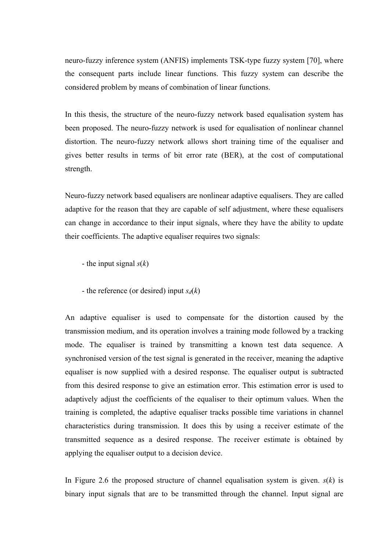neuro-fuzzy inference system (ANFIS) implements TSK-type fuzzy system [70], where the consequent parts include linear functions. This fuzzy system can describe the considered problem by means of combination of linear functions.

In this thesis, the structure of the neuro-fuzzy network based equalisation system has been proposed. The neuro-fuzzy network is used for equalisation of nonlinear channel distortion. The neuro-fuzzy network allows short training time of the equaliser and gives better results in terms of bit error rate (BER), at the cost of computational strength.

Neuro-fuzzy network based equalisers are nonlinear adaptive equalisers. They are called adaptive for the reason that they are capable of self adjustment, where these equalisers can change in accordance to their input signals, where they have the ability to update their coefficients. The adaptive equaliser requires two signals:

- the input signal *s*(*k*)
- the reference (or desired) input  $s_d(k)$

An adaptive equaliser is used to compensate for the distortion caused by the transmission medium, and its operation involves a training mode followed by a tracking mode. The equaliser is trained by transmitting a known test data sequence. A synchronised version of the test signal is generated in the receiver, meaning the adaptive equaliser is now supplied with a desired response. The equaliser output is subtracted from this desired response to give an estimation error. This estimation error is used to adaptively adjust the coefficients of the equaliser to their optimum values. When the training is completed, the adaptive equaliser tracks possible time variations in channel characteristics during transmission. It does this by using a receiver estimate of the transmitted sequence as a desired response. The receiver estimate is obtained by applying the equaliser output to a decision device.

In Figure 2.6 the proposed structure of channel equalisation system is given.  $s(k)$  is binary input signals that are to be transmitted through the channel. Input signal are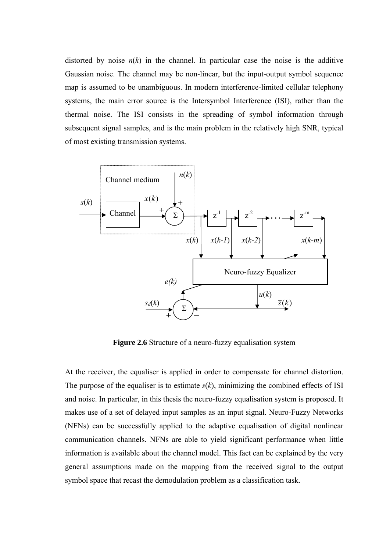distorted by noise  $n(k)$  in the channel. In particular case the noise is the additive Gaussian noise. The channel may be non-linear, but the input-output symbol sequence map is assumed to be unambiguous. In modern interference-limited cellular telephony systems, the main error source is the Intersymbol Interference (ISI), rather than the thermal noise. The ISI consists in the spreading of symbol information through subsequent signal samples, and is the main problem in the relatively high SNR, typical of most existing transmission systems.



**Figure 2.6** Structure of a neuro-fuzzy equalisation system

At the receiver, the equaliser is applied in order to compensate for channel distortion. The purpose of the equaliser is to estimate  $s(k)$ , minimizing the combined effects of ISI and noise. In particular, in this thesis the neuro-fuzzy equalisation system is proposed. It makes use of a set of delayed input samples as an input signal. Neuro-Fuzzy Networks (NFNs) can be successfully applied to the adaptive equalisation of digital nonlinear communication channels. NFNs are able to yield significant performance when little information is available about the channel model. This fact can be explained by the very general assumptions made on the mapping from the received signal to the output symbol space that recast the demodulation problem as a classification task.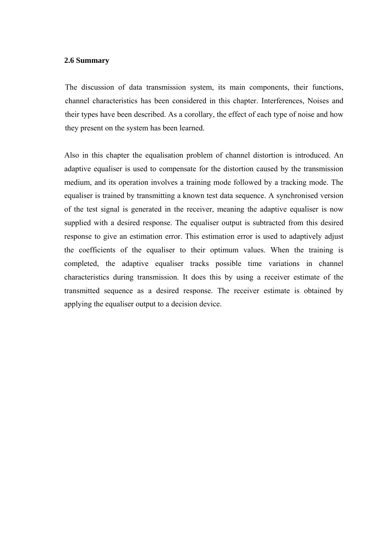### **2.6 Summary**

The discussion of data transmission system, its main components, their functions, channel characteristics has been considered in this chapter. Interferences, Noises and their types have been described. As a corollary, the effect of each type of noise and how they present on the system has been learned.

Also in this chapter the equalisation problem of channel distortion is introduced. An adaptive equaliser is used to compensate for the distortion caused by the transmission medium, and its operation involves a training mode followed by a tracking mode. The equaliser is trained by transmitting a known test data sequence. A synchronised version of the test signal is generated in the receiver, meaning the adaptive equaliser is now supplied with a desired response. The equaliser output is subtracted from this desired response to give an estimation error. This estimation error is used to adaptively adjust the coefficients of the equaliser to their optimum values. When the training is completed, the adaptive equaliser tracks possible time variations in channel characteristics during transmission. It does this by using a receiver estimate of the transmitted sequence as a desired response. The receiver estimate is obtained by applying the equaliser output to a decision device.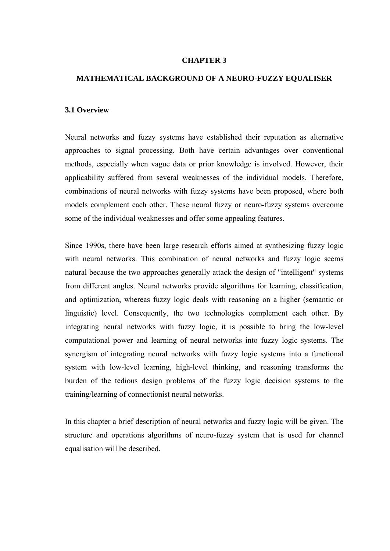#### **CHAPTER 3**

## **MATHEMATICAL BACKGROUND OF A NEURO-FUZZY EQUALISER**

#### **3.1 Overview**

Neural networks and fuzzy systems have established their reputation as alternative approaches to signal processing. Both have certain advantages over conventional methods, especially when vague data or prior knowledge is involved. However, their applicability suffered from several weaknesses of the individual models. Therefore, combinations of neural networks with fuzzy systems have been proposed, where both models complement each other. These neural fuzzy or neuro-fuzzy systems overcome some of the individual weaknesses and offer some appealing features.

Since 1990s, there have been large research efforts aimed at synthesizing fuzzy logic with neural networks. This combination of neural networks and fuzzy logic seems natural because the two approaches generally attack the design of "intelligent" systems from different angles. Neural networks provide algorithms for learning, classification, and optimization, whereas fuzzy logic deals with reasoning on a higher (semantic or linguistic) level. Consequently, the two technologies complement each other. By integrating neural networks with fuzzy logic, it is possible to bring the low-level computational power and learning of neural networks into fuzzy logic systems. The synergism of integrating neural networks with fuzzy logic systems into a functional system with low-level learning, high-level thinking, and reasoning transforms the burden of the tedious design problems of the fuzzy logic decision systems to the training/learning of connectionist neural networks.

In this chapter a brief description of neural networks and fuzzy logic will be given. The structure and operations algorithms of neuro-fuzzy system that is used for channel equalisation will be described.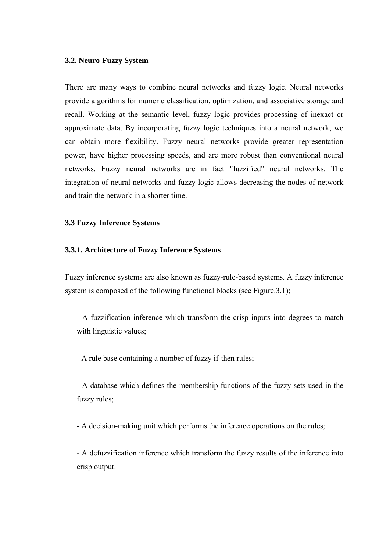#### **3.2. Neuro-Fuzzy System**

There are many ways to combine neural networks and fuzzy logic. Neural networks provide algorithms for numeric classification, optimization, and associative storage and recall. Working at the semantic level, fuzzy logic provides processing of inexact or approximate data. By incorporating fuzzy logic techniques into a neural network, we can obtain more flexibility. Fuzzy neural networks provide greater representation power, have higher processing speeds, and are more robust than conventional neural networks. Fuzzy neural networks are in fact "fuzzified" neural networks. The integration of neural networks and fuzzy logic allows decreasing the nodes of network and train the network in a shorter time.

#### **3.3 Fuzzy Inference Systems**

#### **3.3.1. Architecture of Fuzzy Inference Systems**

Fuzzy inference systems are also known as fuzzy-rule-based systems. A fuzzy inference system is composed of the following functional blocks (see Figure.3.1);

- A fuzzification inference which transform the crisp inputs into degrees to match with linguistic values;

- A rule base containing a number of fuzzy if-then rules;

- A database which defines the membership functions of the fuzzy sets used in the fuzzy rules;

- A decision-making unit which performs the inference operations on the rules;

- A defuzzification inference which transform the fuzzy results of the inference into crisp output.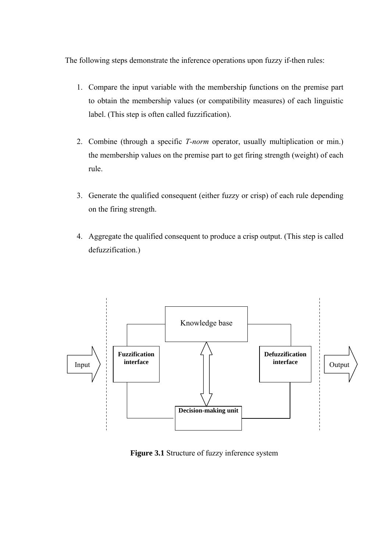The following steps demonstrate the inference operations upon fuzzy if-then rules:

- 1. Compare the input variable with the membership functions on the premise part to obtain the membership values (or compatibility measures) of each linguistic label. (This step is often called fuzzification).
- 2. Combine (through a specific *T-norm* operator, usually multiplication or min.) the membership values on the premise part to get firing strength (weight) of each rule.
- 3. Generate the qualified consequent (either fuzzy or crisp) of each rule depending on the firing strength.
- 4. Aggregate the qualified consequent to produce a crisp output. (This step is called defuzzification.)



**Figure 3.1** Structure of fuzzy inference system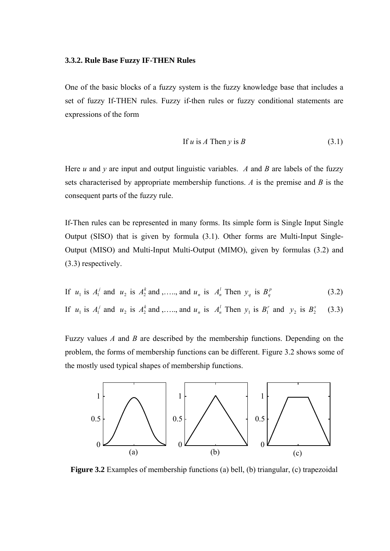#### **3.3.2. Rule Base Fuzzy IF-THEN Rules**

One of the basic blocks of a fuzzy system is the fuzzy knowledge base that includes a set of fuzzy If-THEN rules. Fuzzy if-then rules or fuzzy conditional statements are expressions of the form

If 
$$
u
$$
 is  $A$  Then  $y$  is  $B$  (3.1)

Here *u* and *y* are input and output linguistic variables. *A* and *B* are labels of the fuzzy sets characterised by appropriate membership functions. *A* is the premise and *B* is the consequent parts of the fuzzy rule.

If-Then rules can be represented in many forms. Its simple form is Single Input Single Output (SISO) that is given by formula (3.1). Other forms are Multi-Input Single-Output (MISO) and Multi-Input Multi-Output (MIMO), given by formulas (3.2) and (3.3) respectively.

If 
$$
u_1
$$
 is  $A_1^j$  and  $u_2$  is  $A_2^k$  and  $\ldots$ , and  $u_n$  is  $A_n^j$ . Then  $y_q$  is  $B_q^p$  (3.2)

If  $u_1$  is  $A_1^j$  and  $u_2$  is  $A_2^k$  and ,….., and  $u_n$  is  $A_n^j$  Then  $y_1$  is  $B_1^r$  and  $y_2$  is  $B_2^s$  (3.3)

Fuzzy values *A* and *B* are described by the membership functions. Depending on the problem, the forms of membership functions can be different. Figure 3.2 shows some of the mostly used typical shapes of membership functions.



**Figure 3.2** Examples of membership functions (a) bell, (b) triangular, (c) trapezoidal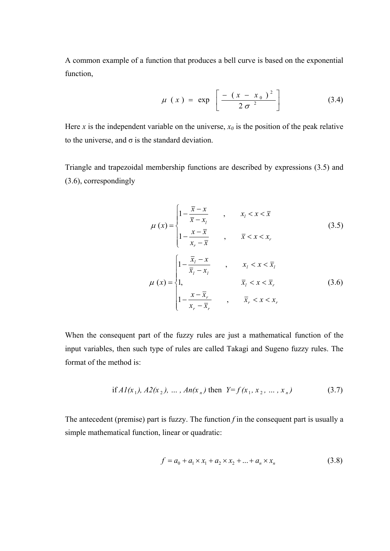A common example of a function that produces a bell curve is based on the exponential function,

$$
\mu(x) = \exp \left[ \frac{- (x - x_0)^2}{2 \sigma^2} \right]
$$
 (3.4)

Here *x* is the independent variable on the universe,  $x_0$  is the position of the peak relative to the universe, and  $\sigma$  is the standard deviation.

Triangle and trapezoidal membership functions are described by expressions (3.5) and (3.6), correspondingly

$$
\mu(x) = \begin{cases}\n1 - \frac{\bar{x} - x}{\bar{x} - x_i} & , & x_i < x < \bar{x} \\
1 - \frac{x - \bar{x}}{x_r - \bar{x}} & , & \bar{x} < x < x_r\n\end{cases}
$$
\n(3.5)\n
$$
\mu(x) = \begin{cases}\n1 - \frac{\bar{x}_i - x}{\bar{x}_i - x_i} & , & x_i < x < \bar{x}_i \\
1, & \bar{x}_i < x < \bar{x}_r \\
1 - \frac{x - \bar{x}_r}{x_r - \bar{x}_r} & , & \bar{x}_r < x < x_r\n\end{cases}
$$
\n(3.6)

When the consequent part of the fuzzy rules are just a mathematical function of the input variables, then such type of rules are called Takagi and Sugeno fuzzy rules. The format of the method is:

if 
$$
AI(x_1)
$$
,  $A2(x_2)$ , ...,  $An(x_n)$  then  $Y = f(x_1, x_2, ..., x_n)$  (3.7)

The antecedent (premise) part is fuzzy. The function *f* in the consequent part is usually a simple mathematical function, linear or quadratic:

$$
f = a_0 + a_1 \times x_1 + a_2 \times x_2 + \dots + a_n \times x_n \tag{3.8}
$$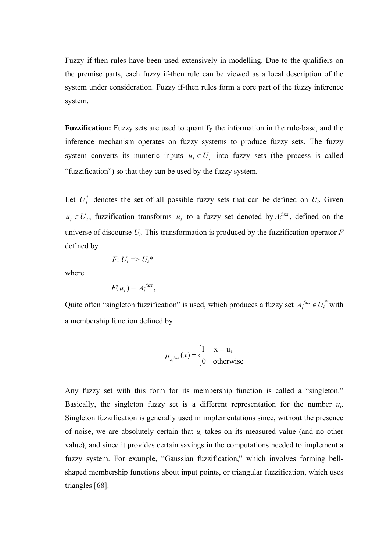Fuzzy if-then rules have been used extensively in modelling. Due to the qualifiers on the premise parts, each fuzzy if-then rule can be viewed as a local description of the system under consideration. Fuzzy if-then rules form a core part of the fuzzy inference system.

**Fuzzification:** Fuzzy sets are used to quantify the information in the rule-base, and the inference mechanism operates on fuzzy systems to produce fuzzy sets. The fuzzy system converts its numeric inputs  $u_i \in U_i$  into fuzzy sets (the process is called "fuzzification") so that they can be used by the fuzzy system.

Let  $U_i^*$  denotes the set of all possible fuzzy sets that can be defined on  $U_i$ . Given  $u_i \in U_i$ , fuzzification transforms  $u_i$  to a fuzzy set denoted by  $A_i^{fixz}$ , defined on the universe of discourse *Ui*. This transformation is produced by the fuzzification operator *F* defined by

$$
F: U_i \Longrightarrow U_i^*
$$

where

$$
F(u_i) = A_i^{fuzz},
$$

Quite often "singleton fuzzification" is used, which produces a fuzzy set  $A_i^{fuzz} \in U_i^*$  with a membership function defined by

$$
\mu_{A_i^{frac}}(x) = \begin{cases} 1 & x = u_i \\ 0 & \text{otherwise} \end{cases}
$$

Any fuzzy set with this form for its membership function is called a "singleton." Basically, the singleton fuzzy set is a different representation for the number *ui*. Singleton fuzzification is generally used in implementations since, without the presence of noise, we are absolutely certain that *ui* takes on its measured value (and no other value), and since it provides certain savings in the computations needed to implement a fuzzy system. For example, "Gaussian fuzzification," which involves forming bellshaped membership functions about input points, or triangular fuzzification, which uses triangles [68].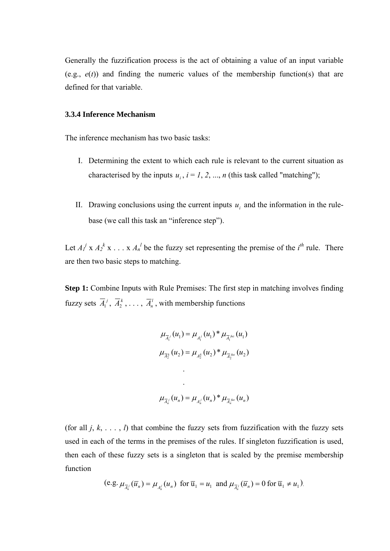Generally the fuzzification process is the act of obtaining a value of an input variable (e.g., *e*(*t*)) and finding the numeric values of the membership function(s) that are defined for that variable.

## **3.3.4 Inference Mechanism**

The inference mechanism has two basic tasks:

- I. Determining the extent to which each rule is relevant to the current situation as characterised by the inputs  $u_i$ ,  $i = 1, 2, ..., n$  (this task called "matching");
- II. Drawing conclusions using the current inputs  $u_i$  and the information in the rulebase (we call this task an "inference step").

Let  $A / x A_2^k x \dots x A_n^l$  be the fuzzy set representing the premise of the *i*<sup>th</sup> rule. There are then two basic steps to matching.

**Step 1:** Combine Inputs with Rule Premises: The first step in matching involves finding fuzzy sets  $\overline{A}_1^j$ ,  $\overline{A}_2^k$ , ...,  $\overline{A}_n^l$ , with membership functions

$$
\mu_{\overline{A}_{1}^{j}}(u_{1}) = \mu_{A_{1}^{j}}(u_{1}) * \mu_{\overline{A}_{1}^{fuc}}(u_{1})
$$
  

$$
\mu_{\overline{A}_{2}^{k}}(u_{2}) = \mu_{A_{2}^{k}}(u_{2}) * \mu_{\overline{A}_{2}^{fuc}}(u_{2})
$$

.

.

$$
\mu_{\overline{A}_{n}^{j}}(u_{n}) = \mu_{A_{n}^{j}}(u_{n})^{*} \mu_{\overline{A}_{n}^{fix}}(u_{n})
$$

(for all  $j, k, \ldots, l$ ) that combine the fuzzy sets from fuzzification with the fuzzy sets used in each of the terms in the premises of the rules. If singleton fuzzification is used, then each of these fuzzy sets is a singleton that is scaled by the premise membership function

$$
(\mathbf{e}.\mathbf{g}) \mu_{\overline{A}_n^j}(\overline{u}_n) = \mu_{A_n^j}(u_n) \text{ for } \overline{\mathbf{u}}_1 = u_1 \text{ and } \mu_{\overline{A}_n^j}(\overline{u}_n) = 0 \text{ for } \overline{\mathbf{u}}_1 \neq u_1).
$$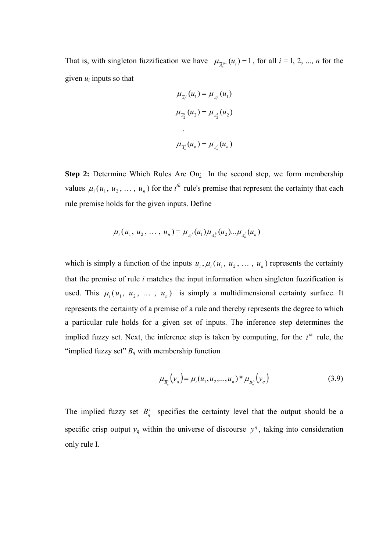That is, with singleton fuzzification we have  $\mu_{\overline{A}_n^{fuc}}(u_i) = 1$ , for all  $i = 1, 2, ..., n$  for the given *ui* inputs so that

$$
\mu_{\overline{A}_i'}(u_1) = \mu_{A_i'}(u_1)
$$
  

$$
\mu_{\overline{A}_2^k}(u_2) = \mu_{A_2^k}(u_2)
$$
  
.  

$$
\mu_{\overline{A}_n'}(u_n) = \mu_{A_n'}(u_n)
$$

**Step 2:** Determine Which Rules Are On: In the second step, we form membership values  $\mu_i$  ( $u_1, u_2, \ldots, u_n$ ) for the *i*<sup>th</sup> rule's premise that represent the certainty that each rule premise holds for the given inputs. Define

$$
\mu_i(u_1, u_2, \ldots, u_n) = \mu_{\overline{A}_i'}(u_1) \mu_{\overline{A}_2^k}(u_2) \ldots \mu_{A_n'}(u_n)
$$

which is simply a function of the inputs  $u_i$ ,  $\mu_i$  ( $u_1$ ,  $u_2$ , ...,  $u_n$ ) represents the certainty that the premise of rule *i* matches the input information when singleton fuzzification is used. This  $\mu_i(u_1, u_2, \ldots, u_n)$  is simply a multidimensional certainty surface. It represents the certainty of a premise of a rule and thereby represents the degree to which a particular rule holds for a given set of inputs. The inference step determines the implied fuzzy set. Next, the inference step is taken by computing, for the  $i<sup>th</sup>$  rule, the "implied fuzzy set"  $B_q$  with membership function

$$
\mu_{\overline{B}_{q}^{i}}(y_{q}) = \mu_{i}(u_{1}, u_{2},..., u_{n}) * \mu_{B_{q}^{p}}(y_{q})
$$
\n(3.9)

The implied fuzzy set  $\overline{B}_{a}^{i}$  specifies the certainty level that the output should be a specific crisp output  $y_q$  within the universe of discourse  $y^q$ , taking into consideration only rule I.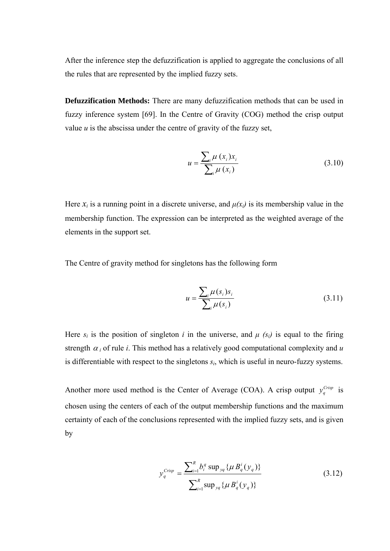After the inference step the defuzzification is applied to aggregate the conclusions of all the rules that are represented by the implied fuzzy sets.

**Defuzzification Methods:** There are many defuzzification methods that can be used in fuzzy inference system [69]. In the Centre of Gravity (COG) method the crisp output value  $u$  is the abscissa under the centre of gravity of the fuzzy set,

$$
u = \frac{\sum_{i} \mu(x_i) x_i}{\sum_{i} \mu(x_i)}
$$
(3.10)

Here  $x_i$  is a running point in a discrete universe, and  $\mu(x_i)$  is its membership value in the membership function. The expression can be interpreted as the weighted average of the elements in the support set.

The Centre of gravity method for singletons has the following form

$$
u = \frac{\sum_{i} \mu(s_{i})s_{i}}{\sum_{i} \mu(s_{i})}
$$
(3.11)

Here  $s_i$  is the position of singleton *i* in the universe, and  $\mu$  ( $s_i$ ) is equal to the firing strength  $\alpha_i$  of rule *i*. This method has a relatively good computational complexity and  $u$ is differentiable with respect to the singletons  $s_i$ , which is useful in neuro-fuzzy systems.

Another more used method is the Center of Average (COA). A crisp output  $y_q^{Crisp}$  is chosen using the centers of each of the output membership functions and the maximum certainty of each of the conclusions represented with the implied fuzzy sets, and is given by

$$
y_q^{\text{Crisp}} = \frac{\sum_{i=1}^R b_i^q \sup_{yq} \{ \mu B_q^i(y_q) \}}{\sum_{i=1}^R \sup_{yq} \{ \mu B_q^i(y_q) \}}
$$
(3.12)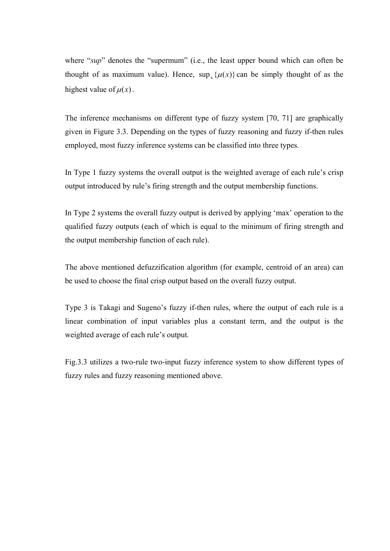where "*sup*" denotes the "supermum" (i.e., the least upper bound which can often be thought of as maximum value). Hence,  $\sup_x {\{\mu(x)\}}$  can be simply thought of as the highest value of  $\mu(x)$ .

The inference mechanisms on different type of fuzzy system [70, 71] are graphically given in Figure 3.3. Depending on the types of fuzzy reasoning and fuzzy if-then rules employed, most fuzzy inference systems can be classified into three types.

In Type 1 fuzzy systems the overall output is the weighted average of each rule's crisp output introduced by rule's firing strength and the output membership functions.

In Type 2 systems the overall fuzzy output is derived by applying 'max' operation to the qualified fuzzy outputs (each of which is equal to the minimum of firing strength and the output membership function of each rule).

The above mentioned defuzzification algorithm (for example, centroid of an area) can be used to choose the final crisp output based on the overall fuzzy output.

Type 3 is Takagi and Sugeno's fuzzy if-then rules, where the output of each rule is a linear combination of input variables plus a constant term, and the output is the weighted average of each rule's output.

Fig.3.3 utilizes a two-rule two-input fuzzy inference system to show different types of fuzzy rules and fuzzy reasoning mentioned above.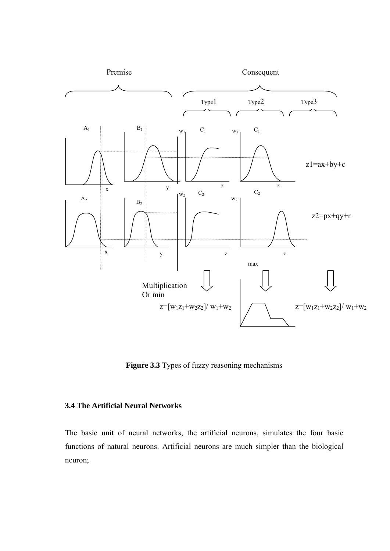

**Figure 3.3** Types of fuzzy reasoning mechanisms

# **3.4 The Artificial Neural Networks**

The basic unit of neural networks, the artificial neurons, simulates the four basic functions of natural neurons. Artificial neurons are much simpler than the biological neuron;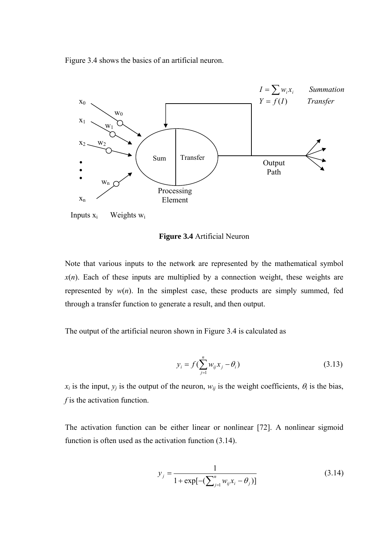Figure 3.4 shows the basics of an artificial neuron.



Inputs  $x_i$  Weights  $w_i$ 

**Figure 3.4** Artificial Neuron

Note that various inputs to the network are represented by the mathematical symbol  $x(n)$ . Each of these inputs are multiplied by a connection weight, these weights are represented by  $w(n)$ . In the simplest case, these products are simply summed, fed through a transfer function to generate a result, and then output.

The output of the artificial neuron shown in Figure 3.4 is calculated as

$$
y_i = f\left(\sum_{j=1}^n w_{ij} x_j - \theta_i\right) \tag{3.13}
$$

 $x_i$  is the input,  $y_j$  is the output of the neuron,  $w_{ij}$  is the weight coefficients,  $\theta_i$  is the bias, *f* is the activation function.

The activation function can be either linear or nonlinear [72]. A nonlinear sigmoid function is often used as the activation function (3.14).

$$
y_j = \frac{1}{1 + \exp[-(\sum_{j=1}^n w_{ij} x_i - \theta_j)]}
$$
(3.14)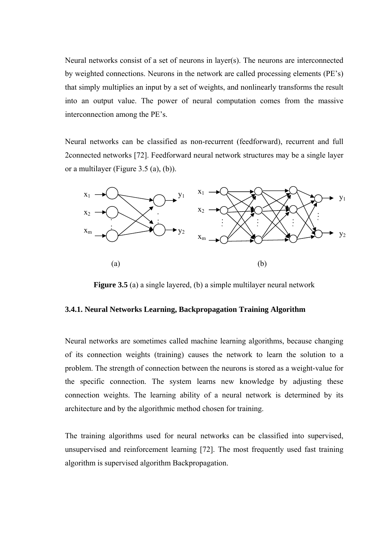Neural networks consist of a set of neurons in layer(s). The neurons are interconnected by weighted connections. Neurons in the network are called processing elements (PE's) that simply multiplies an input by a set of weights, and nonlinearly transforms the result into an output value. The power of neural computation comes from the massive interconnection among the PE's.

Neural networks can be classified as non-recurrent (feedforward), recurrent and full 2connected networks [72]. Feedforward neural network structures may be a single layer or a multilayer (Figure 3.5 (a), (b)).



**Figure 3.5** (a) a single layered, (b) a simple multilayer neural network

## **3.4.1. Neural Networks Learning, Backpropagation Training Algorithm**

Neural networks are sometimes called machine learning algorithms, because changing of its connection weights (training) causes the network to learn the solution to a problem. The strength of connection between the neurons is stored as a weight-value for the specific connection. The system learns new knowledge by adjusting these connection weights. The learning ability of a neural network is determined by its architecture and by the algorithmic method chosen for training.

The training algorithms used for neural networks can be classified into supervised, unsupervised and reinforcement learning [72]. The most frequently used fast training algorithm is supervised algorithm Backpropagation.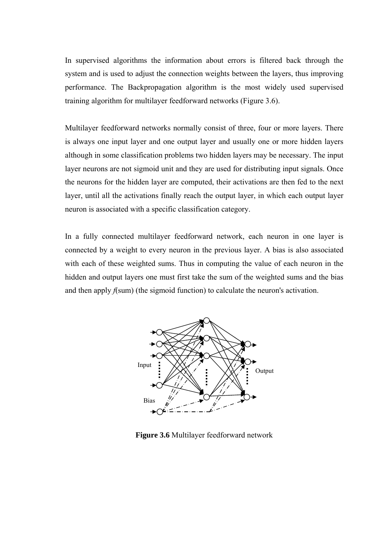In supervised algorithms the information about errors is filtered back through the system and is used to adjust the connection weights between the layers, thus improving performance. The Backpropagation algorithm is the most widely used supervised training algorithm for multilayer feedforward networks (Figure 3.6).

Multilayer feedforward networks normally consist of three, four or more layers. There is always one input layer and one output layer and usually one or more hidden layers although in some classification problems two hidden layers may be necessary. The input layer neurons are not sigmoid unit and they are used for distributing input signals. Once the neurons for the hidden layer are computed, their activations are then fed to the next layer, until all the activations finally reach the output layer, in which each output layer neuron is associated with a specific classification category.

In a fully connected multilayer feedforward network, each neuron in one layer is connected by a weight to every neuron in the previous layer. A bias is also associated with each of these weighted sums. Thus in computing the value of each neuron in the hidden and output layers one must first take the sum of the weighted sums and the bias and then apply  $f(\text{sum})$  (the sigmoid function) to calculate the neuron's activation.



**Figure 3.6** Multilayer feedforward network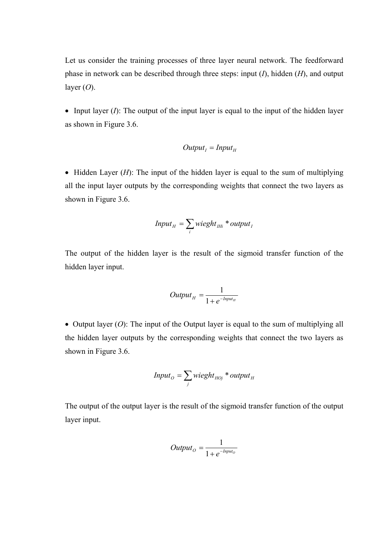Let us consider the training processes of three layer neural network. The feedforward phase in network can be described through three steps: input (*I*), hidden (*H*), and output layer (*O*).

• Input layer  $(I)$ : The output of the input layer is equal to the input of the hidden layer as shown in Figure 3.6.

$$
Output_I = Input_H
$$

• Hidden Layer  $(H)$ : The input of the hidden layer is equal to the sum of multiplying all the input layer outputs by the corresponding weights that connect the two layers as shown in Figure 3.6.

$$
Input_{H} = \sum_{i} weight_{Hi} * output_{I}
$$

The output of the hidden layer is the result of the sigmoid transfer function of the hidden layer input.

$$
Output_H = \frac{1}{1 + e^{-Input_H}}
$$

• Output layer (*O*): The input of the Output layer is equal to the sum of multiplying all the hidden layer outputs by the corresponding weights that connect the two layers as shown in Figure 3.6.

$$
Input_O = \sum_{j} weight_{HOj} * output_{H}
$$

The output of the output layer is the result of the sigmoid transfer function of the output layer input.

$$
Output_O = \frac{1}{1 + e^{-Input_O}}
$$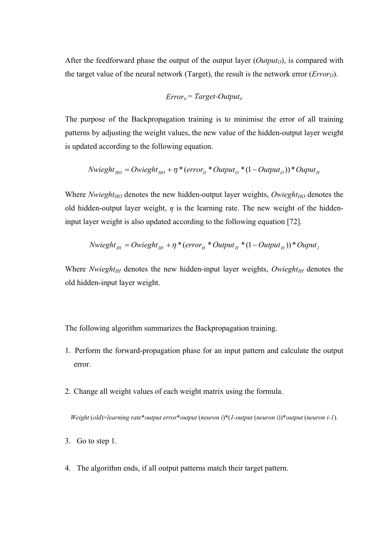After the feedforward phase the output of the output layer  $(Output<sub>O</sub>)$ , is compared with the target value of the neural network (Target), the result is the network error  $(Error<sub>O</sub>)$ .

$$
Erroro = Target-Outputo
$$

The purpose of the Backpropagation training is to minimise the error of all training patterns by adjusting the weight values, the new value of the hidden-output layer weight is updated according to the following equation.

$$
Nwieght_{HO} = Owieght_{HO} + \eta * (error_{O} * Output_{O} * (1 - Output_{O})) * Output_{H}
$$

Where *Nwieght<sub>HO</sub>* denotes the new hidden-output layer weights, *Owieght<sub>HO</sub>* denotes the old hidden-output layer weight, *η* is the learning rate. The new weight of the hiddeninput layer weight is also updated according to the following equation [72].

$$
Nwieght_{\text{IH}} = Owieght_{\text{IH}} + \eta^*(error_{\text{H}} * Output_{\text{H}} * (1 - Output_{\text{H}})) * Output_{\text{H}}
$$

Where *Nwieght<sub>IH</sub>* denotes the new hidden-input layer weights, *Owieght<sub>IH</sub>* denotes the old hidden-input layer weight.

The following algorithm summarizes the Backpropagation training.

- 1. Perform the forward-propagation phase for an input pattern and calculate the output error.
- 2. Change all weight values of each weight matrix using the formula.

*Weight* (*old*)+*learning rate*\**output error*\**output* (*neuron i*)\*(*1-output* (*neuron i*))\**output* (*neuron i-1*).

- 3. Go to step 1.
- 4. The algorithm ends, if all output patterns match their target pattern.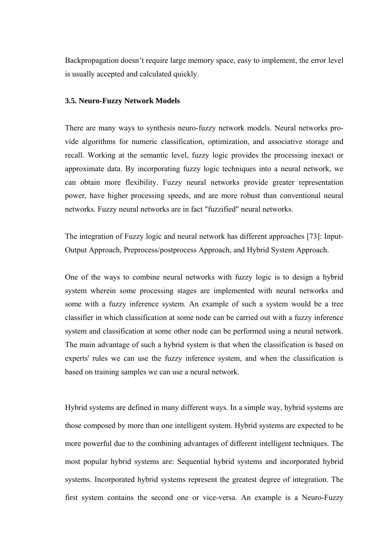Backpropagation doesn't require large memory space, easy to implement, the error level is usually accepted and calculated quickly.

#### **3.5. Neuro-Fuzzy Network Models**

There are many ways to synthesis neuro-fuzzy network models. Neural networks provide algorithms for numeric classification, optimization, and associative storage and recall. Working at the semantic level, fuzzy logic provides the processing inexact or approximate data. By incorporating fuzzy logic techniques into a neural network, we can obtain more flexibility. Fuzzy neural networks provide greater representation power, have higher processing speeds, and are more robust than conventional neural networks. Fuzzy neural networks are in fact "fuzzified" neural networks.

The integration of Fuzzy logic and neural network has different approaches [73]: Input-Output Approach, Preprocess/postprocess Approach, and Hybrid System Approach.

One of the ways to combine neural networks with fuzzy logic is to design a hybrid system wherein some processing stages are implemented with neural networks and some with a fuzzy inference system. An example of such a system would be a tree classifier in which classification at some node can be carried out with a fuzzy inference system and classification at some other node can be performed using a neural network. The main advantage of such a hybrid system is that when the classification is based on experts' rules we can use the fuzzy inference system, and when the classification is based on training samples we can use a neural network.

Hybrid systems are defined in many different ways. In a simple way, hybrid systems are those composed by more than one intelligent system. Hybrid systems are expected to be more powerful due to the combining advantages of different intelligent techniques. The most popular hybrid systems are: Sequential hybrid systems and incorporated hybrid systems. Incorporated hybrid systems represent the greatest degree of integration. The first system contains the second one or vice-versa. An example is a Neuro-Fuzzy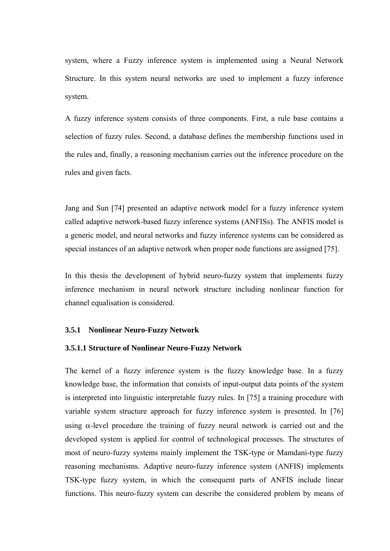system, where a Fuzzy inference system is implemented using a Neural Network Structure. In this system neural networks are used to implement a fuzzy inference system.

A fuzzy inference system consists of three components. First, a rule base contains a selection of fuzzy rules. Second, a database defines the membership functions used in the rules and, finally, a reasoning mechanism carries out the inference procedure on the rules and given facts.

Jang and Sun [74] presented an adaptive network model for a fuzzy inference system called adaptive network-based fuzzy inference systems (ANFISs). The ANFIS model is a generic model, and neural networks and fuzzy inference systems can be considered as special instances of an adaptive network when proper node functions are assigned [75].

In this thesis the development of hybrid neuro-fuzzy system that implements fuzzy inference mechanism in neural network structure including nonlinear function for channel equalisation is considered.

#### **3.5.1 Nonlinear Neuro-Fuzzy Network**

## **3.5.1.1 Structure of Nonlinear Neuro-Fuzzy Network**

The kernel of a fuzzy inference system is the fuzzy knowledge base. In a fuzzy knowledge base, the information that consists of input-output data points of the system is interpreted into linguistic interpretable fuzzy rules. In [75] a training procedure with variable system structure approach for fuzzy inference system is presented. In [76] using  $\alpha$ -level procedure the training of fuzzy neural network is carried out and the developed system is applied for control of technological processes. The structures of most of neuro-fuzzy systems mainly implement the TSK-type or Mamdani-type fuzzy reasoning mechanisms. Adaptive neuro-fuzzy inference system (ANFIS) implements TSK-type fuzzy system, in which the consequent parts of ANFIS include linear functions. This neuro-fuzzy system can describe the considered problem by means of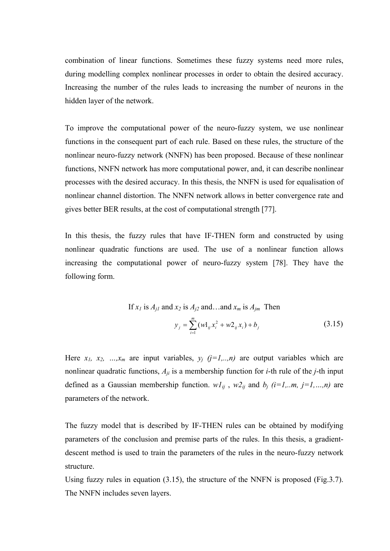combination of linear functions. Sometimes these fuzzy systems need more rules, during modelling complex nonlinear processes in order to obtain the desired accuracy. Increasing the number of the rules leads to increasing the number of neurons in the hidden layer of the network.

To improve the computational power of the neuro-fuzzy system, we use nonlinear functions in the consequent part of each rule. Based on these rules, the structure of the nonlinear neuro-fuzzy network (NNFN) has been proposed. Because of these nonlinear functions, NNFN network has more computational power, and, it can describe nonlinear processes with the desired accuracy. In this thesis, the NNFN is used for equalisation of nonlinear channel distortion. The NNFN network allows in better convergence rate and gives better BER results, at the cost of computational strength [77].

In this thesis, the fuzzy rules that have IF-THEN form and constructed by using nonlinear quadratic functions are used. The use of a nonlinear function allows increasing the computational power of neuro-fuzzy system [78]. They have the following form.

If 
$$
x_l
$$
 is  $A_{jl}$  and  $x_2$  is  $A_{j2}$  and... and  $x_m$  is  $A_{jm}$  Then  
\n
$$
y_j = \sum_{i=1}^m (wl_{ij}x_i^2 + w2_{ij}x_i) + b_j
$$
\n(3.15)

Here  $x_1, x_2, \ldots, x_m$  are input variables,  $y_i$  ( $j=1,\ldots,n$ ) are output variables which are nonlinear quadratic functions, *Aji* is a membership function for *i*-th rule of the *j*-th input defined as a Gaussian membership function.  $wI_{ij}$ ,  $w2_{ij}$  and  $b_j$  (*i*=1,..*m*, *j*=1,...,*n*) are parameters of the network.

The fuzzy model that is described by IF-THEN rules can be obtained by modifying parameters of the conclusion and premise parts of the rules. In this thesis, a gradientdescent method is used to train the parameters of the rules in the neuro-fuzzy network structure.

Using fuzzy rules in equation (3.15), the structure of the NNFN is proposed (Fig.3.7). The NNFN includes seven layers.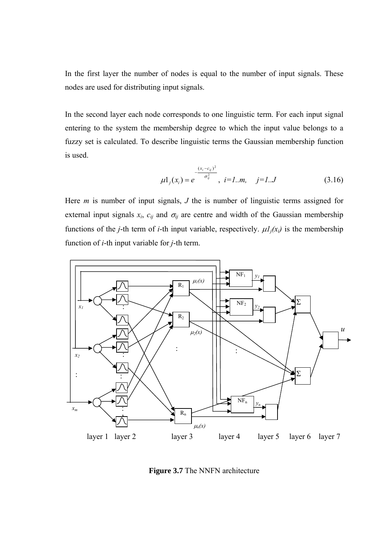In the first layer the number of nodes is equal to the number of input signals. These nodes are used for distributing input signals.

In the second layer each node corresponds to one linguistic term. For each input signal entering to the system the membership degree to which the input value belongs to a fuzzy set is calculated. To describe linguistic terms the Gaussian membership function is used.

$$
\mu 1_{j}(x_{i}) = e^{-\frac{(x_{i} - c_{ij})^{2}}{\sigma_{ij}^{2}}}, \ i = 1..m, \quad j = 1..J
$$
 (3.16)

Here *m* is number of input signals, *J* the is number of linguistic terms assigned for external input signals  $x_i$ ,  $c_{ij}$  and  $\sigma_{ij}$  are centre and width of the Gaussian membership functions of the *j*-th term of *i*-th input variable, respectively.  $\mu I_i(x_i)$  is the membership function of *i*-th input variable for *j*-th term.



**Figure 3.7** The NNFN architecture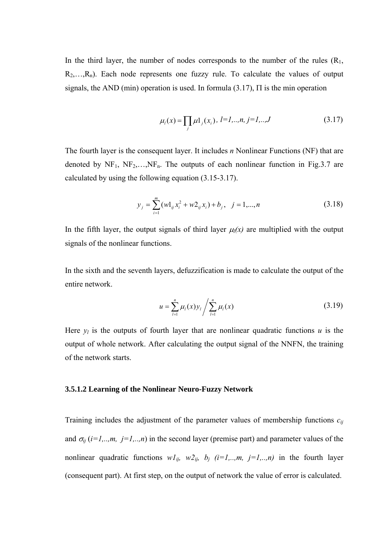In the third layer, the number of nodes corresponds to the number of the rules  $(R<sub>1</sub>,$  $R_2, \ldots, R_n$ ). Each node represents one fuzzy rule. To calculate the values of output signals, the AND (min) operation is used. In formula  $(3.17)$ ,  $\Pi$  is the min operation

$$
\mu_l(x) = \prod_j \mu l_j(x_i), \ l = l, ..., n, j = l, ..., J \tag{3.17}
$$

The fourth layer is the consequent layer. It includes *n* Nonlinear Functions (NF) that are denoted by  $NF_1$ ,  $NF_2$ ,..., $NF_n$ . The outputs of each nonlinear function in Fig.3.7 are calculated by using the following equation (3.15-3.17).

$$
y_j = \sum_{i=1}^{m} (w1_{ij}x_i^2 + w2_{ij}x_i) + b_j, \quad j = 1,...,n
$$
 (3.18)

In the fifth layer, the output signals of third layer  $\mu_l(x)$  are multiplied with the output signals of the nonlinear functions.

In the sixth and the seventh layers, defuzzification is made to calculate the output of the entire network.

$$
u = \sum_{l=1}^{n} \mu_l(x) y_l / \sum_{l=1}^{n} \mu_l(x)
$$
 (3.19)

Here  $y_l$  is the outputs of fourth layer that are nonlinear quadratic functions  $u$  is the output of whole network. After calculating the output signal of the NNFN, the training of the network starts.

## **3.5.1.2 Learning of the Nonlinear Neuro-Fuzzy Network**

Training includes the adjustment of the parameter values of membership functions  $c_{ij}$ and  $\sigma_{ij}$  (*i*=1,..,*m*, *j*=1,..,*n*) in the second layer (premise part) and parameter values of the nonlinear quadratic functions  $w_l$ <sub>ij</sub>,  $w_l$ <sub>ij</sub>,  $b_l$  (i=1,..,*m*, j=1,..,*n*) in the fourth layer (consequent part). At first step, on the output of network the value of error is calculated.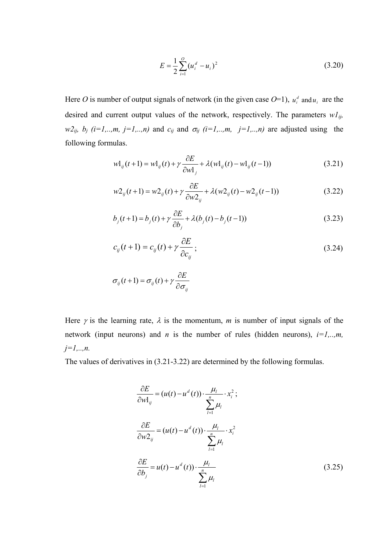$$
E = \frac{1}{2} \sum_{i=1}^{O} (u_i^d - u_i^{})^2
$$
 (3.20)

Here *O* is number of output signals of network (in the given case  $O=1$ ),  $u_i^d$  and  $u_i$  are the desired and current output values of the network, respectively. The parameters  $wI_{ij}$ ,  $w_1, b_j$  (*i*=1,..,*m*, *j*=1,..,*n*) and  $c_{ij}$  and  $\sigma_{ij}$  (*i*=1,..,*m*, *j*=1,..,*n*) are adjusted using the following formulas.

$$
w1_{ij}(t+1) = w1_{ij}(t) + \gamma \frac{\partial E}{\partial w1_{j}} + \lambda (w1_{ij}(t) - w1_{ij}(t-1))
$$
\n(3.21)

$$
w2_{ij}(t+1) = w2_{ij}(t) + \gamma \frac{\partial E}{\partial w2_{ij}} + \lambda (w2_{ij}(t) - w2_{ij}(t-1))
$$
\n(3.22)

$$
b_j(t+1) = b_j(t) + \gamma \frac{\partial E}{\partial b_j} + \lambda (b_j(t) - b_j(t-1))
$$
\n(3.23)

$$
c_{ij}(t+1) = c_{ij}(t) + \gamma \frac{\partial E}{\partial c_{ij}};
$$
\n(3.24)

$$
\sigma_{ij}(t+1) = \sigma_{ij}(t) + \gamma \frac{\partial E}{\partial \sigma_{ij}}
$$

Here  $\gamma$  is the learning rate,  $\lambda$  is the momentum, *m* is number of input signals of the network (input neurons) and *n* is the number of rules (hidden neurons),  $i=1,...,m$ , *j=1,..,n.* 

The values of derivatives in (3.21-3.22) are determined by the following formulas.

$$
\frac{\partial E}{\partial w l_{ij}} = (u(t) - u^d(t)) \cdot \frac{\mu_l}{\sum_{l=1}^n \mu_l} \cdot x_i^2 ;
$$
\n
$$
\frac{\partial E}{\partial w l_{ij}} = (u(t) - u^d(t)) \cdot \frac{\mu_l}{\sum_{l=1}^n \mu_l} \cdot x_i^2
$$
\n
$$
\frac{\partial E}{\partial b_j} = u(t) - u^d(t)) \cdot \frac{\mu_l}{\sum_{l=1}^n \mu_l} \tag{3.25}
$$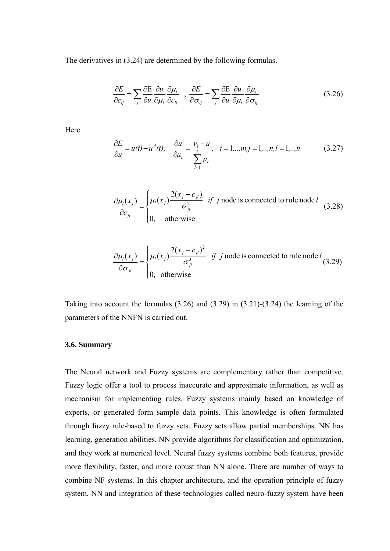The derivatives in (3.24) are determined by the following formulas.

$$
\frac{\partial E}{\partial c_{ij}} = \sum_{j} \frac{\partial E}{\partial u} \frac{\partial u}{\partial \mu_{i}} \frac{\partial \mu_{i}}{\partial c_{ij}} , \frac{\partial E}{\partial \sigma_{ij}} = \sum_{j} \frac{\partial E}{\partial u} \frac{\partial u}{\partial \mu_{i}} \frac{\partial \mu_{i}}{\partial \sigma_{ij}} \tag{3.26}
$$

Here

$$
\frac{\partial E}{\partial u} = u(t) - u^d(t), \quad \frac{\partial u}{\partial \mu_l} = \frac{y_l - u}{\sum_{l=1}^L \mu_l}, \quad i = 1, ..., m, j = 1, ..., n, l = 1, ..., n
$$
 (3.27)

$$
\frac{\partial \mu_i(x_j)}{\partial c_{ji}} = \begin{cases} \mu_i(x_j) \frac{2(x_j - c_{ji})}{\sigma_{ji}^2} & \text{if } j \text{ node is connected to rule node } l \\ 0, & \text{otherwise} \end{cases}
$$
(3.28)

$$
\frac{\partial \mu_i(x_j)}{\partial \sigma_{ji}} = \begin{cases} \mu_i(x_j) \frac{2(x_j - c_{ji})^2}{\sigma_{ji}^3} & \text{if } j \text{ node is connected to rule node } l \\ 0, & \text{otherwise} \end{cases}
$$
(3.29)

Taking into account the formulas (3.26) and (3.29) in (3.21)-(3.24) the learning of the parameters of the NNFN is carried out.

#### **3.6. Summary**

The Neural network and Fuzzy systems are complementary rather than competitive. Fuzzy logic offer a tool to process inaccurate and approximate information, as well as mechanism for implementing rules. Fuzzy systems mainly based on knowledge of experts, or generated form sample data points. This knowledge is often formulated through fuzzy rule-based to fuzzy sets. Fuzzy sets allow partial memberships. NN has learning, generation abilities. NN provide algorithms for classification and optimization, and they work at numerical level. Neural fuzzy systems combine both features, provide more flexibility, faster, and more robust than NN alone. There are number of ways to combine NF systems. In this chapter architecture, and the operation principle of fuzzy system, NN and integration of these technologies called neuro-fuzzy system have been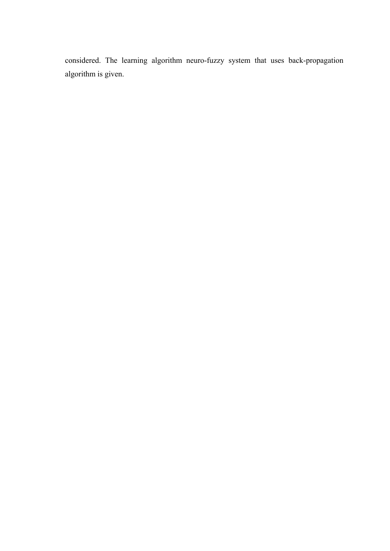considered. The learning algorithm neuro-fuzzy system that uses back-propagation algorithm is given.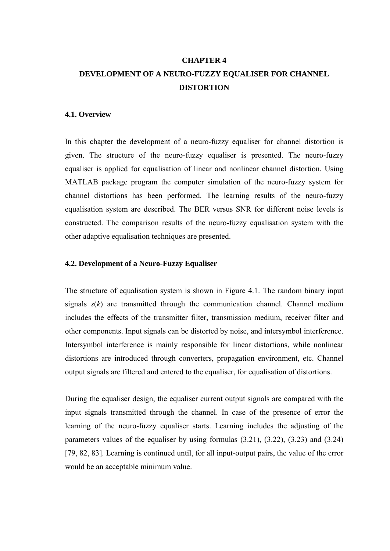# **CHAPTER 4 DEVELOPMENT OF A NEURO-FUZZY EQUALISER FOR CHANNEL DISTORTION**

# **4.1. Overview**

In this chapter the development of a neuro-fuzzy equaliser for channel distortion is given. The structure of the neuro-fuzzy equaliser is presented. The neuro-fuzzy equaliser is applied for equalisation of linear and nonlinear channel distortion. Using MATLAB package program the computer simulation of the neuro-fuzzy system for channel distortions has been performed. The learning results of the neuro-fuzzy equalisation system are described. The BER versus SNR for different noise levels is constructed. The comparison results of the neuro-fuzzy equalisation system with the other adaptive equalisation techniques are presented.

# **4.2. Development of a Neuro-Fuzzy Equaliser**

The structure of equalisation system is shown in Figure 4.1. The random binary input signals  $s(k)$  are transmitted through the communication channel. Channel medium includes the effects of the transmitter filter, transmission medium, receiver filter and other components. Input signals can be distorted by noise, and intersymbol interference. Intersymbol interference is mainly responsible for linear distortions, while nonlinear distortions are introduced through converters, propagation environment, etc. Channel output signals are filtered and entered to the equaliser, for equalisation of distortions.

During the equaliser design, the equaliser current output signals are compared with the input signals transmitted through the channel. In case of the presence of error the learning of the neuro-fuzzy equaliser starts. Learning includes the adjusting of the parameters values of the equaliser by using formulas (3.21), (3.22), (3.23) and (3.24) [79, 82, 83]. Learning is continued until, for all input-output pairs, the value of the error would be an acceptable minimum value.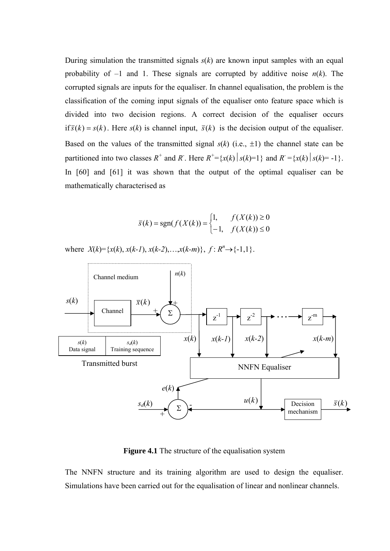During simulation the transmitted signals  $s(k)$  are known input samples with an equal probability of  $-1$  and 1. These signals are corrupted by additive noise  $n(k)$ . The corrupted signals are inputs for the equaliser. In channel equalisation, the problem is the classification of the coming input signals of the equaliser onto feature space which is divided into two decision regions. A correct decision of the equaliser occurs if  $\overline{s}(k) = s(k)$ . Here  $s(k)$  is channel input,  $\overline{s}(k)$  is the decision output of the equaliser. Based on the values of the transmitted signal  $s(k)$  (i.e.,  $\pm 1$ ) the channel state can be partitioned into two classes  $R^+$  and  $R^-$ . Here  $R^+ = \{x(k) | s(k)=1\}$  and  $R^- = \{x(k) | s(k)=-1\}$ . In [60] and [61] it was shown that the output of the optimal equaliser can be mathematically characterised as

$$
\overline{s}(k) = \text{sgn}(f(X(k))) = \begin{cases} 1, & f(X(k)) \ge 0 \\ -1, & f(X(k)) \le 0 \end{cases}
$$



where  $X(k) = \{x(k), x(k-1), x(k-2), \ldots, x(k-m)\}, f: \mathbb{R}^n \to \{-1,1\}.$ 

**Figure 4.1** The structure of the equalisation system

The NNFN structure and its training algorithm are used to design the equaliser. Simulations have been carried out for the equalisation of linear and nonlinear channels.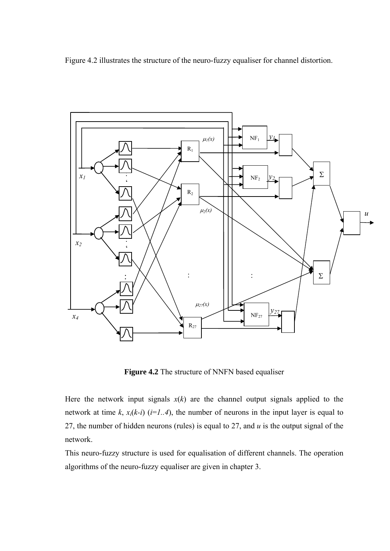Figure 4.2 illustrates the structure of the neuro-fuzzy equaliser for channel distortion.



**Figure 4.2** The structure of NNFN based equaliser

Here the network input signals  $x(k)$  are the channel output signals applied to the network at time  $k$ ,  $x_i(k-i)$  ( $i=1..4$ ), the number of neurons in the input layer is equal to 27, the number of hidden neurons (rules) is equal to 27, and *u* is the output signal of the network.

This neuro-fuzzy structure is used for equalisation of different channels. The operation algorithms of the neuro-fuzzy equaliser are given in chapter 3.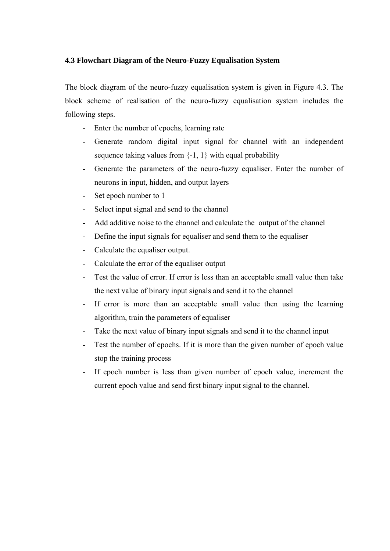# **4.3 Flowchart Diagram of the Neuro-Fuzzy Equalisation System**

The block diagram of the neuro-fuzzy equalisation system is given in Figure 4.3. The block scheme of realisation of the neuro-fuzzy equalisation system includes the following steps.

- Enter the number of epochs, learning rate
- Generate random digital input signal for channel with an independent sequence taking values from  $\{-1, 1\}$  with equal probability
- Generate the parameters of the neuro-fuzzy equaliser. Enter the number of neurons in input, hidden, and output layers
- Set epoch number to 1
- Select input signal and send to the channel
- Add additive noise to the channel and calculate the output of the channel
- Define the input signals for equaliser and send them to the equaliser
- Calculate the equaliser output.
- Calculate the error of the equaliser output
- Test the value of error. If error is less than an acceptable small value then take the next value of binary input signals and send it to the channel
- If error is more than an acceptable small value then using the learning algorithm, train the parameters of equaliser
- Take the next value of binary input signals and send it to the channel input
- Test the number of epochs. If it is more than the given number of epoch value stop the training process
- If epoch number is less than given number of epoch value, increment the current epoch value and send first binary input signal to the channel.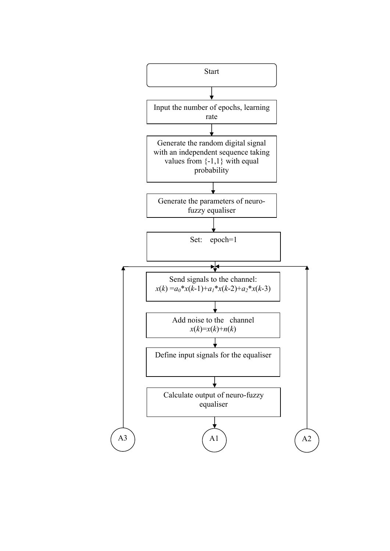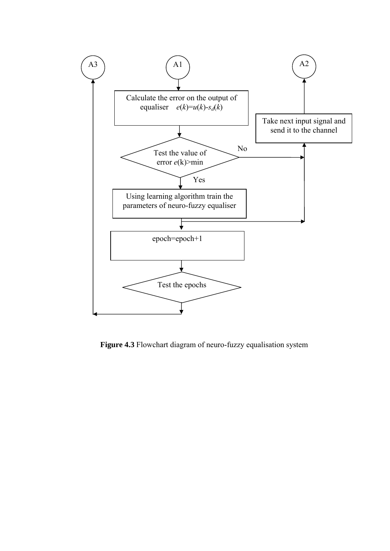

**Figure 4.3** Flowchart diagram of neuro-fuzzy equalisation system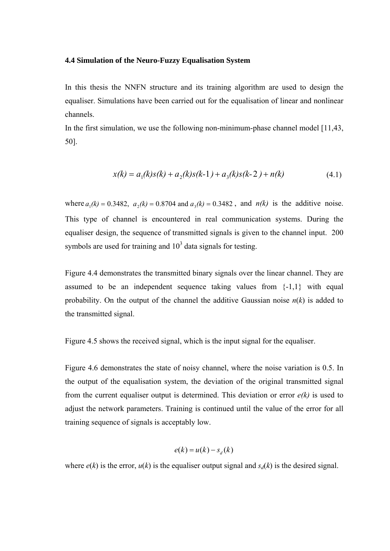#### **4.4 Simulation of the Neuro-Fuzzy Equalisation System**

In this thesis the NNFN structure and its training algorithm are used to design the equaliser. Simulations have been carried out for the equalisation of linear and nonlinear channels.

In the first simulation, we use the following non-minimum-phase channel model [11,43, 50].

$$
x(k) = a_1(k)s(k) + a_2(k)s(k-1) + a_3(k)s(k-2) + n(k)
$$
\n(4.1)

where  $a_1(k) = 0.3482$ ,  $a_2(k) = 0.8704$  and  $a_2(k) = 0.3482$ , and  $n(k)$  is the additive noise. This type of channel is encountered in real communication systems. During the equaliser design, the sequence of transmitted signals is given to the channel input. 200 symbols are used for training and  $10<sup>3</sup>$  data signals for testing.

Figure 4.4 demonstrates the transmitted binary signals over the linear channel. They are assumed to be an independent sequence taking values from  $\{-1,1\}$  with equal probability. On the output of the channel the additive Gaussian noise  $n(k)$  is added to the transmitted signal.

Figure 4.5 shows the received signal, which is the input signal for the equaliser.

Figure 4.6 demonstrates the state of noisy channel, where the noise variation is 0.5. In the output of the equalisation system, the deviation of the original transmitted signal from the current equaliser output is determined. This deviation or error *e(k)* is used to adjust the network parameters. Training is continued until the value of the error for all training sequence of signals is acceptably low.

$$
e(k) = u(k) - s_d(k)
$$

where  $e(k)$  is the error,  $u(k)$  is the equaliser output signal and  $s_d(k)$  is the desired signal.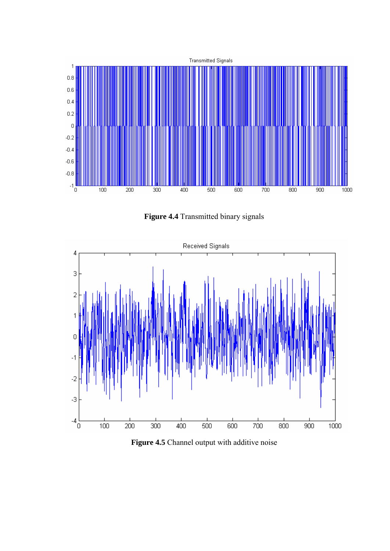

**Figure 4.4** Transmitted binary signals



**Figure 4.5** Channel output with additive noise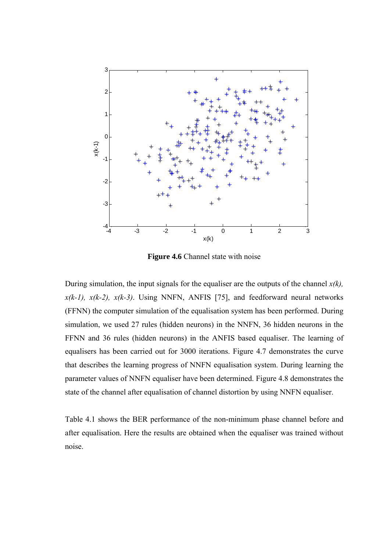

**Figure 4.6** Channel state with noise

During simulation, the input signals for the equaliser are the outputs of the channel  $x(k)$ ,  $x(k-1)$ ,  $x(k-2)$ ,  $x(k-3)$ . Using NNFN, ANFIS [75], and feedforward neural networks (FFNN) the computer simulation of the equalisation system has been performed. During simulation, we used 27 rules (hidden neurons) in the NNFN, 36 hidden neurons in the FFNN and 36 rules (hidden neurons) in the ANFIS based equaliser. The learning of equalisers has been carried out for 3000 iterations. Figure 4.7 demonstrates the curve that describes the learning progress of NNFN equalisation system. During learning the parameter values of NNFN equaliser have been determined. Figure 4.8 demonstrates the state of the channel after equalisation of channel distortion by using NNFN equaliser.

Table 4.1 shows the BER performance of the non-minimum phase channel before and after equalisation. Here the results are obtained when the equaliser was trained without noise.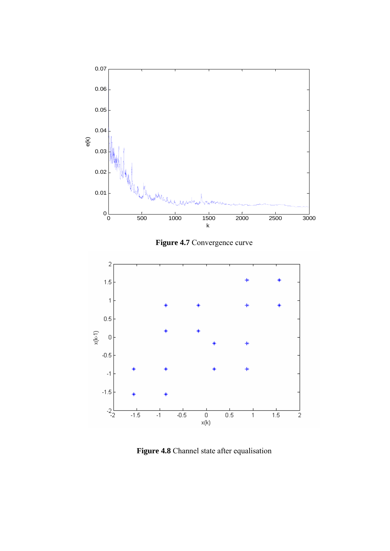

**Figure 4.7** Convergence curve



**Figure 4.8** Channel state after equalisation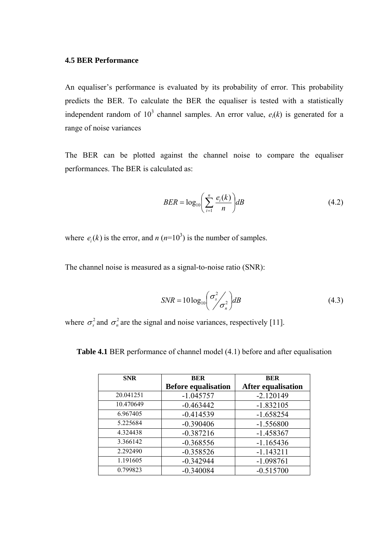#### **4.5 BER Performance**

An equaliser's performance is evaluated by its probability of error. This probability predicts the BER. To calculate the BER the equaliser is tested with a statistically independent random of  $10^3$  channel samples. An error value,  $e_i(k)$  is generated for a range of noise variances

The BER can be plotted against the channel noise to compare the equaliser performances. The BER is calculated as:

$$
BER = \log_{10}\left(\sum_{i=1}^{n} \frac{e_i(k)}{n}\right) dB \tag{4.2}
$$

where  $e_i(k)$  is the error, and *n* (*n*=10<sup>3</sup>) is the number of samples.

The channel noise is measured as a signal-to-noise ratio (SNR):

$$
SNR = 10 \log_{10} \left( \frac{\sigma_s^2}{\sigma_n^2} \right) dB \tag{4.3}
$$

where  $\sigma_s^2$  and  $\sigma_n^2$  are the signal and noise variances, respectively [11].

**Table 4.1** BER performance of channel model (4.1) before and after equalisation

| <b>SNR</b> | <b>BER</b>                 | <b>BER</b>                |  |
|------------|----------------------------|---------------------------|--|
|            | <b>Before equalisation</b> | <b>After equalisation</b> |  |
| 20.041251  | $-1.045757$                | $-2.120149$               |  |
| 10.470649  | $-0.463442$                | $-1.832105$               |  |
| 6.967405   | $-0.414539$                | $-1.658254$               |  |
| 5.225684   | $-0.390406$                | $-1.556800$               |  |
| 4.324438   | $-0.387216$                | $-1.458367$               |  |
| 3.366142   | $-0.368556$                | $-1.165436$               |  |
| 2.292490   | $-0.358526$                | $-1.143211$               |  |
| 1.191605   | $-0.342944$                | $-1.098761$               |  |
| 0.799823   | $-0.340084$                | $-0.515700$               |  |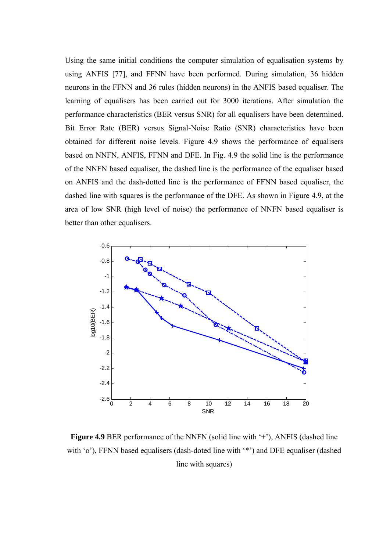Using the same initial conditions the computer simulation of equalisation systems by using ANFIS [77], and FFNN have been performed. During simulation, 36 hidden neurons in the FFNN and 36 rules (hidden neurons) in the ANFIS based equaliser. The learning of equalisers has been carried out for 3000 iterations. After simulation the performance characteristics (BER versus SNR) for all equalisers have been determined. Bit Error Rate (BER) versus Signal-Noise Ratio (SNR) characteristics have been obtained for different noise levels. Figure 4.9 shows the performance of equalisers based on NNFN, ANFIS, FFNN and DFE. In Fig. 4.9 the solid line is the performance of the NNFN based equaliser, the dashed line is the performance of the equaliser based on ANFIS and the dash-dotted line is the performance of FFNN based equaliser, the dashed line with squares is the performance of the DFE. As shown in Figure 4.9, at the area of low SNR (high level of noise) the performance of NNFN based equaliser is better than other equalisers.



**Figure 4.9** BER performance of the NNFN (solid line with '+'), ANFIS (dashed line with 'o'), FFNN based equalisers (dash-doted line with '\*') and DFE equaliser (dashed line with squares)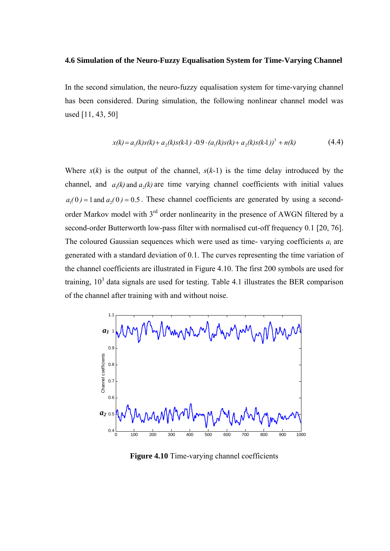#### **4.6 Simulation of the Neuro-Fuzzy Equalisation System for Time-Varying Channel**

In the second simulation, the neuro-fuzzy equalisation system for time-varying channel has been considered. During simulation, the following nonlinear channel model was used [11, 43, 50]

$$
x(k) = a_1(k)s(k) + a_2(k)s(k-1) - 0.9 \cdot (a_1(k)s(k) + a_2(k)s(k-1))^3 + n(k)
$$
\n(4.4)

Where  $x(k)$  is the output of the channel,  $s(k-1)$  is the time delay introduced by the channel, and  $a_1(k)$  and  $a_2(k)$  are time varying channel coefficients with initial values  $a_1(0) = 1$  and  $a_2(0) = 0.5$ . These channel coefficients are generated by using a secondorder Markov model with 3<sup>rd</sup> order nonlinearity in the presence of AWGN filtered by a second-order Butterworth low-pass filter with normalised cut-off frequency 0.1 [20, 76]. The coloured Gaussian sequences which were used as time- varying coefficients  $a_i$  are generated with a standard deviation of 0.1. The curves representing the time variation of the channel coefficients are illustrated in Figure 4.10. The first 200 symbols are used for training,  $10<sup>3</sup>$  data signals are used for testing. Table 4.1 illustrates the BER comparison of the channel after training with and without noise.



**Figure 4.10** Time-varying channel coefficients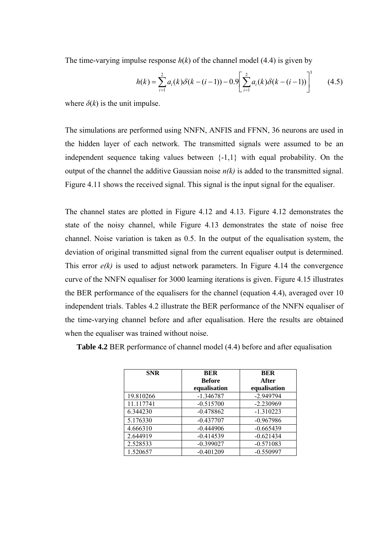The time-varying impulse response  $h(k)$  of the channel model (4.4) is given by

$$
h(k) = \sum_{i=1}^{2} a_i(k)\delta(k - (i-1)) - 0.9 \left[ \sum_{i=1}^{2} a_i(k)\delta(k - (i-1)) \right]^3 \tag{4.5}
$$

where  $\delta(k)$  is the unit impulse.

The simulations are performed using NNFN, ANFIS and FFNN, 36 neurons are used in the hidden layer of each network. The transmitted signals were assumed to be an independent sequence taking values between {-1,1} with equal probability. On the output of the channel the additive Gaussian noise  $n(k)$  is added to the transmitted signal. Figure 4.11 shows the received signal. This signal is the input signal for the equaliser.

The channel states are plotted in Figure 4.12 and 4.13. Figure 4.12 demonstrates the state of the noisy channel, while Figure 4.13 demonstrates the state of noise free channel. Noise variation is taken as 0.5. In the output of the equalisation system, the deviation of original transmitted signal from the current equaliser output is determined. This error  $e(k)$  is used to adjust network parameters. In Figure 4.14 the convergence curve of the NNFN equaliser for 3000 learning iterations is given. Figure 4.15 illustrates the BER performance of the equalisers for the channel (equation 4.4), averaged over 10 independent trials. Tables 4.2 illustrate the BER performance of the NNFN equaliser of the time-varying channel before and after equalisation. Here the results are obtained when the equaliser was trained without noise.

 $\overline{\phantom{0}}$ **SNR BER BER Before After equalisation equalisation**

**Table 4.2** BER performance of channel model (4.4) before and after equalisation

| <b>DIAIN</b> | DER           | DER          |
|--------------|---------------|--------------|
|              | <b>Before</b> | After        |
|              | equalisation  | equalisation |
| 19.810266    | $-1.346787$   | $-2.949794$  |
| 11.117741    | $-0.515700$   | $-2.230969$  |
| 6.344230     | $-0.478862$   | $-1.310223$  |
| 5.176330     | $-0.437707$   | $-0.967986$  |
| 4.666310     | $-0.444906$   | $-0.665439$  |
| 2.644919     | $-0.414539$   | $-0.621434$  |
| 2.528533     | $-0.399027$   | $-0.571083$  |
| 1.520657     | $-0.401209$   | $-0.550997$  |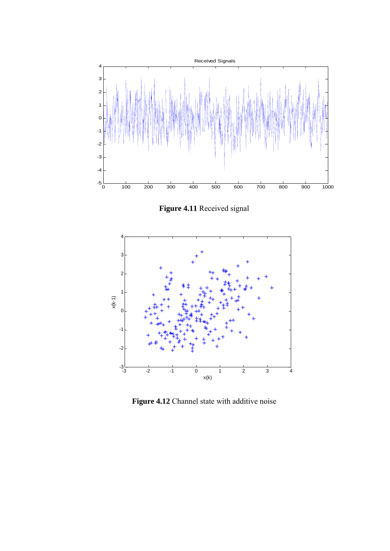

**Figure 4.11** Received signal



**Figure 4.12** Channel state with additive noise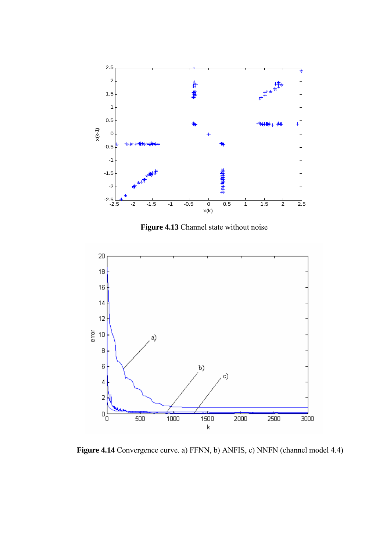

**Figure 4.13** Channel state without noise



**Figure 4.14** Convergence curve. a) FFNN, b) ANFIS, c) NNFN (channel model 4.4)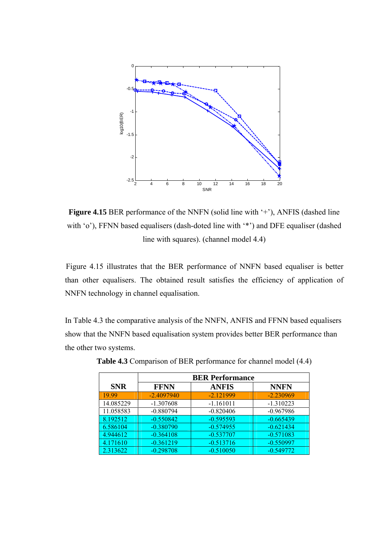

**Figure 4.15** BER performance of the NNFN (solid line with '+'), ANFIS (dashed line with 'o'), FFNN based equalisers (dash-doted line with '\*') and DFE equaliser (dashed line with squares). (channel model 4.4)

Figure 4.15 illustrates that the BER performance of NNFN based equaliser is better than other equalisers. The obtained result satisfies the efficiency of application of NNFN technology in channel equalisation.

In Table 4.3 the comparative analysis of the NNFN, ANFIS and FFNN based equalisers show that the NNFN based equalisation system provides better BER performance than the other two systems.

|            | <b>BER Performance</b> |              |             |
|------------|------------------------|--------------|-------------|
| <b>SNR</b> | <b>FFNN</b>            | <b>ANFIS</b> | <b>NNFN</b> |
| 19.99      | $-2.4097940$           | $-2.121999$  | $-2.230969$ |
| 14.085229  | $-1.307608$            | $-1.161011$  | $-1.310223$ |
| 11.058583  | $-0.880794$            | $-0.820406$  | $-0.967986$ |
| 8.192512   | $-0.550842$            | $-0.595593$  | $-0.665439$ |
| 6.586104   | $-0.380790$            | $-0.574955$  | $-0.621434$ |
| 4.944612   | $-0.364108$            | $-0.537707$  | $-0.571083$ |
| 4.171610   | $-0.361219$            | $-0.513716$  | $-0.550997$ |
| 2.313622   | $-0.298708$            | $-0.510050$  | $-0.549772$ |

**Table 4.3** Comparison of BER performance for channel model (4.4)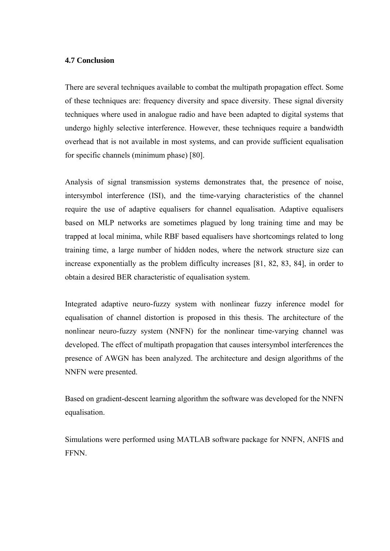# **4.7 Conclusion**

There are several techniques available to combat the multipath propagation effect. Some of these techniques are: frequency diversity and space diversity. These signal diversity techniques where used in analogue radio and have been adapted to digital systems that undergo highly selective interference. However, these techniques require a bandwidth overhead that is not available in most systems, and can provide sufficient equalisation for specific channels (minimum phase) [80].

Analysis of signal transmission systems demonstrates that, the presence of noise, intersymbol interference (ISI), and the time-varying characteristics of the channel require the use of adaptive equalisers for channel equalisation. Adaptive equalisers based on MLP networks are sometimes plagued by long training time and may be trapped at local minima, while RBF based equalisers have shortcomings related to long training time, a large number of hidden nodes, where the network structure size can increase exponentially as the problem difficulty increases [81, 82, 83, 84], in order to obtain a desired BER characteristic of equalisation system.

Integrated adaptive neuro-fuzzy system with nonlinear fuzzy inference model for equalisation of channel distortion is proposed in this thesis. The architecture of the nonlinear neuro-fuzzy system (NNFN) for the nonlinear time-varying channel was developed. The effect of multipath propagation that causes intersymbol interferences the presence of AWGN has been analyzed. The architecture and design algorithms of the NNFN were presented.

Based on gradient-descent learning algorithm the software was developed for the NNFN equalisation.

Simulations were performed using MATLAB software package for NNFN, ANFIS and FFNN.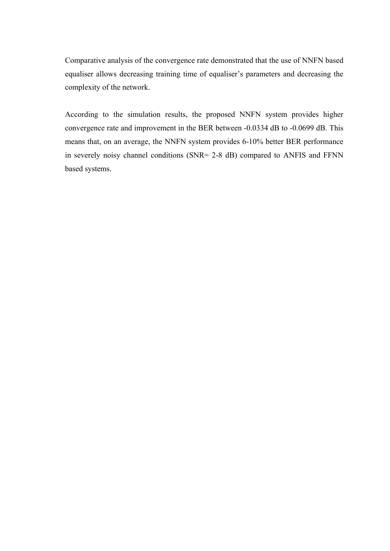Comparative analysis of the convergence rate demonstrated that the use of NNFN based equaliser allows decreasing training time of equaliser's parameters and decreasing the complexity of the network.

According to the simulation results, the proposed NNFN system provides higher convergence rate and improvement in the BER between -0.0334 dB to -0.0699 dB. This means that, on an average, the NNFN system provides 6-10% better BER performance in severely noisy channel conditions (SNR= 2-8 dB) compared to ANFIS and FFNN based systems.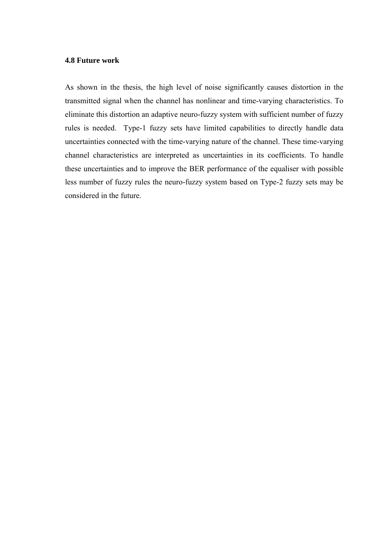# **4.8 Future work**

As shown in the thesis, the high level of noise significantly causes distortion in the transmitted signal when the channel has nonlinear and time-varying characteristics. To eliminate this distortion an adaptive neuro-fuzzy system with sufficient number of fuzzy rules is needed. Type-1 fuzzy sets have limited capabilities to directly handle data uncertainties connected with the time-varying nature of the channel. These time-varying channel characteristics are interpreted as uncertainties in its coefficients. To handle these uncertainties and to improve the BER performance of the equaliser with possible less number of fuzzy rules the neuro-fuzzy system based on Type-2 fuzzy sets may be considered in the future.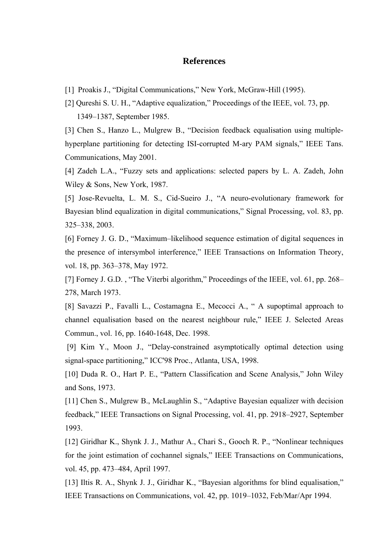# **References**

- [1] Proakis J., "Digital Communications," New York, McGraw-Hill (1995).
- [2] Qureshi S. U. H., "Adaptive equalization," Proceedings of the IEEE, vol. 73, pp. 1349–1387, September 1985.

[3] Chen S., Hanzo L., Mulgrew B., "Decision feedback equalisation using multiplehyperplane partitioning for detecting ISI-corrupted M-ary PAM signals," IEEE Tans. Communications, May 2001.

[4] Zadeh L.A., "Fuzzy sets and applications: selected papers by L. A. Zadeh, John Wiley & Sons, New York, 1987.

[5] Jose-Revuelta, L. M. S., Cid-Sueiro J., "A neuro-evolutionary framework for Bayesian blind equalization in digital communications," Signal Processing, vol. 83, pp. 325–338, 2003.

[6] Forney J. G. D., "Maximum–likelihood sequence estimation of digital sequences in the presence of intersymbol interference," IEEE Transactions on Information Theory, vol. 18, pp. 363–378, May 1972.

[7] Forney J. G.D., "The Viterbi algorithm," Proceedings of the IEEE, vol. 61, pp. 268– 278, March 1973.

[8] Savazzi P., Favalli L., Costamagna E., Mecocci A., " A supoptimal approach to channel equalisation based on the nearest neighbour rule," IEEE J. Selected Areas Commun., vol. 16, pp. 1640-1648, Dec. 1998.

 [9] Kim Y., Moon J., "Delay-constrained asymptotically optimal detection using signal-space partitioning," ICC'98 Proc., Atlanta, USA, 1998.

[10] Duda R. O., Hart P. E., "Pattern Classification and Scene Analysis," John Wiley and Sons, 1973.

[11] Chen S., Mulgrew B., McLaughlin S., "Adaptive Bayesian equalizer with decision feedback," IEEE Transactions on Signal Processing, vol. 41, pp. 2918–2927, September 1993.

[12] Giridhar K., Shynk J. J., Mathur A., Chari S., Gooch R. P., "Nonlinear techniques for the joint estimation of cochannel signals," IEEE Transactions on Communications, vol. 45, pp. 473–484, April 1997.

[13] Iltis R. A., Shynk J. J., Giridhar K., "Bayesian algorithms for blind equalisation," IEEE Transactions on Communications, vol. 42, pp. 1019–1032, Feb/Mar/Apr 1994.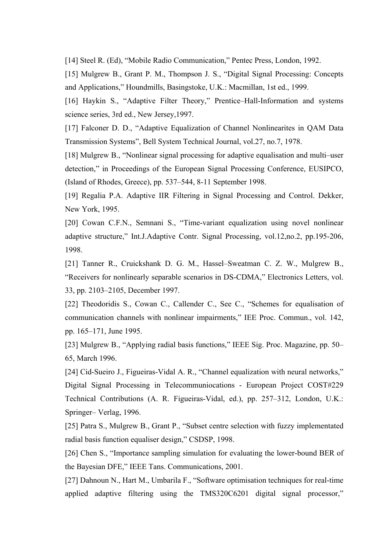[14] Steel R. (Ed), "Mobile Radio Communication," Pentec Press, London, 1992.

[15] Mulgrew B., Grant P. M., Thompson J. S., "Digital Signal Processing: Concepts and Applications," Houndmills, Basingstoke, U.K.: Macmillan, 1st ed., 1999.

[16] Haykin S., "Adaptive Filter Theory," Prentice–Hall-Information and systems science series, 3rd ed., New Jersey,1997.

[17] Falconer D. D., "Adaptive Equalization of Channel Nonlinearites in QAM Data Transmission Systems", Bell System Technical Journal, vol.27, no.7, 1978.

[18] Mulgrew B., "Nonlinear signal processing for adaptive equalisation and multi–user detection," in Proceedings of the European Signal Processing Conference, EUSIPCO, (Island of Rhodes, Greece), pp. 537–544, 8-11 September 1998.

[19] Regalia P.A. Adaptive IIR Filtering in Signal Processing and Control. Dekker, New York, 1995.

[20] Cowan C.F.N., Semnani S., "Time-variant equalization using novel nonlinear adaptive structure," Int.J.Adaptive Contr. Signal Processing, vol.12,no.2, pp.195-206, 1998.

[21] Tanner R., Cruickshank D. G. M., Hassel–Sweatman C. Z. W., Mulgrew B., "Receivers for nonlinearly separable scenarios in DS-CDMA," Electronics Letters, vol. 33, pp. 2103–2105, December 1997.

[22] Theodoridis S., Cowan C., Callender C., See C., "Schemes for equalisation of communication channels with nonlinear impairments," IEE Proc. Commun., vol. 142, pp. 165–171, June 1995.

[23] Mulgrew B., "Applying radial basis functions," IEEE Sig. Proc. Magazine, pp. 50– 65, March 1996.

[24] Cid-Sueiro J., Figueiras-Vidal A. R., "Channel equalization with neural networks," Digital Signal Processing in Telecommuniocations - European Project COST#229 Technical Contributions (A. R. Figueiras-Vidal, ed.), pp. 257–312, London, U.K.: Springer– Verlag, 1996.

[25] Patra S., Mulgrew B., Grant P., "Subset centre selection with fuzzy implementated radial basis function equaliser design," CSDSP, 1998.

[26] Chen S., "Importance sampling simulation for evaluating the lower-bound BER of the Bayesian DFE," IEEE Tans. Communications, 2001.

[27] Dahnoun N., Hart M., Umbarila F., "Software optimisation techniques for real-time applied adaptive filtering using the TMS320C6201 digital signal processor,"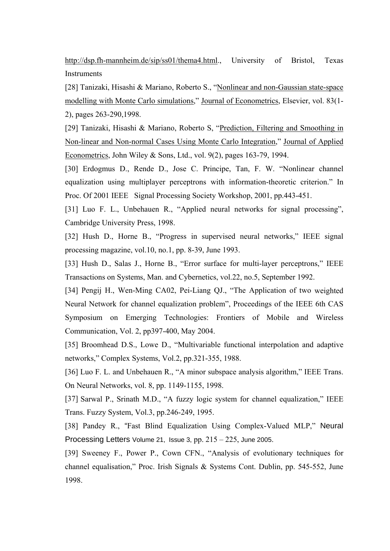<http://dsp.fh-mannheim.de/sip/ss01/thema4.html>., University of Bristol, Texas Instruments

[28] Tanizaki, Hisashi & Mariano, Roberto S., ["Nonlinear and non-Gaussian state-space](http://ideas.repec.org/a/eee/econom/v83y1998i1-2p263-290.html)  [modelling with Monte Carlo simulations,](http://ideas.repec.org/a/eee/econom/v83y1998i1-2p263-290.html)" [Journal of Econometrics](http://ideas.repec.org/s/eee/econom.html), Elsevier, vol. 83(1- 2), pages 263-290,1998.

[29] Tanizaki, Hisashi & Mariano, Roberto S, ["Prediction, Filtering and Smoothing in](http://ideas.repec.org/a/jae/japmet/v9y1994i2p163-79.html)  [Non-linear and Non-normal Cases Using Monte Carlo Integration,](http://ideas.repec.org/a/jae/japmet/v9y1994i2p163-79.html)" [Journal of Applied](http://ideas.repec.org/s/jae/japmet.html)  [Econometrics](http://ideas.repec.org/s/jae/japmet.html), John Wiley & Sons, Ltd., vol. 9(2), pages  $163-79$ , 1994.

[30] Erdogmus D., Rende D., Jose C. Principe, Tan, F. W. "Nonlinear channel equalization using multiplayer perceptrons with information-theoretic criterion." In Proc. Of 2001 IEEE Signal Processing Society Workshop, 2001, pp.443-451.

[31] Luo F. L., Unbehauen R., "Applied neural networks for signal processing", Cambridge University Press, 1998.

[32] Hush D., Horne B., "Progress in supervised neural networks," IEEE signal processing magazine, vol.10, no.1, pp. 8-39, June 1993.

[33] Hush D., Salas J., Horne B., "Error surface for multi-layer perceptrons," IEEE Transactions on Systems, Man. and Cybernetics, vol.22, no.5, September 1992.

[34] Pengij H., Wen-Ming CA02, Pei-Liang QJ., "The Application of two weighted Neural Network for channel equalization problem", Proceedings of the IEEE 6th CAS Symposium on Emerging Technologies: Frontiers of Mobile and Wireless Communication, Vol. 2, pp397-400, May 2004.

[35] Broomhead D.S., Lowe D., "Multivariable functional interpolation and adaptive networks," Complex Systems, Vol.2, pp.321-355, 1988.

[36] Luo F. L. and Unbehauen R., "A minor subspace analysis algorithm," IEEE Trans. On Neural Networks, vol. 8, pp. 1149-1155, 1998.

[37] Sarwal P., Srinath M.D., "A fuzzy logic system for channel equalization," IEEE Trans. Fuzzy System, Vol.3, pp.246-249, 1995.

[38] Pandey R., "Fast Blind Equalization Using Complex-Valued MLP," Neural Processing Letters Volume 21, Issue 3, pp. 215 – 225, June 2005.

[39] Sweeney F., Power P., Cown CFN., "Analysis of evolutionary techniques for channel equalisation," Proc. Irish Signals & Systems Cont. Dublin, pp. 545-552, June 1998.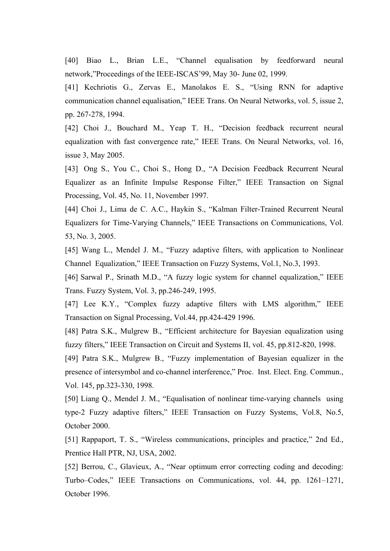[40] Biao L., Brian L.E., "Channel equalisation by feedforward neural network,"Proceedings of the IEEE-ISCAS'99, May 30- June 02, 1999.

[41] Kechriotis G., Zervas E., Manolakos E. S., "Using RNN for adaptive communication channel equalisation," IEEE Trans. On Neural Networks, vol. 5, issue 2, pp. 267-278, 1994.

[42] Choi J., Bouchard M., Yeap T. H., "Decision feedback recurrent neural equalization with fast convergence rate," IEEE Trans. On Neural Networks, vol. 16, issue 3, May 2005.

[43] Ong S., You C., Choi S., Hong D., "A Decision Feedback Recurrent Neural Equalizer as an Infinite Impulse Response Filter," IEEE Transaction on Signal Processing, Vol. 45, No. 11, November 1997.

[44] Choi J., Lima de C. A.C., Haykin S., "Kalman Filter-Trained Recurrent Neural Equalizers for Time-Varying Channels," IEEE Transactions on Communications, Vol. 53, No. 3, 2005.

[45] Wang L., Mendel J. M., "Fuzzy adaptive filters, with application to Nonlinear Channel Equalization," IEEE Transaction on Fuzzy Systems, Vol.1, No.3, 1993.

[46] Sarwal P., Srinath M.D., "A fuzzy logic system for channel equalization," IEEE Trans. Fuzzy System, Vol. 3, pp.246-249, 1995.

[47] Lee K.Y., "Complex fuzzy adaptive filters with LMS algorithm," IEEE Transaction on Signal Processing, Vol.44, pp.424-429 1996.

[48] Patra S.K., Mulgrew B., "Efficient architecture for Bayesian equalization using fuzzy filters," IEEE Transaction on Circuit and Systems II, vol. 45, pp.812-820, 1998.

[49] Patra S.K., Mulgrew B., "Fuzzy implementation of Bayesian equalizer in the presence of intersymbol and co-channel interference," Proc. Inst. Elect. Eng. Commun., Vol. 145, pp.323-330, 1998.

[50] Liang Q., Mendel J. M., "Equalisation of nonlinear time-varying channels using type-2 Fuzzy adaptive filters," IEEE Transaction on Fuzzy Systems, Vol.8, No.5, October 2000.

[51] Rappaport, T. S., "Wireless communications, principles and practice," 2nd Ed., Prentice Hall PTR, NJ, USA, 2002.

[52] Berrou, C., Glavieux, A., "Near optimum error correcting coding and decoding: Turbo–Codes," IEEE Transactions on Communications, vol. 44, pp. 1261–1271, October 1996.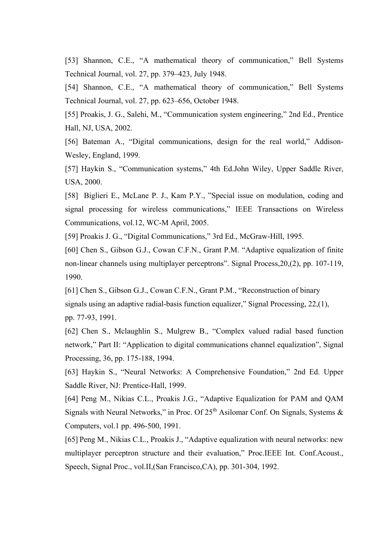[53] Shannon, C.E., "A mathematical theory of communication," Bell Systems Technical Journal, vol. 27, pp. 379–423, July 1948.

[54] Shannon, C.E., "A mathematical theory of communication," Bell Systems Technical Journal, vol. 27, pp. 623–656, October 1948.

[55] Proakis, J. G., Salehi, M., "Communication system engineering," 2nd Ed., Prentice Hall, NJ, USA, 2002.

[56] Bateman A., "Digital communications, design for the real world," Addison-Wesley, England, 1999.

[57] Haykin S., "Communication systems," 4th Ed.John Wiley, Upper Saddle River, USA, 2000.

[58] Biglieri E., McLane P. J., Kam P.Y., "Special issue on modulation, coding and signal processing for wireless communications," IEEE Transactions on Wireless Communications, vol.12, WC-M April, 2005.

[59] Proakis J. G., "Digital Communications," 3rd Ed., McGraw-Hill, 1995.

[60] Chen S., Gibson G.J., Cowan C.F.N., Grant P.M. "Adaptive equalization of finite non-linear channels using multiplayer perceptrons". Signal Process,20,(2), pp. 107-119, 1990.

[61] Chen S., Gibson G.J., Cowan C.F.N., Grant P.M., "Reconstruction of binary signals using an adaptive radial-basis function equalizer," Signal Processing, 22,(1), pp. 77-93, 1991.

[62] Chen S., Mclaughlin S., Mulgrew B., "Complex valued radial based function network," Part II: "Application to digital communications channel equalization", Signal Processing, 36, pp. 175-188, 1994.

[63] Haykin S., "Neural Networks: A Comprehensive Foundation," 2nd Ed. Upper Saddle River, NJ: Prentice-Hall, 1999.

[64] Peng M., Nikias C.L., Proakis J.G., "Adaptive Equalization for PAM and QAM Signals with Neural Networks," in Proc. Of  $25<sup>th</sup>$  Asilomar Conf. On Signals, Systems & Computers, vol.1 pp. 496-500, 1991.

[65] Peng M., Nikias C.L., Proakis J., "Adaptive equalization with neural networks: new multiplayer perceptron structure and their evaluation," Proc.IEEE Int. Conf.Acoust., Speech, Signal Proc., vol.II,(San Francisco,CA), pp. 301-304, 1992.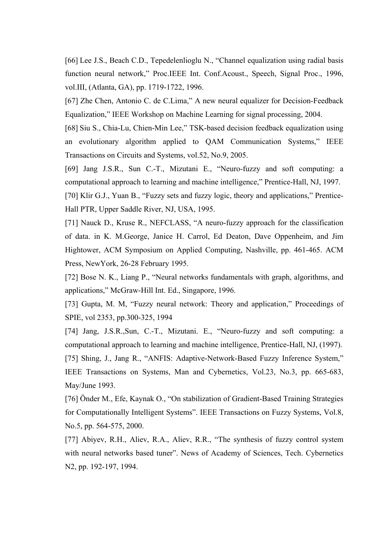[66] Lee J.S., Beach C.D., Tepedelenlioglu N., "Channel equalization using radial basis function neural network," Proc.IEEE Int. Conf.Acoust., Speech, Signal Proc., 1996, vol.III, (Atlanta, GA), pp. 1719-1722, 1996.

[67] Zhe Chen, Antonio C. de C.Lima," A new neural equalizer for Decision-Feedback Equalization," IEEE Workshop on Machine Learning for signal processing, 2004.

[68] Siu S., Chia-Lu, Chien-Min Lee," TSK-based decision feedback equalization using an evolutionary algorithm applied to QAM Communication Systems," IEEE Transactions on Circuits and Systems, vol.52, No.9, 2005.

[69] Jang J.S.R., Sun C.-T., Mizutani E., "Neuro-fuzzy and soft computing: a computational approach to learning and machine intelligence," Prentice-Hall, NJ, 1997.

[70] Klir G.J., Yuan B., "Fuzzy sets and fuzzy logic, theory and applications," Prentice-Hall PTR, Upper Saddle River, NJ, USA, 1995.

[71] Nauck D., Kruse R., NEFCLASS, "A neuro-fuzzy approach for the classification of data. in K. M.George, Janice H. Carrol, Ed Deaton, Dave Oppenheim, and Jim Hightower, ACM Symposium on Applied Computing, Nashville, pp. 461-465. ACM Press, NewYork, 26-28 February 1995.

[72] Bose N. K., Liang P., "Neural networks fundamentals with graph, algorithms, and applications," McGraw-Hill Int. Ed., Singapore, 1996.

[73] Gupta, M. M, "Fuzzy neural network: Theory and application," Proceedings of SPIE, vol 2353, pp.300-325, 1994

[74] Jang, J.S.R.,Sun, C.-T., Mizutani. E., "Neuro-fuzzy and soft computing: a computational approach to learning and machine intelligence, Prentice-Hall, NJ, (1997).

[75] Shing, J., Jang R., "ANFIS: Adaptive-Network-Based Fuzzy Inference System," IEEE Transactions on Systems, Man and Cybernetics, Vol.23, No.3, pp. 665-683, May/June 1993.

[76] Önder M., Efe, Kaynak O., "On stabilization of Gradient-Based Training Strategies for Computationally Intelligent Systems". IEEE Transactions on Fuzzy Systems, Vol.8, No.5, pp. 564-575, 2000.

[77] Abiyev, R.H., Aliev, R.A., Aliev, R.R., "The synthesis of fuzzy control system with neural networks based tuner". News of Academy of Sciences, Tech. Cybernetics N2, pp. 192-197, 1994.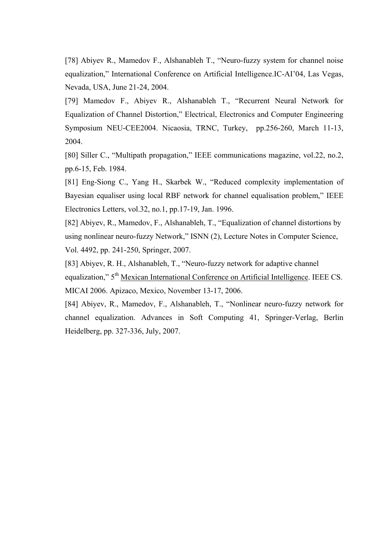[78] Abiyev R., Mamedov F., Alshanableh T., "Neuro-fuzzy system for channel noise equalization," International Conference on Artificial Intelligence.IC-AI'04, Las Vegas, Nevada, USA, June 21-24, 2004.

[79] Mamedov F., Abiyev R., Alshanableh T., "Recurrent Neural Network for Equalization of Channel Distortion," Electrical, Electronics and Computer Engineering Symposium NEU-CEE2004. Nicaosia, TRNC, Turkey, pp.256-260, March 11-13, 2004.

[80] Siller C., "Multipath propagation," IEEE communications magazine, vol.22, no.2, pp.6-15, Feb. 1984.

[81] Eng-Siong C., Yang H., Skarbek W., "Reduced complexity implementation of Bayesian equaliser using local RBF network for channel equalisation problem," IEEE Electronics Letters, vol.32, no.1, pp.17-19, Jan. 1996.

[82] Abiyev, R., Mamedov, F., Alshanableh, T., "Equalization of channel distortions by using nonlinear neuro-fuzzy Network," ISNN (2), Lecture Notes in Computer Science, Vol. 4492, pp. 241-250, Springer, 2007.

[83] Abiyev, R. H., Alshanableh, T., "Neuro-fuzzy network for adaptive channel equalization,"  $5<sup>th</sup>$  [Mexican International Conference on Artificial Intelligence.](http://www.micai.org/) IEEE CS. MICAI 2006. [Apizaco,](http://www.itapizaco.edu.mx/~orionfrg/micai2006/) Mexico, November 13-17, 2006.

[84] Abiyev, R., Mamedov, F., Alshanableh, T., "Nonlinear neuro-fuzzy network for channel equalization. Advances in Soft Computing 41, Springer-Verlag, Berlin Heidelberg, pp. 327-336, July, 2007.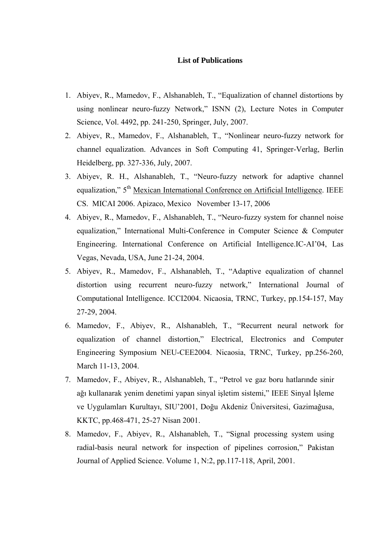# **List of Publications**

- 1. Abiyev, R., Mamedov, F., Alshanableh, T., "Equalization of channel distortions by using nonlinear neuro-fuzzy Network," ISNN (2), Lecture Notes in Computer Science, Vol. 4492, pp. 241-250, Springer, July, 2007.
- 2. Abiyev, R., Mamedov, F., Alshanableh, T., "Nonlinear neuro-fuzzy network for channel equalization. Advances in Soft Computing 41, Springer-Verlag, Berlin Heidelberg, pp. 327-336, July, 2007.
- 3. Abiyev, R. H., Alshanableh, T., "Neuro-fuzzy network for adaptive channel equalization,"  $5<sup>th</sup>$  [Mexican International Conference on Artificial Intelligence.](http://www.micai.org/) IEEE CS. MICAI 2006. [Apizaco](http://www.itapizaco.edu.mx/~orionfrg/micai2006/), Mexico November 13-17, 2006
- 4. Abiyev, R., Mamedov, F., Alshanableh, T., "Neuro-fuzzy system for channel noise equalization," International Multi-Conference in Computer Science & Computer Engineering. International Conference on Artificial Intelligence.IC-AI'04, Las Vegas, Nevada, USA, June 21-24, 2004.
- 5. Abiyev, R., Mamedov, F., Alshanableh, T., "Adaptive equalization of channel distortion using recurrent neuro-fuzzy network," International Journal of Computational Intelligence. ICCI2004. Nicaosia, TRNC, Turkey, pp.154-157, May 27-29, 2004.
- 6. Mamedov, F., Abiyev, R., Alshanableh, T., "Recurrent neural network for equalization of channel distortion," Electrical, Electronics and Computer Engineering Symposium NEU-CEE2004. Nicaosia, TRNC, Turkey, pp.256-260, March 11-13, 2004.
- 7. Mamedov, F., Abiyev, R., Alshanableh, T., "Petrol ve gaz boru hatlarınde sinir ağı kullanarak yenim denetimi yapan sinyal işletim sistemi," IEEE Sinyal İşleme ve Uygulamları Kurultayı, SIU'2001, Doğu Akdeniz Üniversitesi, Gazimağusa, KKTC, pp.468-471, 25-27 Nisan 2001.
- 8. Mamedov, F., Abiyev, R., Alshanableh, T., "Signal processing system using radial-basis neural network for inspection of pipelines corrosion," Pakistan Journal of Applied Science. Volume 1, N:2, pp.117-118, April, 2001.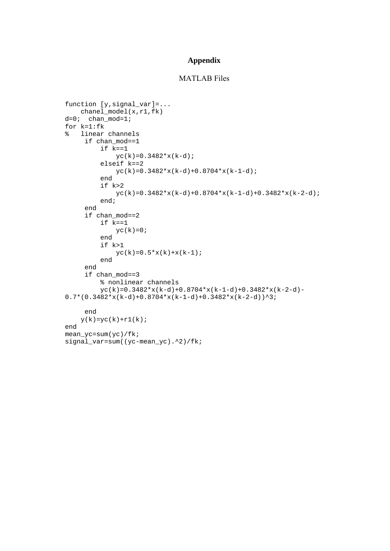# **Appendix**

# MATLAB Files

```
function [y,signal_var]=... 
    chanel model(x,r1,fk)
d=0; chan mod=1;for k=1:fk 
% linear channels 
      if chan_mod==1 
          if k==1 
             yc(k)=0.3482*x(k-d); elseif k==2 
              yc(k)=0.3482*x(k-d)+0.8704*x(k-1-d); end 
          if k>2 
             yc(k)=0.3482*x(k-d)+0.8704*x(k-1-d)+0.3482*x(k-2-d); end; 
      end 
      if chan_mod==2 
          if k==1 
             yc(k)=0; end 
          if k>1 
             yc(k)=0.5*x(k)+x(k-1); end 
      end 
      if chan_mod==3 
          % nonlinear channels 
          yc(k)=0.3482*x(k-d)+0.8704*x(k-1-d)+0.3482*x(k-2-d)-
0.7*(0.3482*x(k-d)+0.8704*x(k-1-d)+0.3482*x(k-2-d))^3;
      end 
    y(k)=yc(k)+r1(k);end 
mean yc=sum(yc)/fk;
signal var=sum((yc-mean yc).^2)/fk;
```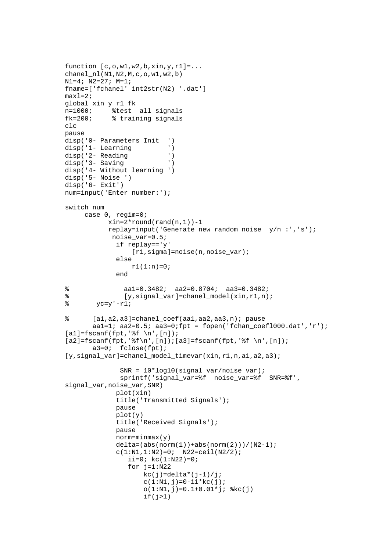```
function [c, o, w1, w2, b, xin, y, r1]=...chanel_nl(N1,N2,M,c,o,w1,w2,b) 
N1=4; N2=27; M=1; 
fname=['fchanel' int2str(N2) '.dat'] 
max1=2;global xin y r1 fk 
n=1000; %test all signals 
fk=200; % training signals 
clc 
pause 
disp('0- Parameters Init ')<br>disp('1- Learning ')
disp('1- Learning ')<br>
diam('2 - Reading ' )disp('2- Reading ')<br>
dien('3- Saving ')
disp('3- Savingdisp('4- Without learning ') 
disp('5- Noise ') 
disp('6- Exit') 
num=input('Enter number:'); 
switch num 
      case 0, regim=0; 
            xin=2*round(rand(n,1)) - 1 replay=input('Generate new random noise y/n :','s'); 
              noise_var=0.5; 
               if replay=='y' 
                    [r1,sigma]=noise(n,noise_var); 
               else 
                  r1(1:n)=0; end 
% aa1=0.3482; aa2=0.8704; aa3=0.3482;<br>(y.sigmal_varl=chanel_model(xin.rl.n)
% [y, signal\_var]=channel\_model(xin, r1, n);<br>% vc=v'-r1;yc=y'-r1;% [a1,a2,a3]=chanel_coef(aa1,aa2,aa3,n); pause 
        aa1=1; aa2=0.5; aa3=0;fpt = fopen('fchan coefl000.dat','r');
[a1]=fscanf(fpt,' \n', [n]);
[a2]=fscanf(fpt,' f\n',[n]);[a3]=fscanf(fpt,' f \n',[n]);
         a3=0; fclose(fpt); 
[y,signal var]=channel model timevar(xin,r1,n,al,a2,a3);SNR = 10*log10 (signal var/noise var);
                sprintf('signal_var=%f noise_var=%f SNR=%f', 
signal var, noise var, SNR)
               plot(xin) 
               title('Transmitted Signals'); 
               pause 
               plot(y) 
               title('Received Signals'); 
               pause 
               norm=minmax(y) 
               delta=(abs(norm(1))+abs(norm(2)))/(N2-1); 
              c(1:N1,1:N2)=0; N22=ceil(N2/2);ii=0; kc(1:N22)=0; for j=1:N22 
                      kc(j)=delta*(j-1)/jic(1:N1,j)=0-ii*kc(j);o(1:N1,j)=0.1+0.01*ji kc(j)if(j>1)
```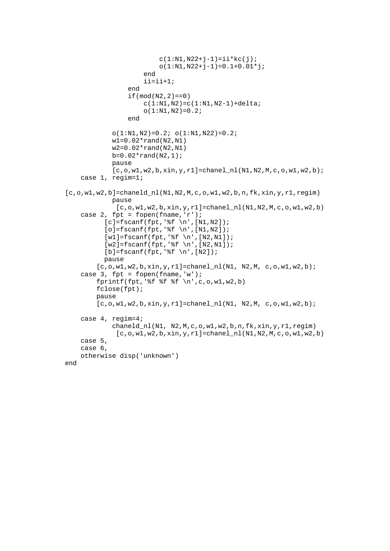```
c(1:N1, N22+j-1)=i i * k c(j);o(1:N1, N22+j-1)=0.1+0.01*j;end and state of the state of the state of the state of the state of the state of the state of the state of th
                       i i = i i + 1; end 
                    if(mod(N2,2)==0) 
                       c(1:N1,N2)=c(1:N1,N2-1)+deltao(1:N1,N2)=0.2; end 
              o(1:N1,N2)=0.2; o(1:N1,N22)=0.2;w1=0.02*rand(N2,N1) w2=0.02*rand(N2,N1) 
              b=0.02*rand(N2,1); pause 
              [c, o, w1, w2, b, xin, y, r1] = channel_n1(N1, N2, M, c, o, w1, w2, b); case 1, regim=1; 
[c, o, w1, w2, b]=chaneld_nl(N1,N2,M,c,o,w1,w2,b,n,fk,xin,y,r1,regim)
              pause 
               [c, o, w1, w2, b, x in, y, r1] = channel_n1(N1,N2,M,c, o, w1, w2, b)case 2, fpt = fopen(fname, 'r');
            [c]=fscanf(fpt,' \n', [N1,N2]);
            [o]=fscanf(fpt,' \n',[N1,N2]);
            [w1]=fscant(fpt,' \n', [N2,N1]);
           [w2]=fscanf(fpt,' \n', [N2,N1]);
            [b]=fscanf(fpt,'%f \n',[N2]); 
            pause 
          [c,o,w1,w2,b,xin,y,r1]=chanel_nl(N1, N2,M, c,o,w1,w2,b); 
    case 3, fpt = fopen(fname, 'w');
         fprintf(fpt,'%f %f %f \n',c,o,w1,w2,b)
          fclose(fpt); 
          pause 
         [c,o,w1,w2,b,xin,y,r1]=chanel_nl(N1, N2,M, c,o,w1,w2,b);
     case 4, regim=4; 
              chaneld_nl(N1, N2, M, c, o, w1, w2, b, n, fk, xin, y, r1, regim)
               [c, o, w1, w2, b, x in, y, r1] = channel_n1(N1,N2,M,c, o, w1, w2, b) case 5, 
     case 6, 
     otherwise disp('unknown') 
end
```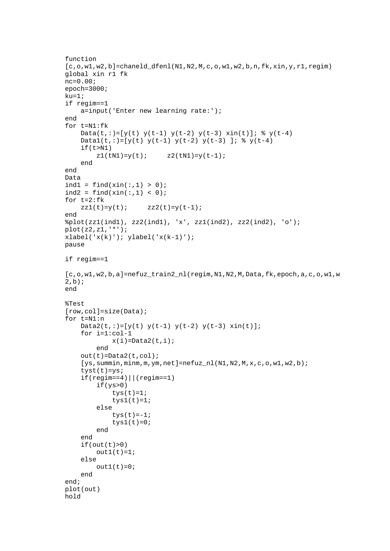```
function 
[c, o, w1, w2, b] = channeld_dfenl(N1,N2,M,c,o,w1,w2,b,n,fk,xin,y,r1,regim)global xin r1 fk 
nc=0.00; 
epoch=3000; 
ku=1;if regim==1 
     a=input('Enter new learning rate:'); 
end 
for t=N1:fk 
    Data(t,:)=[y(t) y(t-1) y(t-2) y(t-3) xin(t)]; \frac{1}{2} y(t-4)
    Datal(t,:)=[y(t) y(t-1) y(t-2) y(t-3) ]; \frac{1}{2} y(t-4)
    if(t>NI)z1(tM1)=y(t); z2(tM1)=y(t-1); end 
end 
Data 
ind1 = find(xin(:,1) > 0);ind2 = find(xin(:,1) < 0);for t=2:fk 
    zz1(t)=y(t); zz2(t)=y(t-1);end 
\philot(zz1(ind1), zz2(ind1), 'x', zz1(ind2), zz2(ind2), 'o');
plot(z2, z1, '*);
xlabel('x(k)'); ylabel('x(k-1)'); 
pause 
if regim==1 
[c,o,w1,w2,b,a]=nefuz_train2_nl(regim,N1,N2,M,Data,fk,epoch,a,c,o,w1,w
2,b); 
end 
%Test 
[row,col]=size(Data); 
for t=N1:n 
    Data2(t,:)=[y(t) y(t-1) y(t-2) y(t-3) xin(t)];
     for i=1:col-1 
             x(i)=Data2(t,i); end 
    out(t)=Data2(t, col);[ys, summin,min,m,ym,net]=nefuz nl(N1,N2,M,x,c,o,w1,w2,b);
     tyst(t)=ys; 
    if(regim==4)||(regim==1) if(ys>0) 
             tys(t)=1;tys1(t)=1; else 
             tys(t)=-1;tys1(t)=0; end 
     end 
    if(out(t)>0)out1(t)=1; else 
        out1(t)=0; end 
end; 
plot(out) 
hold
```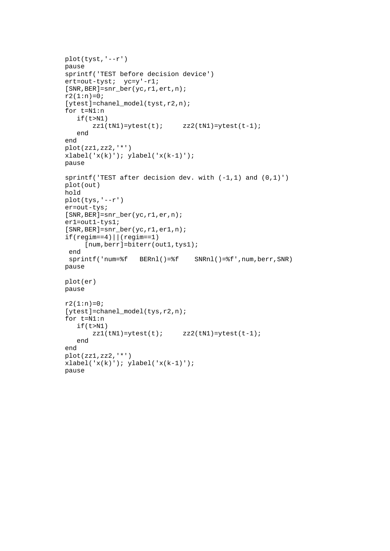```
plot(tyst,'--r') 
pause 
sprintf('TEST before decision device') 
ert=out-tyst; yc=y'-r1; 
[SNR,BER]=snr_ber(yc,r1,ert,n); 
r2(1:n)=0;[ytest]=chanel_model(tyst,r2,n);
for t=N1:n 
   if(t>N1)zz1(tN1)=ytest(t); zz2(tN1)=ytest(t-1); end 
end 
plot(zz1,zz2,'*') 
xlabel('x(k)'); ylabel('x(k-1)');pause 
sprintf('TEST after decision dev. with (-1,1) and (0,1)')
plot(out) 
hold 
plot(tys,'--r')er=out-tys; 
[SNR, BER] = snr_ber(yc, r1, er, n);er1=out1-tys1; 
[SNR, BER] = snr\,ber(yc,rl,er1,n);if(regim==4)||(regim==1) [num,berr]=biterr(out1,tys1); 
  end 
 sprintf('num=%f BERnl()=%f SNRnl()=%f',num,berr,SNR) 
pause 
plot(er) 
pause 
r2(1:n)=0;[ytest]=chanel_model(tys,r2,n);
for t=N1:n 
   if(t>N1)zz1(tM1)=ytest(t); zz2(tM1)=ytest(t-1); end 
end 
plot(zz1,zz2,'')xlabel('x(k)'); ylabel('x(k-1)');pause
```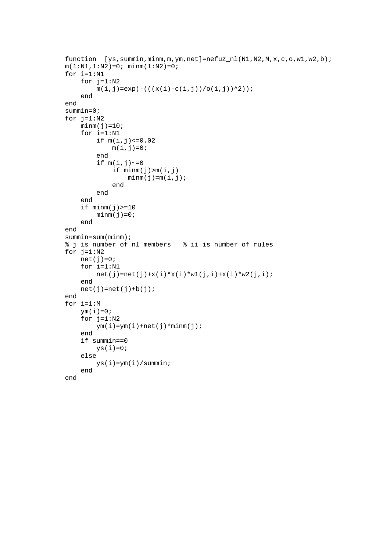```
function [ys, summin, minm, m, ym, net]=nefuz_nl(N1, N2, M, x, c, o, w1, w2, b);
m(1:N1,1:N2)=0; minm(1:N2)=0;for i=1:N1 
     for j=1:N2 
         m(i,j)=exp(-(((x(i)-c(i,j)))/o(i,j))^2); end 
end 
summin=0; 
for j=1:N2 
    minm(j)=10;
     for i=1:N1 
         if m(i, j) < = 0.02m(i, j) = 0; end 
         if m(i, j) \sim 0if minm(j) > m(i,j)minm(j)=m(i,j); end 
          end 
     end 
    if minm(j) >=10
         minm(j)=0; end 
end 
summin=sum(minm); 
% j is number of nl members % ii is number of rules 
for j=1:N2 
    net(j)=0; for i=1:N1 
         net(j)=net(j)+x(i)*x(i)*w1(j,i)+x(i)*w2(j,i); end 
    net(j)=net(j)+b(j);end 
for i=1:M 
    \texttt{ym}(\texttt{i})\texttt{=}0\texttt{;}for j=1:N2ym(i)=ym(i)+net(j)*minm(j); end 
     if summin==0 
          ys(i)=0; 
     else 
         ys(i)=ym(i)/summin; end 
end
```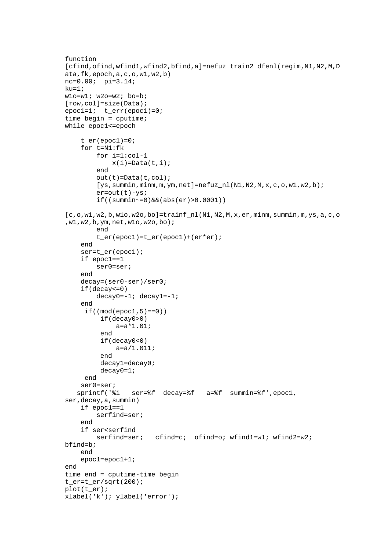```
function 
[cfind,ofind,wfind1,wfind2,bfind,a]=nefuz_train2_dfenl(regim,N1,N2,M,D
ata,fk,epoch,a,c,o,w1,w2,b) 
nc=0.00; pi=3.14; 
k_{11}=1;w1o=w1; w2o=w2; bo=b; 
[row,col]=size(Data); 
epoc1=1; t_err(epoc1)=0; 
time_begin = cputime; 
while epoc1<=epoch 
    t<sub>er</sub>(epoc1)=0;
     for t=N1:fk 
         for i=1:col-1 
             x(i)=Data(t,i); end 
         out(t)=Data(t, col);[ys, summin,min,m,ym,net]=nefuz_nl(N1,N2,M,x,c,o,w1,w2,b);er=out(t)-ys; if((summin~=0)&&(abs(er)>0.0001)) 
[c, o, w1, w2, b, w1o, w2o, bo]=trainf_n1(N1,N2,M,x,er,minm,summin,m,ys,a,c,o),w1,w2,b,ym,net,w1o,w2o,bo); 
          end 
          t_er(epoc1)=t_er(epoc1)+(er*er); 
     end 
     ser=t_er(epoc1); 
     if epoc1==1 
         ser0=ser; 
     end 
     decay=(ser0-ser)/ser0; 
     if(decay<=0) 
          decay0=-1; decay1=-1; 
     end 
     if((mod(epoch, 5) == 0)) if(decay0>0) 
               a=a*1.01; 
           end 
           if(decay0<0) 
              a=a/1.011; end 
           decay1=decay0; 
           decay0=1; 
      end 
     ser0=ser; 
    sprintf('%i ser=%f decay=%f a=%f summin=%f',epoc1, 
ser,decay,a,summin) 
     if epoc1==1 
          serfind=ser; 
     end 
     if ser<serfind 
          serfind=ser; cfind=c; ofind=o; wfind1=w1; wfind2=w2; 
bfind=b; 
     end 
     epoc1=epoc1+1; 
end 
time_end = cputime-time_begin 
t_er=t_er/sqrt(200); 
plot(t_er); 
xlabel('k'); ylabel('error');
```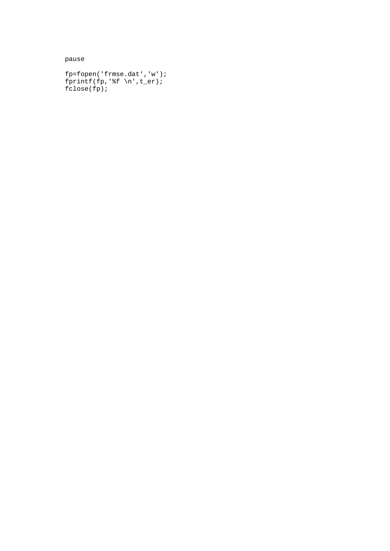pause

```
fp=fopen('frmse.dat','w'); 
fprintf(fp,'%f \n\t\frac{1}{\sqrt{2}},'%f \ln', t_er);
fclose(fp);
```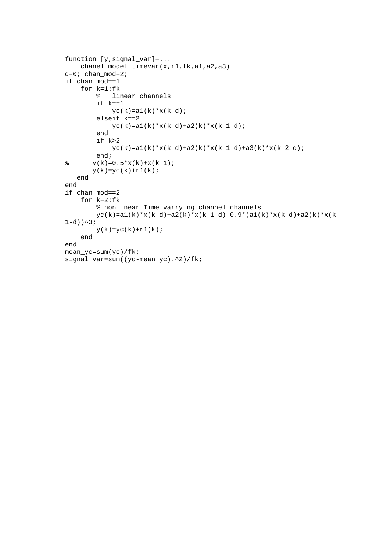```
function [y,signal_var]=... 
    chanel_model_timevar(x,r1,fk,a1,a2,a3) 
d=0; chan_mod=2;
if chan_mod==1 
     for k=1:fk 
         % linear channels 
         if k==1 
            yc(k)=a1(k)*x(k-d); elseif k==2 
            yc(k)=a1(k)*x(k-d)+a2(k)*x(k-1-d); end 
         if k>2 
            yc(k)=a1(k)*x(k-d)+a2(k)*x(k-1-d)+a3(k)*x(k-2-d); end; 
\sqrt[3]{k} y(k)=0.5*x(k)+x(k-1);
       y(k)=yc(k)+r1(k); end 
end 
if chan_mod==2 
     for k=2:fk 
         % nonlinear Time varrying channel channels 
        yc(k)=a1(k)*x(k-d)+a2(k)*x(k-1-d)-0.9*(a1(k)*x(k-d)+a2(k)*x(k-d))1-d))^3;
        y(k)=yc(k)+r1(k); end 
end 
mean_yc=sum(yc)/fk; 
signal_var=sum((yc-mean_yc).^2)/fk;
```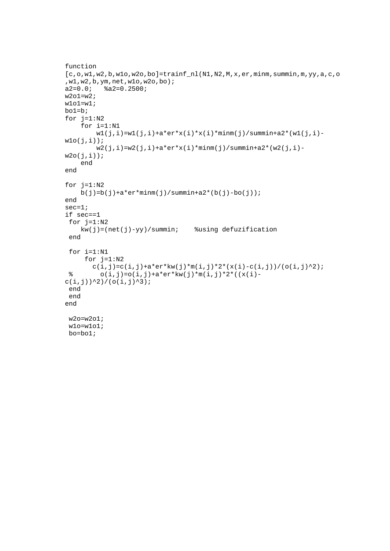```
function 
[c, o, w1, w2, b, w1o, w2o, bo]=trainf_n1(N1,N2,M,x,er,minm,summin,m,yy,a,c,o),w1,w2,b,ym,net,w1o,w2o,bo); 
a2=0.0; %a2=0.2500; 
w2o1=w2;w101=w1;bo1=b; 
for j=1:N2 
     for i=1:N1 
        w1(j,i)=w1(j,i)+a*er*x(i)*x(i)*min(m(j)/summan+a2*(w1(j,i)-w1))w1o(j,i));
        w2(j,i)=w2(j,i)+a*er*x(i)*min(m(j)/summan+a2*(w2(j,i)-w2o(j,i));
     end 
end 
for j=1:N2b(j)=b(j)+a*er*minm(j)/summin+a2*(b(j)-bo(j));end 
sec=1; 
if sec==1 
 for j=1:N2kw(j)=(net(j)-yy)/summin; %using defuzification
  end 
  for i=1:N1 
     for j=1:N2c(i,j)=c(i,j)+a*er*kw(j)*m(i,j)*2*(x(i)-c(i,j))/(o(i,j)^2);\frac{1}{2} o(i,j)=o(i,j)+a*er*kw(j)*m(i,j)*2*((x(i)-
c(i,j))^2)/(o(i,j)^3);
 end 
  end 
end 
 w2o=w2o1; 
 w1o=w1o1; 
 bo=bo1;
```